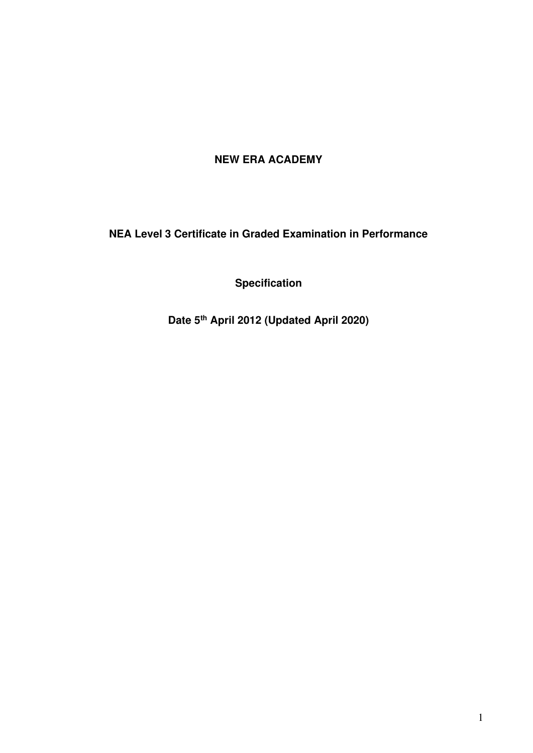# **NEW ERA ACADEMY**

**NEA Level 3 Certificate in Graded Examination in Performance** 

**Specification** 

**Date 5th April 2012 (Updated April 2020)**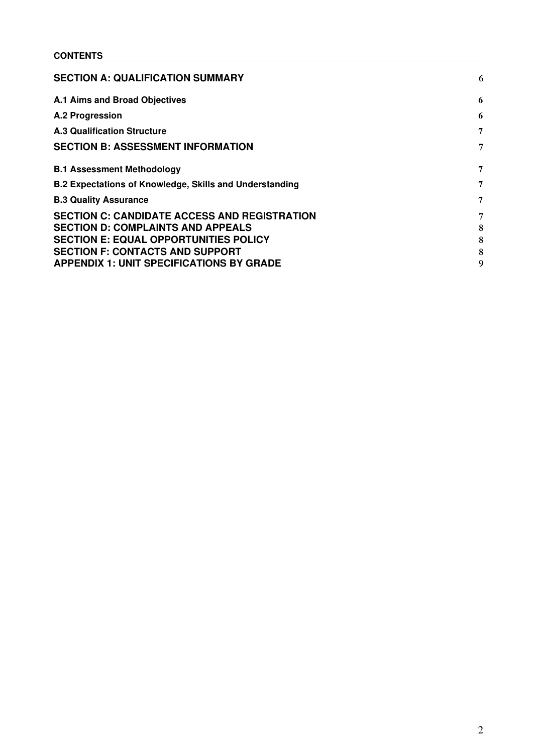## **CONTENTS**

| <b>SECTION A: QUALIFICATION SUMMARY</b>                                                         | 6      |
|-------------------------------------------------------------------------------------------------|--------|
| A.1 Aims and Broad Objectives                                                                   | 6      |
| A.2 Progression                                                                                 | 6      |
| <b>A.3 Qualification Structure</b>                                                              | 7      |
| <b>SECTION B: ASSESSMENT INFORMATION</b>                                                        | 7      |
| <b>B.1 Assessment Methodology</b>                                                               | 7      |
| <b>B.2 Expectations of Knowledge, Skills and Understanding</b>                                  | 7      |
| <b>B.3 Quality Assurance</b>                                                                    | 7      |
| <b>SECTION C: CANDIDATE ACCESS AND REGISTRATION</b><br><b>SECTION D: COMPLAINTS AND APPEALS</b> | 7<br>8 |
| <b>SECTION E: EQUAL OPPORTUNITIES POLICY</b>                                                    | 8      |
| <b>SECTION F: CONTACTS AND SUPPORT</b>                                                          | 8      |
| <b>APPENDIX 1: UNIT SPECIFICATIONS BY GRADE</b>                                                 | g      |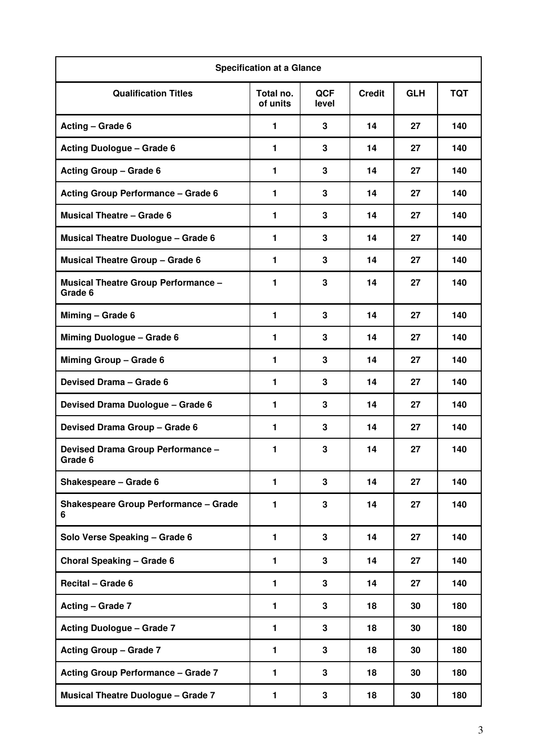| <b>Specification at a Glance</b>                      |                       |                     |               |            |            |
|-------------------------------------------------------|-----------------------|---------------------|---------------|------------|------------|
| <b>Qualification Titles</b>                           | Total no.<br>of units | <b>QCF</b><br>level | <b>Credit</b> | <b>GLH</b> | <b>TQT</b> |
| Acting - Grade 6                                      | 1                     | 3                   | 14            | 27         | 140        |
| <b>Acting Duologue - Grade 6</b>                      | 1                     | 3                   | 14            | 27         | 140        |
| <b>Acting Group - Grade 6</b>                         | 1                     | 3                   | 14            | 27         | 140        |
| <b>Acting Group Performance - Grade 6</b>             | 1                     | 3                   | 14            | 27         | 140        |
| <b>Musical Theatre - Grade 6</b>                      | 1                     | 3                   | 14            | 27         | 140        |
| <b>Musical Theatre Duologue - Grade 6</b>             | 1                     | 3                   | 14            | 27         | 140        |
| <b>Musical Theatre Group - Grade 6</b>                | 1                     | 3                   | 14            | 27         | 140        |
| <b>Musical Theatre Group Performance -</b><br>Grade 6 | 1                     | 3                   | 14            | 27         | 140        |
| Miming - Grade 6                                      | 1                     | 3                   | 14            | 27         | 140        |
| Miming Duologue - Grade 6                             | 1                     | 3                   | 14            | 27         | 140        |
| Miming Group - Grade 6                                | 1                     | 3                   | 14            | 27         | 140        |
| Devised Drama - Grade 6                               | 1                     | 3                   | 14            | 27         | 140        |
| Devised Drama Duologue - Grade 6                      | 1                     | 3                   | 14            | 27         | 140        |
| Devised Drama Group - Grade 6                         | 1                     | 3                   | 14            | 27         | 140        |
| Devised Drama Group Performance -<br>Grade 6          | 1                     | 3                   | 14            | 27         | 140        |
| Shakespeare - Grade 6                                 | 1                     | 3                   | 14            | 27         | 140        |
| <b>Shakespeare Group Performance - Grade</b><br>6     | 1                     | 3                   | 14            | 27         | 140        |
| Solo Verse Speaking - Grade 6                         | 1                     | 3                   | 14            | 27         | 140        |
| <b>Choral Speaking - Grade 6</b>                      | 1                     | 3                   | 14            | 27         | 140        |
| Recital - Grade 6                                     | 1                     | 3                   | 14            | 27         | 140        |
| Acting - Grade 7                                      | 1                     | 3                   | 18            | 30         | 180        |
| <b>Acting Duologue - Grade 7</b>                      | 1                     | 3                   | 18            | 30         | 180        |
| <b>Acting Group - Grade 7</b>                         | 1                     | 3                   | 18            | 30         | 180        |
| <b>Acting Group Performance - Grade 7</b>             | 1                     | 3                   | 18            | 30         | 180        |
| <b>Musical Theatre Duologue - Grade 7</b>             | 1                     | 3                   | 18            | 30         | 180        |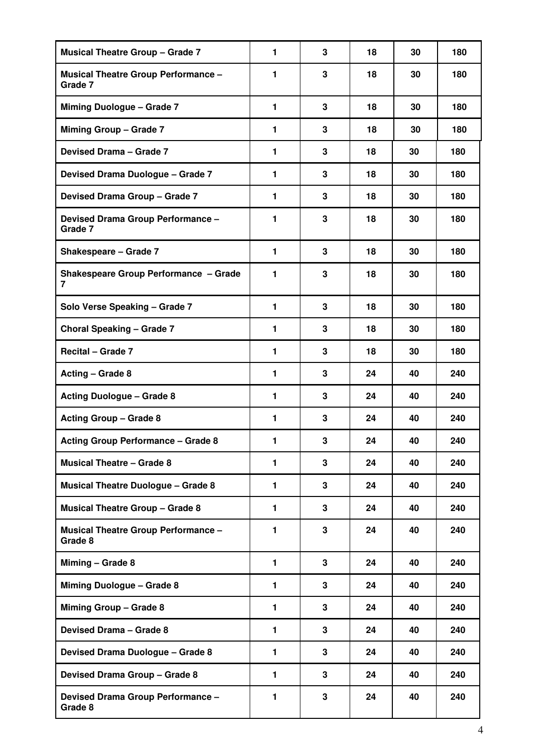| <b>Musical Theatre Group - Grade 7</b>                | 1              | 3 | 18 | 30 | 180 |
|-------------------------------------------------------|----------------|---|----|----|-----|
| <b>Musical Theatre Group Performance -</b><br>Grade 7 | 1              | 3 | 18 | 30 | 180 |
| <b>Miming Duologue - Grade 7</b>                      | $\mathbf{1}$   | 3 | 18 | 30 | 180 |
| <b>Miming Group - Grade 7</b>                         | 1              | 3 | 18 | 30 | 180 |
| Devised Drama - Grade 7                               | $\blacksquare$ | 3 | 18 | 30 | 180 |
| Devised Drama Duologue - Grade 7                      | $\mathbf{1}$   | 3 | 18 | 30 | 180 |
| Devised Drama Group - Grade 7                         | 1              | 3 | 18 | 30 | 180 |
| Devised Drama Group Performance -<br>Grade 7          | 1              | 3 | 18 | 30 | 180 |
| Shakespeare - Grade 7                                 | 1              | 3 | 18 | 30 | 180 |
| <b>Shakespeare Group Performance - Grade</b><br>7     | $\mathbf{1}$   | 3 | 18 | 30 | 180 |
| Solo Verse Speaking - Grade 7                         | $\mathbf{1}$   | 3 | 18 | 30 | 180 |
| <b>Choral Speaking - Grade 7</b>                      | $\mathbf{1}$   | 3 | 18 | 30 | 180 |
| Recital - Grade 7                                     | $\mathbf{1}$   | 3 | 18 | 30 | 180 |
| Acting - Grade 8                                      | 1              | 3 | 24 | 40 | 240 |
| <b>Acting Duologue - Grade 8</b>                      | 1              | 3 | 24 | 40 | 240 |
| <b>Acting Group - Grade 8</b>                         | 1              | 3 | 24 | 40 | 240 |
| <b>Acting Group Performance - Grade 8</b>             | 1              | 3 | 24 | 40 | 240 |
| <b>Musical Theatre - Grade 8</b>                      | $\mathbf{1}$   | 3 | 24 | 40 | 240 |
| <b>Musical Theatre Duologue - Grade 8</b>             | $\mathbf{1}$   | 3 | 24 | 40 | 240 |
| <b>Musical Theatre Group - Grade 8</b>                | $\mathbf{1}$   | 3 | 24 | 40 | 240 |
| <b>Musical Theatre Group Performance -</b><br>Grade 8 | 1              | 3 | 24 | 40 | 240 |
| Miming - Grade 8                                      | $\mathbf{1}$   | 3 | 24 | 40 | 240 |
| Miming Duologue - Grade 8                             | 1              | 3 | 24 | 40 | 240 |
| Miming Group - Grade 8                                | $\mathbf{1}$   | 3 | 24 | 40 | 240 |
| Devised Drama - Grade 8                               | $\mathbf{1}$   | 3 | 24 | 40 | 240 |
| Devised Drama Duologue - Grade 8                      | $\mathbf{1}$   | 3 | 24 | 40 | 240 |
| Devised Drama Group - Grade 8                         | $\mathbf{1}$   | 3 | 24 | 40 | 240 |
| Devised Drama Group Performance -<br>Grade 8          | 1              | 3 | 24 | 40 | 240 |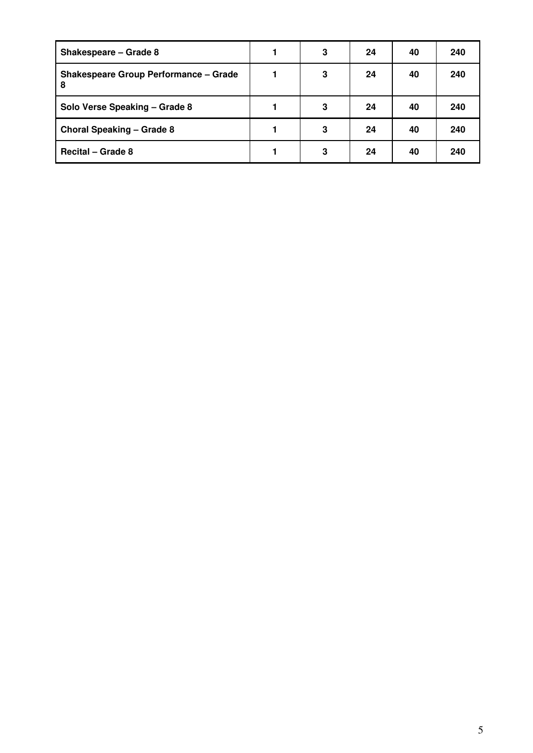| Shakespeare - Grade 8                              | 3 | 24 | 40 | 240 |
|----------------------------------------------------|---|----|----|-----|
| <b>Shakespeare Group Performance - Grade</b><br>-8 | 3 | 24 | 40 | 240 |
| Solo Verse Speaking - Grade 8                      | 3 | 24 | 40 | 240 |
| Choral Speaking - Grade 8                          | 3 | 24 | 40 | 240 |
| <b>Recital – Grade 8</b>                           | 3 | 24 | 40 | 240 |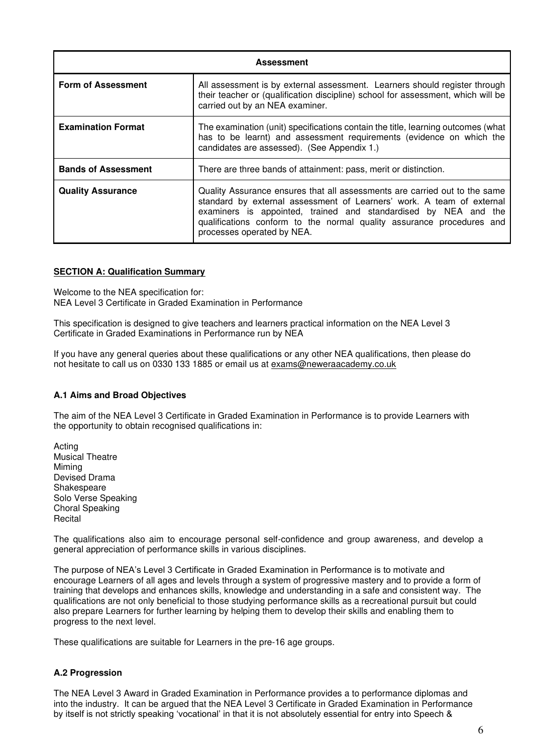|                            | <b>Assessment</b>                                                                                                                                                                                                                                                                                                             |  |  |  |  |  |
|----------------------------|-------------------------------------------------------------------------------------------------------------------------------------------------------------------------------------------------------------------------------------------------------------------------------------------------------------------------------|--|--|--|--|--|
| <b>Form of Assessment</b>  | All assessment is by external assessment. Learners should register through<br>their teacher or (qualification discipline) school for assessment, which will be<br>carried out by an NEA examiner.                                                                                                                             |  |  |  |  |  |
| <b>Examination Format</b>  | The examination (unit) specifications contain the title, learning outcomes (what<br>has to be learnt) and assessment requirements (evidence on which the<br>candidates are assessed). (See Appendix 1.)                                                                                                                       |  |  |  |  |  |
| <b>Bands of Assessment</b> | There are three bands of attainment: pass, merit or distinction.                                                                                                                                                                                                                                                              |  |  |  |  |  |
| <b>Quality Assurance</b>   | Quality Assurance ensures that all assessments are carried out to the same<br>standard by external assessment of Learners' work. A team of external<br>examiners is appointed, trained and standardised by NEA and the<br>qualifications conform to the normal quality assurance procedures and<br>processes operated by NEA. |  |  |  |  |  |

#### <span id="page-5-0"></span>**SECTION A: Qualification Summary**

Welcome to the NEA specification for: NEA Level 3 Certificate in Graded Examination in Performance

This specification is designed to give teachers and learners practical information on the NEA Level 3 Certificate in Graded Examinations in Performance run by NEA

If you have any general queries about these qualifications or any other NEA qualifications, then please do not hesitate to call us on 0330 133 1885 or email us at exams@neweraacademy.co.uk

#### <span id="page-5-1"></span>**A.1 Aims and Broad Objectives**

The aim of the NEA Level 3 Certificate in Graded Examination in Performance is to provide Learners with the opportunity to obtain recognised qualifications in:

Acting Musical Theatre Miming Devised Drama Shakespeare Solo Verse Speaking Choral Speaking Recital

The qualifications also aim to encourage personal self-confidence and group awareness, and develop a general appreciation of performance skills in various disciplines.

The purpose of NEA's Level 3 Certificate in Graded Examination in Performance is to motivate and encourage Learners of all ages and levels through a system of progressive mastery and to provide a form of training that develops and enhances skills, knowledge and understanding in a safe and consistent way. The qualifications are not only beneficial to those studying performance skills as a recreational pursuit but could also prepare Learners for further learning by helping them to develop their skills and enabling them to progress to the next level.

These qualifications are suitable for Learners in the pre-16 age groups.

#### <span id="page-5-2"></span>**A.2 Progression**

The NEA Level 3 Award in Graded Examination in Performance provides a to performance diplomas and into the industry. It can be argued that the NEA Level 3 Certificate in Graded Examination in Performance by itself is not strictly speaking 'vocational' in that it is not absolutely essential for entry into Speech &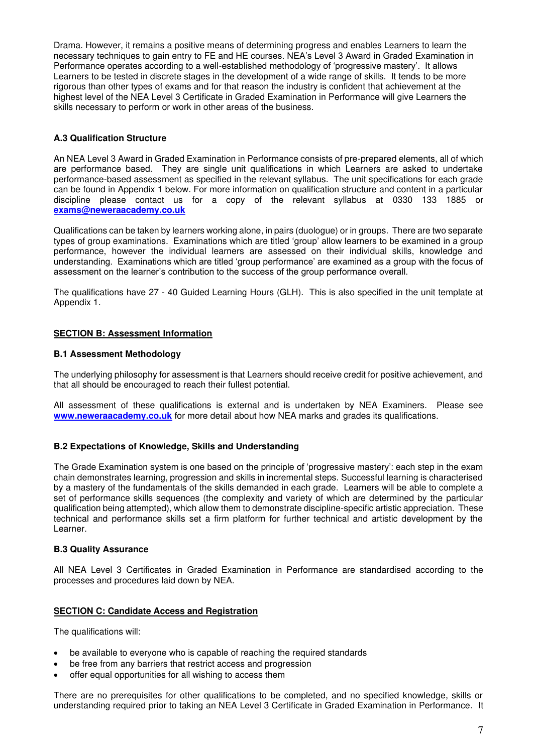Drama. However, it remains a positive means of determining progress and enables Learners to learn the necessary techniques to gain entry to FE and HE courses. NEA's Level 3 Award in Graded Examination in Performance operates according to a well-established methodology of 'progressive mastery'. It allows Learners to be tested in discrete stages in the development of a wide range of skills. It tends to be more rigorous than other types of exams and for that reason the industry is confident that achievement at the highest level of the NEA Level 3 Certificate in Graded Examination in Performance will give Learners the skills necessary to perform or work in other areas of the business.

## <span id="page-6-0"></span>**A.3 Qualification Structure**

An NEA Level 3 Award in Graded Examination in Performance consists of pre-prepared elements, all of which are performance based. They are single unit qualifications in which Learners are asked to undertake performance-based assessment as specified in the relevant syllabus. The unit specifications for each grade can be found in Appendix 1 below. For more information on qualification structure and content in a particular discipline please contact us for a copy of the relevant syllabus at 0330 133 1885 or **[exams@neweraacademy.co.uk](mailto:exams@neweraacademy.co.uk)**

Qualifications can be taken by learners working alone, in pairs (duologue) or in groups. There are two separate types of group examinations. Examinations which are titled 'group' allow learners to be examined in a group performance, however the individual learners are assessed on their individual skills, knowledge and understanding. Examinations which are titled 'group performance' are examined as a group with the focus of assessment on the learner's contribution to the success of the group performance overall.

The qualifications have 27 - 40 Guided Learning Hours (GLH). This is also specified in the unit template at Appendix 1.

## <span id="page-6-1"></span>**SECTION B: Assessment Information**

#### <span id="page-6-2"></span>**B.1 Assessment Methodology**

The underlying philosophy for assessment is that Learners should receive credit for positive achievement, and that all should be encouraged to reach their fullest potential.

All assessment of these qualifications is external and is undertaken by NEA Examiners. Please see **[www.neweraacademy.co.uk](http://www.neweraacademy.co.uk/)** for more detail about how NEA marks and grades its qualifications.

## <span id="page-6-3"></span>**B.2 Expectations of Knowledge, Skills and Understanding**

The Grade Examination system is one based on the principle of 'progressive mastery': each step in the exam chain demonstrates learning, progression and skills in incremental steps. Successful learning is characterised by a mastery of the fundamentals of the skills demanded in each grade. Learners will be able to complete a set of performance skills sequences (the complexity and variety of which are determined by the particular qualification being attempted), which allow them to demonstrate discipline-specific artistic appreciation. These technical and performance skills set a firm platform for further technical and artistic development by the Learner.

## <span id="page-6-4"></span>**B.3 Quality Assurance**

All NEA Level 3 Certificates in Graded Examination in Performance are standardised according to the processes and procedures laid down by NEA.

## <span id="page-6-5"></span>**SECTION C: Candidate Access and Registration**

The qualifications will:

- be available to everyone who is capable of reaching the required standards
- be free from any barriers that restrict access and progression
- offer equal opportunities for all wishing to access them

There are no prerequisites for other qualifications to be completed, and no specified knowledge, skills or understanding required prior to taking an NEA Level 3 Certificate in Graded Examination in Performance. It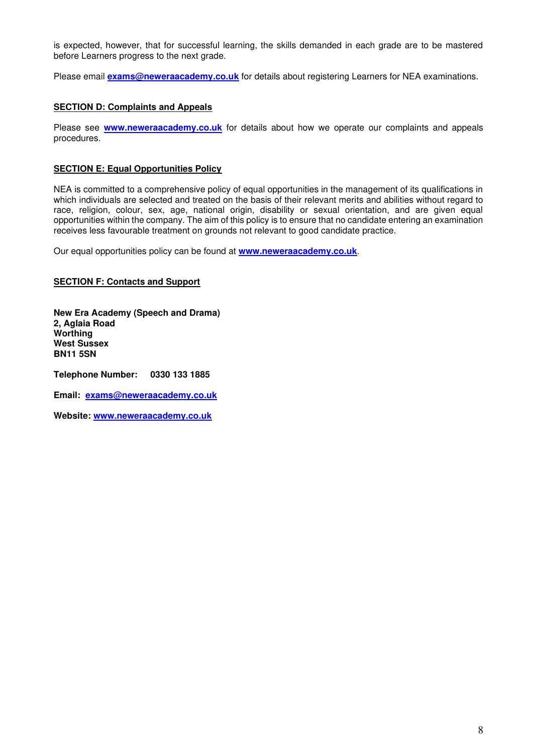is expected, however, that for successful learning, the skills demanded in each grade are to be mastered before Learners progress to the next grade.

Please email **[exams@neweraacademy.co.uk](mailto:exams@neweraacademy.co.uk)** for details about registering Learners for NEA examinations.

#### <span id="page-7-0"></span>**SECTION D: Complaints and Appeals**

Please see **[www.neweraacademy.co.uk](http://www.neweraacademy.co.uk/)** for details about how we operate our complaints and appeals procedures.

#### <span id="page-7-1"></span>**SECTION E: Equal Opportunities Policy**

NEA is committed to a comprehensive policy of equal opportunities in the management of its qualifications in which individuals are selected and treated on the basis of their relevant merits and abilities without regard to race, religion, colour, sex, age, national origin, disability or sexual orientation, and are given equal opportunities within the company. The aim of this policy is to ensure that no candidate entering an examination receives less favourable treatment on grounds not relevant to good candidate practice.

Our equal opportunities policy can be found at **[www.neweraacademy.co.uk](http://www.neweraacademy.co.uk/)**.

#### <span id="page-7-2"></span>**SECTION F: Contacts and Support**

**New Era Academy (Speech and Drama) 2, Aglaia Road Worthing West Sussex BN11 5SN** 

**Telephone Number: 0330 133 1885** 

**Email: [exams@neweraacademy.co.uk](mailto:exams@neweraacademy.co.uk)** 

**Website: [www.neweraacademy.co.uk](http://www.neweraacademy.co.uk/)**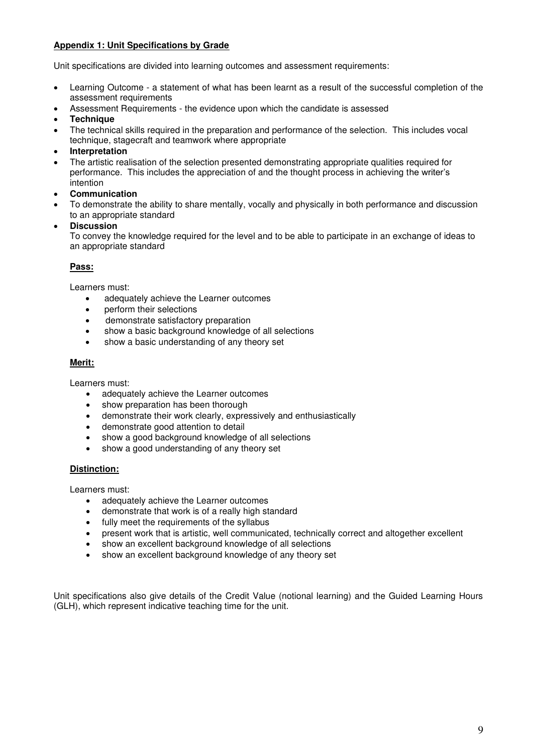## <span id="page-8-0"></span>**Appendix 1: Unit Specifications by Grade**

Unit specifications are divided into learning outcomes and assessment requirements:

- Learning Outcome a statement of what has been learnt as a result of the successful completion of the assessment requirements
- Assessment Requirements the evidence upon which the candidate is assessed
- **Technique**
- The technical skills required in the preparation and performance of the selection. This includes vocal technique, stagecraft and teamwork where appropriate
- **Interpretation**
- The artistic realisation of the selection presented demonstrating appropriate qualities required for performance. This includes the appreciation of and the thought process in achieving the writer's intention
- **Communication**
- To demonstrate the ability to share mentally, vocally and physically in both performance and discussion to an appropriate standard
- **Discussion**

To convey the knowledge required for the level and to be able to participate in an exchange of ideas to an appropriate standard

## **Pass:**

Learners must:

- adequately achieve the Learner outcomes
- perform their selections
- demonstrate satisfactory preparation
- show a basic background knowledge of all selections
- show a basic understanding of any theory set

#### **Merit:**

Learners must:

- adequately achieve the Learner outcomes
- show preparation has been thorough
- demonstrate their work clearly, expressively and enthusiastically
- demonstrate good attention to detail
- show a good background knowledge of all selections
- show a good understanding of any theory set

## **Distinction:**

Learners must:

- adequately achieve the Learner outcomes
- demonstrate that work is of a really high standard
- fully meet the requirements of the syllabus
- present work that is artistic, well communicated, technically correct and altogether excellent
- show an excellent background knowledge of all selections
- show an excellent background knowledge of any theory set

Unit specifications also give details of the Credit Value (notional learning) and the Guided Learning Hours (GLH), which represent indicative teaching time for the unit.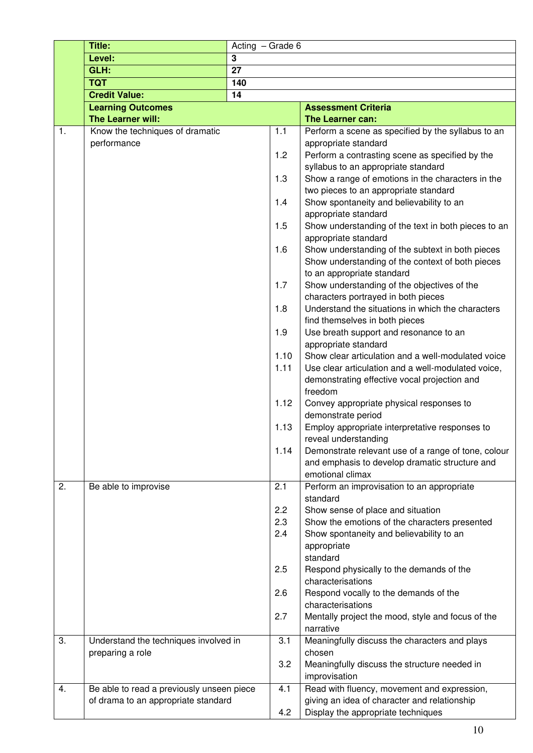|    | Title:                                    | Acting - Grade 6 |            |                                                                                    |
|----|-------------------------------------------|------------------|------------|------------------------------------------------------------------------------------|
|    | Level:                                    | 3                |            |                                                                                    |
|    | GLH:                                      | 27               |            |                                                                                    |
|    | <b>TQT</b>                                | 140              |            |                                                                                    |
|    | <b>Credit Value:</b>                      | 14               |            |                                                                                    |
|    | <b>Learning Outcomes</b>                  |                  |            | <b>Assessment Criteria</b>                                                         |
|    | The Learner will:                         |                  |            | The Learner can:                                                                   |
| 1. | Know the techniques of dramatic           |                  | 1.1        | Perform a scene as specified by the syllabus to an                                 |
|    | performance                               |                  |            | appropriate standard                                                               |
|    |                                           |                  | 1.2        | Perform a contrasting scene as specified by the                                    |
|    |                                           |                  |            | syllabus to an appropriate standard                                                |
|    |                                           |                  | 1.3        | Show a range of emotions in the characters in the                                  |
|    |                                           |                  |            | two pieces to an appropriate standard                                              |
|    |                                           |                  | 1.4        | Show spontaneity and believability to an                                           |
|    |                                           |                  |            | appropriate standard                                                               |
|    |                                           |                  | 1.5        | Show understanding of the text in both pieces to an                                |
|    |                                           |                  |            | appropriate standard                                                               |
|    |                                           |                  | 1.6        | Show understanding of the subtext in both pieces                                   |
|    |                                           |                  |            | Show understanding of the context of both pieces                                   |
|    |                                           |                  | 1.7        | to an appropriate standard                                                         |
|    |                                           |                  |            | Show understanding of the objectives of the<br>characters portrayed in both pieces |
|    |                                           |                  | 1.8        | Understand the situations in which the characters                                  |
|    |                                           |                  |            | find themselves in both pieces                                                     |
|    |                                           |                  | 1.9        | Use breath support and resonance to an                                             |
|    |                                           |                  |            | appropriate standard                                                               |
|    |                                           |                  | 1.10       | Show clear articulation and a well-modulated voice                                 |
|    |                                           |                  | 1.11       | Use clear articulation and a well-modulated voice,                                 |
|    |                                           |                  |            | demonstrating effective vocal projection and                                       |
|    |                                           |                  |            | freedom                                                                            |
|    |                                           |                  | 1.12       | Convey appropriate physical responses to                                           |
|    |                                           |                  |            | demonstrate period                                                                 |
|    |                                           |                  | 1.13       | Employ appropriate interpretative responses to                                     |
|    |                                           |                  |            | reveal understanding                                                               |
|    |                                           |                  | 1.14       | Demonstrate relevant use of a range of tone, colour                                |
|    |                                           |                  |            | and emphasis to develop dramatic structure and                                     |
|    |                                           |                  |            | emotional climax                                                                   |
| 2. | Be able to improvise                      |                  | 2.1        | Perform an improvisation to an appropriate                                         |
|    |                                           |                  |            | standard                                                                           |
|    |                                           |                  | 2.2<br>2.3 | Show sense of place and situation<br>Show the emotions of the characters presented |
|    |                                           |                  | 2.4        | Show spontaneity and believability to an                                           |
|    |                                           |                  |            | appropriate                                                                        |
|    |                                           |                  |            | standard                                                                           |
|    |                                           |                  | 2.5        | Respond physically to the demands of the                                           |
|    |                                           |                  |            | characterisations                                                                  |
|    |                                           |                  | 2.6        | Respond vocally to the demands of the                                              |
|    |                                           |                  |            | characterisations                                                                  |
|    |                                           |                  | 2.7        | Mentally project the mood, style and focus of the                                  |
|    |                                           |                  |            | narrative                                                                          |
| 3. | Understand the techniques involved in     |                  | 3.1        | Meaningfully discuss the characters and plays                                      |
|    | preparing a role                          |                  |            | chosen                                                                             |
|    |                                           |                  | 3.2        | Meaningfully discuss the structure needed in                                       |
|    |                                           |                  |            | improvisation                                                                      |
| 4. | Be able to read a previously unseen piece |                  | 4.1        | Read with fluency, movement and expression,                                        |
|    | of drama to an appropriate standard       |                  |            | giving an idea of character and relationship                                       |
|    |                                           |                  | 4.2        | Display the appropriate techniques                                                 |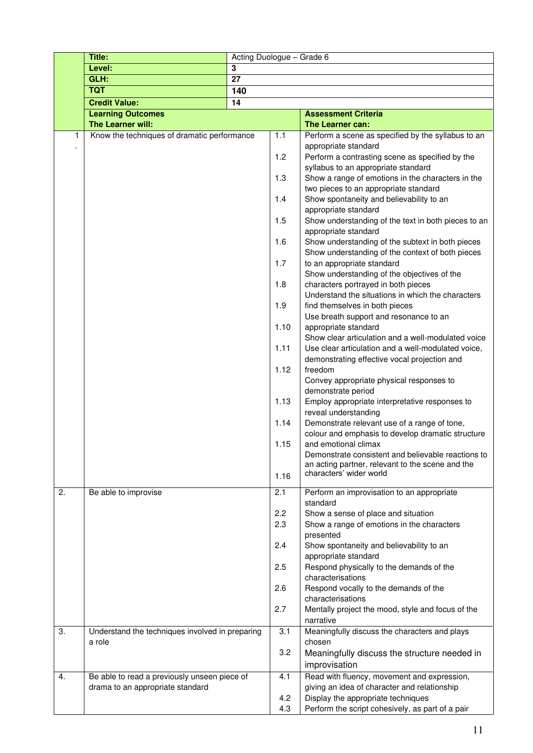|    | Title:                                                                           | Acting Duologue - Grade 6 |      |                                                                                                          |
|----|----------------------------------------------------------------------------------|---------------------------|------|----------------------------------------------------------------------------------------------------------|
|    | Level:                                                                           | 3                         |      |                                                                                                          |
|    | GLH:                                                                             | $\overline{27}$           |      |                                                                                                          |
|    | <b>TQT</b>                                                                       | 140                       |      |                                                                                                          |
|    | <b>Credit Value:</b>                                                             | $\overline{14}$           |      |                                                                                                          |
|    | <b>Learning Outcomes</b>                                                         |                           |      | <b>Assessment Criteria</b>                                                                               |
|    | The Learner will:                                                                |                           |      | The Learner can:                                                                                         |
| 1  | Know the techniques of dramatic performance                                      |                           | 1.1  | Perform a scene as specified by the syllabus to an<br>appropriate standard                               |
|    |                                                                                  |                           | 1.2  | Perform a contrasting scene as specified by the<br>syllabus to an appropriate standard                   |
|    |                                                                                  |                           | 1.3  | Show a range of emotions in the characters in the<br>two pieces to an appropriate standard               |
|    |                                                                                  |                           | 1.4  | Show spontaneity and believability to an<br>appropriate standard                                         |
|    |                                                                                  |                           | 1.5  | Show understanding of the text in both pieces to an<br>appropriate standard                              |
|    |                                                                                  |                           | 1.6  | Show understanding of the subtext in both pieces<br>Show understanding of the context of both pieces     |
|    |                                                                                  |                           | 1.7  | to an appropriate standard                                                                               |
|    |                                                                                  |                           | 1.8  | Show understanding of the objectives of the<br>characters portrayed in both pieces                       |
|    |                                                                                  |                           | 1.9  | Understand the situations in which the characters<br>find themselves in both pieces                      |
|    |                                                                                  |                           | 1.10 | Use breath support and resonance to an<br>appropriate standard                                           |
|    |                                                                                  |                           | 1.11 | Show clear articulation and a well-modulated voice<br>Use clear articulation and a well-modulated voice, |
|    |                                                                                  |                           | 1.12 | demonstrating effective vocal projection and<br>freedom                                                  |
|    |                                                                                  |                           |      | Convey appropriate physical responses to<br>demonstrate period                                           |
|    |                                                                                  |                           | 1.13 | Employ appropriate interpretative responses to<br>reveal understanding                                   |
|    |                                                                                  |                           | 1.14 | Demonstrate relevant use of a range of tone,<br>colour and emphasis to develop dramatic structure        |
|    |                                                                                  |                           | 1.15 | and emotional climax<br>Demonstrate consistent and believable reactions to                               |
|    |                                                                                  |                           | 1.16 | an acting partner, relevant to the scene and the<br>characters' wider world                              |
| 2. | Be able to improvise                                                             |                           | 2.1  | Perform an improvisation to an appropriate                                                               |
|    |                                                                                  |                           | 2.2  | standard<br>Show a sense of place and situation                                                          |
|    |                                                                                  |                           | 2.3  | Show a range of emotions in the characters                                                               |
|    |                                                                                  |                           | 2.4  | presented<br>Show spontaneity and believability to an                                                    |
|    |                                                                                  |                           | 2.5  | appropriate standard<br>Respond physically to the demands of the<br>characterisations                    |
|    |                                                                                  |                           | 2.6  | Respond vocally to the demands of the                                                                    |
|    |                                                                                  |                           | 2.7  | characterisations<br>Mentally project the mood, style and focus of the<br>narrative                      |
| 3. | Understand the techniques involved in preparing<br>a role                        |                           | 3.1  | Meaningfully discuss the characters and plays<br>chosen                                                  |
|    |                                                                                  |                           | 3.2  | Meaningfully discuss the structure needed in                                                             |
|    |                                                                                  |                           |      | improvisation                                                                                            |
| 4. | Be able to read a previously unseen piece of<br>drama to an appropriate standard |                           | 4.1  | Read with fluency, movement and expression,<br>giving an idea of character and relationship              |
|    |                                                                                  |                           | 4.2  | Display the appropriate techniques                                                                       |
|    |                                                                                  |                           | 4.3  | Perform the script cohesively, as part of a pair                                                         |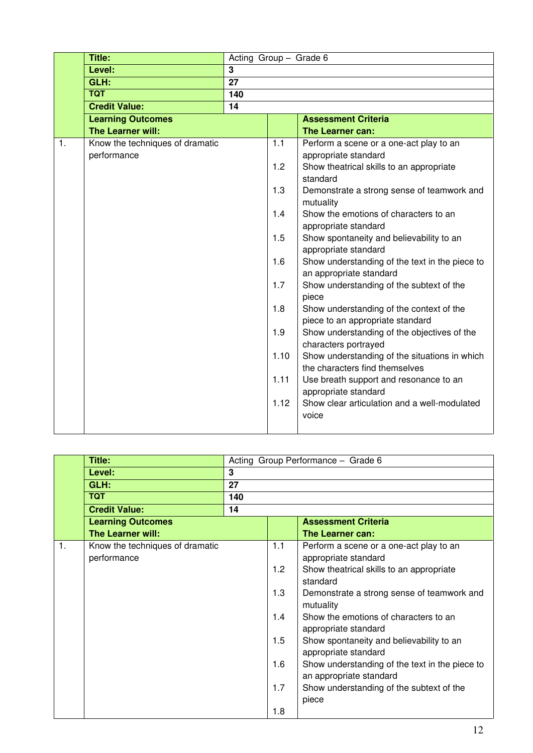|                | Title:                          | Acting Group - Grade 6 |      |                                                                     |
|----------------|---------------------------------|------------------------|------|---------------------------------------------------------------------|
|                | Level:                          | 3                      |      |                                                                     |
|                | GLH:                            | 27                     |      |                                                                     |
|                | <b>TQT</b>                      | 140                    |      |                                                                     |
|                | <b>Credit Value:</b>            | 14                     |      |                                                                     |
|                | <b>Learning Outcomes</b>        |                        |      | <b>Assessment Criteria</b>                                          |
|                | The Learner will:               |                        |      | The Learner can:                                                    |
| $\mathbf{1}$ . | Know the techniques of dramatic |                        | 1.1  | Perform a scene or a one-act play to an                             |
|                | performance                     |                        |      | appropriate standard                                                |
|                |                                 |                        | 1.2  | Show theatrical skills to an appropriate                            |
|                |                                 |                        |      | standard                                                            |
|                |                                 |                        | 1.3  | Demonstrate a strong sense of teamwork and                          |
|                |                                 |                        |      | mutuality                                                           |
|                |                                 |                        | 1.4  | Show the emotions of characters to an                               |
|                |                                 |                        |      | appropriate standard                                                |
|                |                                 |                        | 1.5  | Show spontaneity and believability to an                            |
|                |                                 |                        |      | appropriate standard                                                |
|                |                                 |                        | 1.6  | Show understanding of the text in the piece to                      |
|                |                                 |                        | 1.7  | an appropriate standard<br>Show understanding of the subtext of the |
|                |                                 |                        |      | piece                                                               |
|                |                                 |                        | 1.8  | Show understanding of the context of the                            |
|                |                                 |                        |      | piece to an appropriate standard                                    |
|                |                                 |                        | 1.9  | Show understanding of the objectives of the                         |
|                |                                 |                        |      | characters portrayed                                                |
|                |                                 |                        | 1.10 | Show understanding of the situations in which                       |
|                |                                 |                        |      | the characters find themselves                                      |
|                |                                 |                        | 1.11 | Use breath support and resonance to an                              |
|                |                                 |                        |      | appropriate standard                                                |
|                |                                 |                        | 1.12 | Show clear articulation and a well-modulated                        |
|                |                                 |                        |      | voice                                                               |
|                |                                 |                        |      |                                                                     |

|    | Title:                                         |     | Acting Group Performance - Grade 6 |                                                                           |  |
|----|------------------------------------------------|-----|------------------------------------|---------------------------------------------------------------------------|--|
|    | Level:                                         | 3   |                                    |                                                                           |  |
|    | GLH:                                           | 27  |                                    |                                                                           |  |
|    | <b>TQT</b>                                     | 140 |                                    |                                                                           |  |
|    | <b>Credit Value:</b>                           | 14  |                                    |                                                                           |  |
|    | <b>Learning Outcomes</b>                       |     |                                    | <b>Assessment Criteria</b>                                                |  |
|    | <b>The Learner will:</b>                       |     |                                    | The Learner can:                                                          |  |
| 1. | Know the techniques of dramatic<br>performance |     | 1.1                                | Perform a scene or a one-act play to an<br>appropriate standard           |  |
|    |                                                |     | 1.2                                | Show theatrical skills to an appropriate<br>standard                      |  |
|    |                                                |     | 1.3                                | Demonstrate a strong sense of teamwork and<br>mutuality                   |  |
|    |                                                |     | 1.4                                | Show the emotions of characters to an<br>appropriate standard             |  |
|    |                                                |     | 1.5                                | Show spontaneity and believability to an<br>appropriate standard          |  |
|    |                                                |     | 1.6                                | Show understanding of the text in the piece to<br>an appropriate standard |  |
|    |                                                |     | 1.7                                | Show understanding of the subtext of the<br>piece                         |  |
|    |                                                |     | 1.8                                |                                                                           |  |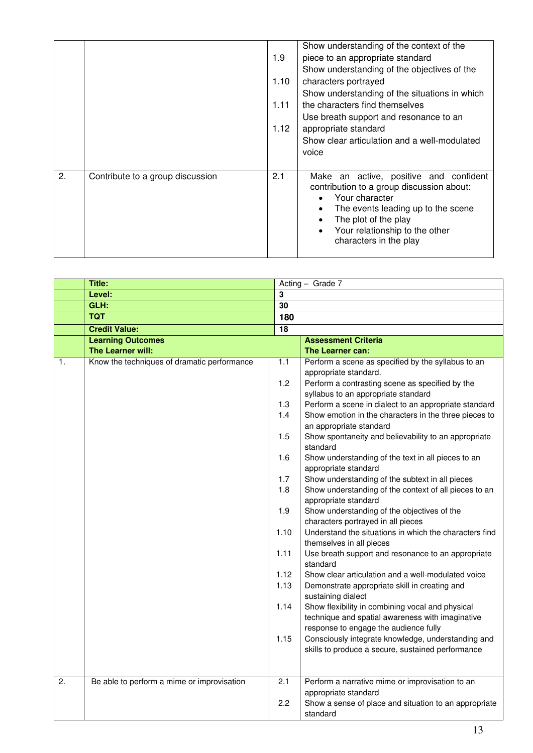|    |                                  | 1.9<br>1.10<br>1.11<br>1.12 | Show understanding of the context of the<br>piece to an appropriate standard<br>Show understanding of the objectives of the<br>characters portrayed<br>Show understanding of the situations in which<br>the characters find themselves<br>Use breath support and resonance to an<br>appropriate standard<br>Show clear articulation and a well-modulated<br>voice |
|----|----------------------------------|-----------------------------|-------------------------------------------------------------------------------------------------------------------------------------------------------------------------------------------------------------------------------------------------------------------------------------------------------------------------------------------------------------------|
| 2. | Contribute to a group discussion | 2.1                         | Make an active, positive and confident<br>contribution to a group discussion about:<br>Your character<br>The events leading up to the scene<br>$\bullet$<br>The plot of the play<br>Your relationship to the other<br>characters in the play                                                                                                                      |

|                  | Title:                                      | Acting - Grade 7        |                                                                                                      |  |
|------------------|---------------------------------------------|-------------------------|------------------------------------------------------------------------------------------------------|--|
|                  | Level:                                      | $\overline{\mathbf{3}}$ |                                                                                                      |  |
|                  | GLH:                                        | 30                      |                                                                                                      |  |
|                  | <b>TQT</b>                                  | 180                     |                                                                                                      |  |
|                  | <b>Credit Value:</b>                        | $\overline{18}$         |                                                                                                      |  |
|                  | <b>Learning Outcomes</b>                    |                         | <b>Assessment Criteria</b>                                                                           |  |
|                  | The Learner will:                           |                         | The Learner can:                                                                                     |  |
| 1.               | Know the techniques of dramatic performance | 1.1                     | Perform a scene as specified by the syllabus to an<br>appropriate standard.                          |  |
|                  |                                             | 1.2                     | Perform a contrasting scene as specified by the<br>syllabus to an appropriate standard               |  |
|                  |                                             | 1.3                     | Perform a scene in dialect to an appropriate standard                                                |  |
|                  |                                             | 1.4                     | Show emotion in the characters in the three pieces to                                                |  |
|                  |                                             |                         | an appropriate standard                                                                              |  |
|                  |                                             | 1.5                     | Show spontaneity and believability to an appropriate                                                 |  |
|                  |                                             |                         | standard                                                                                             |  |
|                  |                                             | 1.6                     | Show understanding of the text in all pieces to an<br>appropriate standard                           |  |
|                  |                                             | 1.7                     | Show understanding of the subtext in all pieces                                                      |  |
|                  |                                             | 1.8                     | Show understanding of the context of all pieces to an<br>appropriate standard                        |  |
|                  |                                             | 1.9                     | Show understanding of the objectives of the                                                          |  |
|                  |                                             |                         | characters portrayed in all pieces                                                                   |  |
|                  |                                             | 1.10                    | Understand the situations in which the characters find<br>themselves in all pieces                   |  |
|                  |                                             | 1.11                    | Use breath support and resonance to an appropriate<br>standard                                       |  |
|                  |                                             | 1.12                    | Show clear articulation and a well-modulated voice                                                   |  |
|                  |                                             | 1.13                    | Demonstrate appropriate skill in creating and<br>sustaining dialect                                  |  |
|                  |                                             | 1.14                    | Show flexibility in combining vocal and physical<br>technique and spatial awareness with imaginative |  |
|                  |                                             |                         | response to engage the audience fully                                                                |  |
|                  |                                             | 1.15                    | Consciously integrate knowledge, understanding and                                                   |  |
|                  |                                             |                         | skills to produce a secure, sustained performance                                                    |  |
|                  |                                             |                         |                                                                                                      |  |
| $\overline{2}$ . | Be able to perform a mime or improvisation  | $\overline{2.1}$        | Perform a narrative mime or improvisation to an                                                      |  |
|                  |                                             | 2.2                     | appropriate standard<br>Show a sense of place and situation to an appropriate<br>standard            |  |
|                  |                                             |                         |                                                                                                      |  |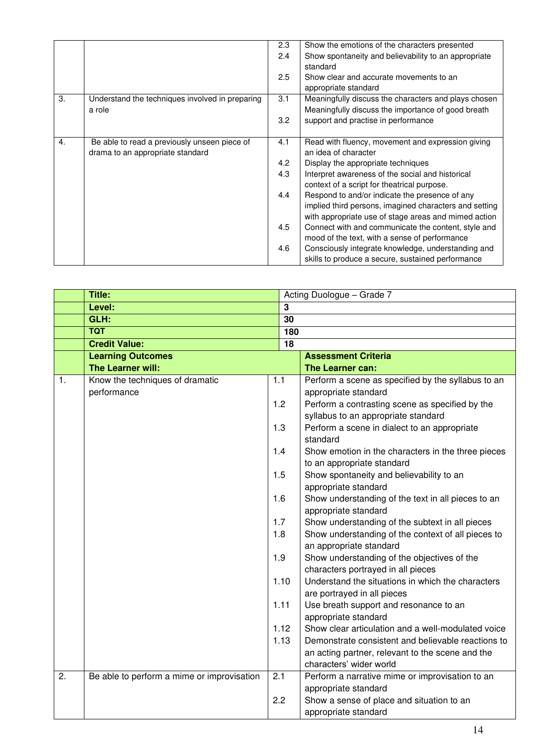|    |                                                 | 2.3 | Show the emotions of the characters presented          |
|----|-------------------------------------------------|-----|--------------------------------------------------------|
|    |                                                 | 2.4 | Show spontaneity and believability to an appropriate   |
|    |                                                 |     | standard                                               |
|    |                                                 | 2.5 | Show clear and accurate movements to an                |
|    |                                                 |     | appropriate standard                                   |
| 3. | Understand the techniques involved in preparing | 3.1 | Meaningfully discuss the characters and plays chosen   |
|    | a role                                          |     | Meaningfully discuss the importance of good breath     |
|    |                                                 | 3.2 | support and practise in performance                    |
|    |                                                 |     |                                                        |
| 4. | Be able to read a previously unseen piece of    | 4.1 | Read with fluency, movement and expression giving      |
|    | drama to an appropriate standard                |     | an idea of character                                   |
|    |                                                 | 4.2 | Display the appropriate techniques                     |
|    |                                                 | 4.3 | Interpret awareness of the social and historical       |
|    |                                                 |     | context of a script for theatrical purpose.            |
|    |                                                 | 4.4 | Respond to and/or indicate the presence of any         |
|    |                                                 |     | implied third persons, imagined characters and setting |
|    |                                                 |     | with appropriate use of stage areas and mimed action   |
|    |                                                 | 4.5 | Connect with and communicate the content, style and    |
|    |                                                 |     | mood of the text, with a sense of performance          |
|    |                                                 | 4.6 | Consciously integrate knowledge, understanding and     |
|    |                                                 |     | skills to produce a secure, sustained performance      |

|                  | Title:                                     |                |                 | Acting Duologue - Grade 7                          |
|------------------|--------------------------------------------|----------------|-----------------|----------------------------------------------------|
|                  | Level:                                     | $\overline{3}$ |                 |                                                    |
|                  | GLH:                                       |                | $\overline{30}$ |                                                    |
|                  | <b>TQT</b>                                 |                | 180             |                                                    |
|                  | <b>Credit Value:</b>                       |                | $\overline{18}$ |                                                    |
|                  | <b>Learning Outcomes</b>                   |                |                 | <b>Assessment Criteria</b>                         |
|                  | The Learner will:                          |                |                 | The Learner can:                                   |
| $\mathbf{1}$ .   | Know the techniques of dramatic            | 1.1            |                 | Perform a scene as specified by the syllabus to an |
|                  | performance                                |                |                 | appropriate standard                               |
|                  |                                            | 1.2            |                 | Perform a contrasting scene as specified by the    |
|                  |                                            |                |                 | syllabus to an appropriate standard                |
|                  |                                            | 1.3            |                 | Perform a scene in dialect to an appropriate       |
|                  |                                            |                |                 | standard                                           |
|                  |                                            | 1.4            |                 | Show emotion in the characters in the three pieces |
|                  |                                            |                |                 | to an appropriate standard                         |
|                  |                                            | 1.5            |                 | Show spontaneity and believability to an           |
|                  |                                            |                |                 | appropriate standard                               |
|                  |                                            | 1.6            |                 | Show understanding of the text in all pieces to an |
|                  |                                            |                |                 | appropriate standard                               |
|                  |                                            | 1.7            |                 | Show understanding of the subtext in all pieces    |
|                  |                                            | 1.8            |                 | Show understanding of the context of all pieces to |
|                  |                                            |                |                 | an appropriate standard                            |
|                  |                                            | 1.9            |                 | Show understanding of the objectives of the        |
|                  |                                            |                |                 | characters portrayed in all pieces                 |
|                  |                                            | 1.10           |                 | Understand the situations in which the characters  |
|                  |                                            |                |                 | are portrayed in all pieces                        |
|                  |                                            | 1.11           |                 | Use breath support and resonance to an             |
|                  |                                            |                |                 | appropriate standard                               |
|                  |                                            | 1.12           |                 | Show clear articulation and a well-modulated voice |
|                  |                                            | 1.13           |                 | Demonstrate consistent and believable reactions to |
|                  |                                            |                |                 | an acting partner, relevant to the scene and the   |
|                  |                                            |                |                 | characters' wider world                            |
| $\overline{2}$ . | Be able to perform a mime or improvisation | 2.1            |                 | Perform a narrative mime or improvisation to an    |
|                  |                                            |                |                 | appropriate standard                               |
|                  |                                            | 2.2            |                 | Show a sense of place and situation to an          |
|                  |                                            |                |                 | appropriate standard                               |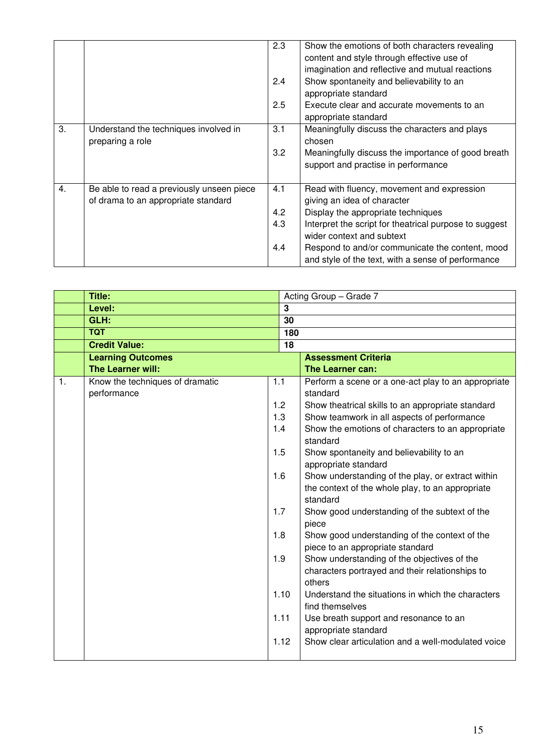|    |                                                                                  | 2.3<br>2.4<br>2.5        | Show the emotions of both characters revealing<br>content and style through effective use of<br>imagination and reflective and mutual reactions<br>Show spontaneity and believability to an<br>appropriate standard<br>Execute clear and accurate movements to an<br>appropriate standard                       |
|----|----------------------------------------------------------------------------------|--------------------------|-----------------------------------------------------------------------------------------------------------------------------------------------------------------------------------------------------------------------------------------------------------------------------------------------------------------|
| 3. | Understand the techniques involved in<br>preparing a role                        | 3.1<br>3.2               | Meaningfully discuss the characters and plays<br>chosen<br>Meaningfully discuss the importance of good breath<br>support and practise in performance                                                                                                                                                            |
| 4. | Be able to read a previously unseen piece<br>of drama to an appropriate standard | 4.1<br>4.2<br>4.3<br>4.4 | Read with fluency, movement and expression<br>giving an idea of character<br>Display the appropriate techniques<br>Interpret the script for theatrical purpose to suggest<br>wider context and subtext<br>Respond to and/or communicate the content, mood<br>and style of the text, with a sense of performance |

|                | Title:                                         |                                               |                         | Acting Group - Grade 7                                                                                                                                                                                                                                                                                                                                                                                                                                                         |  |
|----------------|------------------------------------------------|-----------------------------------------------|-------------------------|--------------------------------------------------------------------------------------------------------------------------------------------------------------------------------------------------------------------------------------------------------------------------------------------------------------------------------------------------------------------------------------------------------------------------------------------------------------------------------|--|
|                | Level:                                         |                                               | $\overline{\mathbf{3}}$ |                                                                                                                                                                                                                                                                                                                                                                                                                                                                                |  |
|                | GLH:                                           |                                               | 30                      |                                                                                                                                                                                                                                                                                                                                                                                                                                                                                |  |
|                | <b>TQT</b>                                     |                                               | 180                     |                                                                                                                                                                                                                                                                                                                                                                                                                                                                                |  |
|                | <b>Credit Value:</b>                           |                                               | 18                      |                                                                                                                                                                                                                                                                                                                                                                                                                                                                                |  |
|                | <b>Learning Outcomes</b>                       |                                               |                         | <b>Assessment Criteria</b>                                                                                                                                                                                                                                                                                                                                                                                                                                                     |  |
|                | The Learner will:                              |                                               |                         | The Learner can:                                                                                                                                                                                                                                                                                                                                                                                                                                                               |  |
| $\mathbf{1}$ . | Know the techniques of dramatic<br>performance | 1.1<br>1.2<br>1.3<br>1.4<br>1.5<br>1.6<br>1.7 |                         | Perform a scene or a one-act play to an appropriate<br>standard<br>Show theatrical skills to an appropriate standard<br>Show teamwork in all aspects of performance<br>Show the emotions of characters to an appropriate<br>standard<br>Show spontaneity and believability to an<br>appropriate standard<br>Show understanding of the play, or extract within<br>the context of the whole play, to an appropriate<br>standard<br>Show good understanding of the subtext of the |  |
|                |                                                | 1.8<br>1.9                                    | 1.10<br>1.11<br>1.12    | piece<br>Show good understanding of the context of the<br>piece to an appropriate standard<br>Show understanding of the objectives of the<br>characters portrayed and their relationships to<br>others<br>Understand the situations in which the characters<br>find themselves<br>Use breath support and resonance to an<br>appropriate standard<br>Show clear articulation and a well-modulated voice                                                                         |  |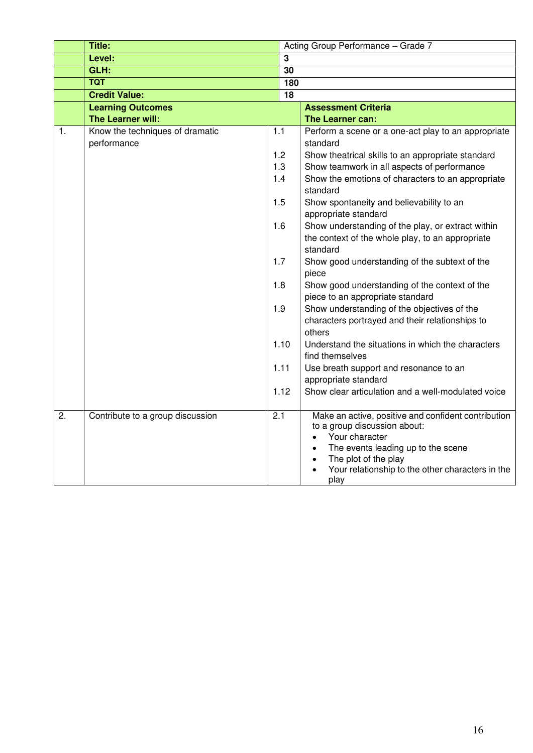|                  | Title:                                         |                  | Acting Group Performance - Grade 7                                                                                                                                                                                                                        |
|------------------|------------------------------------------------|------------------|-----------------------------------------------------------------------------------------------------------------------------------------------------------------------------------------------------------------------------------------------------------|
|                  | Level:                                         | $\mathbf{3}$     |                                                                                                                                                                                                                                                           |
|                  | GLH:                                           | 30               |                                                                                                                                                                                                                                                           |
|                  | <b>TQT</b>                                     | 180              |                                                                                                                                                                                                                                                           |
|                  | <b>Credit Value:</b>                           | $\overline{18}$  |                                                                                                                                                                                                                                                           |
|                  | <b>Learning Outcomes</b>                       |                  | <b>Assessment Criteria</b>                                                                                                                                                                                                                                |
|                  | The Learner will:                              |                  | The Learner can:                                                                                                                                                                                                                                          |
| 1.               | Know the techniques of dramatic<br>performance | 1.1              | Perform a scene or a one-act play to an appropriate<br>standard                                                                                                                                                                                           |
|                  |                                                | 1.2              | Show theatrical skills to an appropriate standard                                                                                                                                                                                                         |
|                  |                                                | 1.3              | Show teamwork in all aspects of performance                                                                                                                                                                                                               |
|                  |                                                | 1.4              | Show the emotions of characters to an appropriate<br>standard                                                                                                                                                                                             |
|                  |                                                | 1.5              | Show spontaneity and believability to an<br>appropriate standard                                                                                                                                                                                          |
|                  |                                                | 1.6              | Show understanding of the play, or extract within<br>the context of the whole play, to an appropriate<br>standard                                                                                                                                         |
|                  |                                                | 1.7              | Show good understanding of the subtext of the<br>piece                                                                                                                                                                                                    |
|                  |                                                | 1.8              | Show good understanding of the context of the<br>piece to an appropriate standard                                                                                                                                                                         |
|                  |                                                | 1.9              | Show understanding of the objectives of the<br>characters portrayed and their relationships to<br>others                                                                                                                                                  |
|                  |                                                | 1.10             | Understand the situations in which the characters<br>find themselves                                                                                                                                                                                      |
|                  |                                                | 1.11             | Use breath support and resonance to an<br>appropriate standard                                                                                                                                                                                            |
|                  |                                                | 1.12             | Show clear articulation and a well-modulated voice                                                                                                                                                                                                        |
| $\overline{2}$ . | Contribute to a group discussion               | $\overline{2.1}$ | Make an active, positive and confident contribution<br>to a group discussion about:<br>Your character<br>The events leading up to the scene<br>$\bullet$<br>The plot of the play<br>$\bullet$<br>Your relationship to the other characters in the<br>play |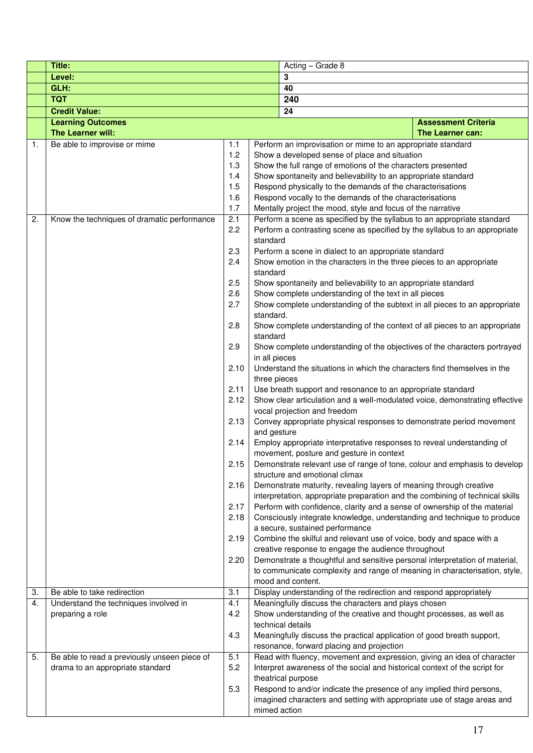|          | Title:                                                               |            |           | Acting - Grade 8                                                                                                                       |  |  |  |
|----------|----------------------------------------------------------------------|------------|-----------|----------------------------------------------------------------------------------------------------------------------------------------|--|--|--|
|          | Level:                                                               |            |           | 3                                                                                                                                      |  |  |  |
|          | GLH:                                                                 |            |           | 40                                                                                                                                     |  |  |  |
|          | <b>TQT</b>                                                           |            |           | 240                                                                                                                                    |  |  |  |
|          | <b>Credit Value:</b>                                                 |            |           | 24                                                                                                                                     |  |  |  |
|          | <b>Learning Outcomes</b>                                             |            |           | <b>Assessment Criteria</b>                                                                                                             |  |  |  |
|          | The Learner will:                                                    |            |           | The Learner can:                                                                                                                       |  |  |  |
| 1.       | Be able to improvise or mime                                         | 1.1        |           | Perform an improvisation or mime to an appropriate standard                                                                            |  |  |  |
|          |                                                                      | 1.2        |           | Show a developed sense of place and situation                                                                                          |  |  |  |
|          |                                                                      | 1.3        |           | Show the full range of emotions of the characters presented                                                                            |  |  |  |
|          |                                                                      | 1.4        |           | Show spontaneity and believability to an appropriate standard                                                                          |  |  |  |
|          |                                                                      | 1.5        |           | Respond physically to the demands of the characterisations                                                                             |  |  |  |
|          |                                                                      | 1.6        |           | Respond vocally to the demands of the characterisations                                                                                |  |  |  |
| 2.       |                                                                      | 1.7<br>2.1 |           | Mentally project the mood, style and focus of the narrative<br>Perform a scene as specified by the syllabus to an appropriate standard |  |  |  |
|          | Know the techniques of dramatic performance                          | 2.2        |           | Perform a contrasting scene as specified by the syllabus to an appropriate                                                             |  |  |  |
|          |                                                                      |            | standard  |                                                                                                                                        |  |  |  |
|          |                                                                      | 2.3        |           | Perform a scene in dialect to an appropriate standard                                                                                  |  |  |  |
|          |                                                                      | 2.4        |           | Show emotion in the characters in the three pieces to an appropriate                                                                   |  |  |  |
|          |                                                                      |            | standard  |                                                                                                                                        |  |  |  |
|          |                                                                      | 2.5        |           | Show spontaneity and believability to an appropriate standard                                                                          |  |  |  |
|          |                                                                      | 2.6        |           | Show complete understanding of the text in all pieces                                                                                  |  |  |  |
|          |                                                                      | 2.7        |           | Show complete understanding of the subtext in all pieces to an appropriate                                                             |  |  |  |
|          |                                                                      |            | standard. |                                                                                                                                        |  |  |  |
|          |                                                                      | 2.8        |           | Show complete understanding of the context of all pieces to an appropriate                                                             |  |  |  |
|          |                                                                      |            | standard  |                                                                                                                                        |  |  |  |
|          |                                                                      | 2.9        |           | Show complete understanding of the objectives of the characters portrayed<br>in all pieces                                             |  |  |  |
|          |                                                                      | 2.10       |           | Understand the situations in which the characters find themselves in the                                                               |  |  |  |
|          |                                                                      |            |           | three pieces                                                                                                                           |  |  |  |
|          |                                                                      | 2.11       |           | Use breath support and resonance to an appropriate standard                                                                            |  |  |  |
|          |                                                                      | 2.12       |           | Show clear articulation and a well-modulated voice, demonstrating effective                                                            |  |  |  |
|          |                                                                      |            |           | vocal projection and freedom                                                                                                           |  |  |  |
|          |                                                                      | 2.13       |           | Convey appropriate physical responses to demonstrate period movement                                                                   |  |  |  |
|          |                                                                      |            |           | and gesture                                                                                                                            |  |  |  |
|          |                                                                      | 2.14       |           | Employ appropriate interpretative responses to reveal understanding of                                                                 |  |  |  |
|          |                                                                      |            |           | movement, posture and gesture in context                                                                                               |  |  |  |
|          |                                                                      | 2.15       |           | Demonstrate relevant use of range of tone, colour and emphasis to develop<br>structure and emotional climax                            |  |  |  |
|          |                                                                      | 2.16       |           | Demonstrate maturity, revealing layers of meaning through creative                                                                     |  |  |  |
|          |                                                                      |            |           | interpretation, appropriate preparation and the combining of technical skills                                                          |  |  |  |
|          |                                                                      | 2.17       |           | Perform with confidence, clarity and a sense of ownership of the material                                                              |  |  |  |
|          |                                                                      | 2.18       |           | Consciously integrate knowledge, understanding and technique to produce                                                                |  |  |  |
|          |                                                                      |            |           | a secure, sustained performance                                                                                                        |  |  |  |
|          |                                                                      | 2.19       |           | Combine the skilful and relevant use of voice, body and space with a                                                                   |  |  |  |
|          |                                                                      |            |           | creative response to engage the audience throughout                                                                                    |  |  |  |
|          |                                                                      | 2.20       |           | Demonstrate a thoughtful and sensitive personal interpretation of material,                                                            |  |  |  |
|          |                                                                      |            |           | to communicate complexity and range of meaning in characterisation, style,                                                             |  |  |  |
|          |                                                                      |            |           | mood and content.                                                                                                                      |  |  |  |
| 3.<br>4. | Be able to take redirection<br>Understand the techniques involved in | 3.1<br>4.1 |           | Display understanding of the redirection and respond appropriately<br>Meaningfully discuss the characters and plays chosen             |  |  |  |
|          | preparing a role                                                     | 4.2        |           | Show understanding of the creative and thought processes, as well as                                                                   |  |  |  |
|          |                                                                      |            |           | technical details                                                                                                                      |  |  |  |
|          |                                                                      | 4.3        |           | Meaningfully discuss the practical application of good breath support,                                                                 |  |  |  |
|          |                                                                      |            |           | resonance, forward placing and projection                                                                                              |  |  |  |
| 5.       | Be able to read a previously unseen piece of                         | 5.1        |           | Read with fluency, movement and expression, giving an idea of character                                                                |  |  |  |
|          | drama to an appropriate standard                                     | 5.2        |           | Interpret awareness of the social and historical context of the script for                                                             |  |  |  |
|          |                                                                      |            |           | theatrical purpose                                                                                                                     |  |  |  |
|          |                                                                      | 5.3        |           | Respond to and/or indicate the presence of any implied third persons,                                                                  |  |  |  |
|          |                                                                      |            |           | imagined characters and setting with appropriate use of stage areas and                                                                |  |  |  |
|          |                                                                      |            |           | mimed action                                                                                                                           |  |  |  |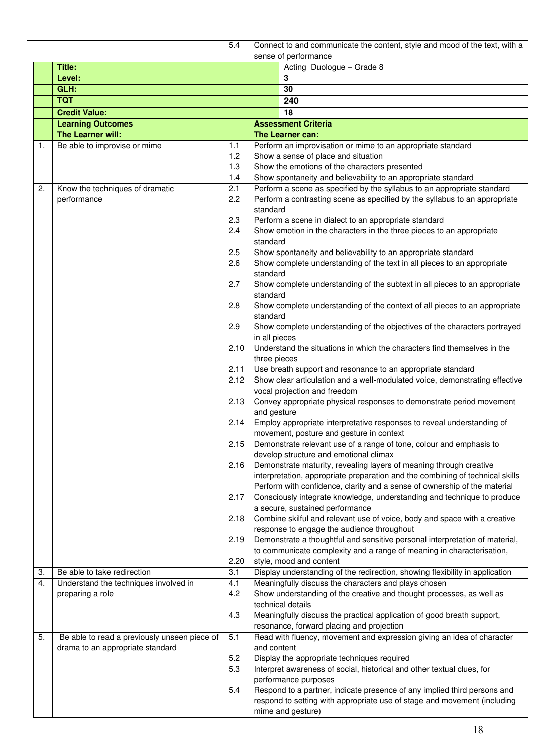|    |                                              | $\overline{5.4}$ |               | Connect to and communicate the content, style and mood of the text, with a                                                                           |  |
|----|----------------------------------------------|------------------|---------------|------------------------------------------------------------------------------------------------------------------------------------------------------|--|
|    |                                              |                  |               | sense of performance                                                                                                                                 |  |
|    | Title:                                       |                  |               | Acting Duologue - Grade 8                                                                                                                            |  |
|    | Level:                                       |                  |               | 3                                                                                                                                                    |  |
|    | GLH:                                         |                  |               | 30                                                                                                                                                   |  |
|    | <b>TQT</b>                                   |                  |               | 240                                                                                                                                                  |  |
|    | <b>Credit Value:</b>                         |                  |               | 18                                                                                                                                                   |  |
|    | <b>Learning Outcomes</b>                     |                  |               | <b>Assessment Criteria</b>                                                                                                                           |  |
|    | The Learner will:                            |                  |               | The Learner can:                                                                                                                                     |  |
| 1. | Be able to improvise or mime                 | 1.1              |               | Perform an improvisation or mime to an appropriate standard                                                                                          |  |
|    |                                              | 1.2<br>1.3       |               | Show a sense of place and situation<br>Show the emotions of the characters presented                                                                 |  |
|    |                                              | 1.4              |               | Show spontaneity and believability to an appropriate standard                                                                                        |  |
| 2. | Know the techniques of dramatic              | 2.1              |               | Perform a scene as specified by the syllabus to an appropriate standard                                                                              |  |
|    | performance                                  | 2.2              |               | Perform a contrasting scene as specified by the syllabus to an appropriate                                                                           |  |
|    |                                              |                  | standard      |                                                                                                                                                      |  |
|    |                                              | 2.3              |               | Perform a scene in dialect to an appropriate standard                                                                                                |  |
|    |                                              | 2.4              |               | Show emotion in the characters in the three pieces to an appropriate                                                                                 |  |
|    |                                              |                  | standard      |                                                                                                                                                      |  |
|    |                                              | 2.5              |               | Show spontaneity and believability to an appropriate standard                                                                                        |  |
|    |                                              | 2.6              |               | Show complete understanding of the text in all pieces to an appropriate                                                                              |  |
|    |                                              | 2.7              | standard      | Show complete understanding of the subtext in all pieces to an appropriate                                                                           |  |
|    |                                              |                  | standard      |                                                                                                                                                      |  |
|    |                                              | 2.8              |               | Show complete understanding of the context of all pieces to an appropriate                                                                           |  |
|    |                                              |                  | standard      |                                                                                                                                                      |  |
|    |                                              | 2.9              |               | Show complete understanding of the objectives of the characters portrayed                                                                            |  |
|    |                                              |                  | in all pieces |                                                                                                                                                      |  |
|    |                                              | 2.10             |               | Understand the situations in which the characters find themselves in the                                                                             |  |
|    |                                              |                  | three pieces  |                                                                                                                                                      |  |
|    |                                              | 2.11             |               | Use breath support and resonance to an appropriate standard                                                                                          |  |
|    |                                              | 2.12             |               | Show clear articulation and a well-modulated voice, demonstrating effective<br>vocal projection and freedom                                          |  |
|    |                                              | 2.13             |               | Convey appropriate physical responses to demonstrate period movement                                                                                 |  |
|    |                                              |                  | and gesture   |                                                                                                                                                      |  |
|    |                                              | 2.14             |               | Employ appropriate interpretative responses to reveal understanding of                                                                               |  |
|    |                                              |                  |               | movement, posture and gesture in context                                                                                                             |  |
|    |                                              | 2.15             |               | Demonstrate relevant use of a range of tone, colour and emphasis to                                                                                  |  |
|    |                                              |                  |               | develop structure and emotional climax                                                                                                               |  |
|    |                                              | 2.16             |               | Demonstrate maturity, revealing layers of meaning through creative                                                                                   |  |
|    |                                              |                  |               | interpretation, appropriate preparation and the combining of technical skills                                                                        |  |
|    |                                              | 2.17             |               | Perform with confidence, clarity and a sense of ownership of the material<br>Consciously integrate knowledge, understanding and technique to produce |  |
|    |                                              |                  |               | a secure, sustained performance                                                                                                                      |  |
|    |                                              | 2.18             |               | Combine skilful and relevant use of voice, body and space with a creative                                                                            |  |
|    |                                              |                  |               | response to engage the audience throughout                                                                                                           |  |
|    |                                              | 2.19             |               | Demonstrate a thoughtful and sensitive personal interpretation of material,                                                                          |  |
|    |                                              |                  |               | to communicate complexity and a range of meaning in characterisation,                                                                                |  |
|    |                                              | 2.20             |               | style, mood and content                                                                                                                              |  |
| 3. | Be able to take redirection                  | 3.1              |               | Display understanding of the redirection, showing flexibility in application                                                                         |  |
| 4. | Understand the techniques involved in        | 4.1<br>4.2       |               | Meaningfully discuss the characters and plays chosen                                                                                                 |  |
|    | preparing a role                             |                  |               | Show understanding of the creative and thought processes, as well as<br>technical details                                                            |  |
|    |                                              | 4.3              |               | Meaningfully discuss the practical application of good breath support,                                                                               |  |
|    |                                              |                  |               | resonance, forward placing and projection                                                                                                            |  |
| 5. | Be able to read a previously unseen piece of | 5.1              |               | Read with fluency, movement and expression giving an idea of character                                                                               |  |
|    | drama to an appropriate standard             |                  | and content   |                                                                                                                                                      |  |
|    |                                              | 5.2              |               | Display the appropriate techniques required                                                                                                          |  |
|    |                                              | 5.3              |               | Interpret awareness of social, historical and other textual clues, for                                                                               |  |
|    |                                              |                  |               | performance purposes                                                                                                                                 |  |
|    |                                              | 5.4              |               | Respond to a partner, indicate presence of any implied third persons and                                                                             |  |
|    |                                              |                  |               | respond to setting with appropriate use of stage and movement (including<br>mime and gesture)                                                        |  |
|    |                                              |                  |               |                                                                                                                                                      |  |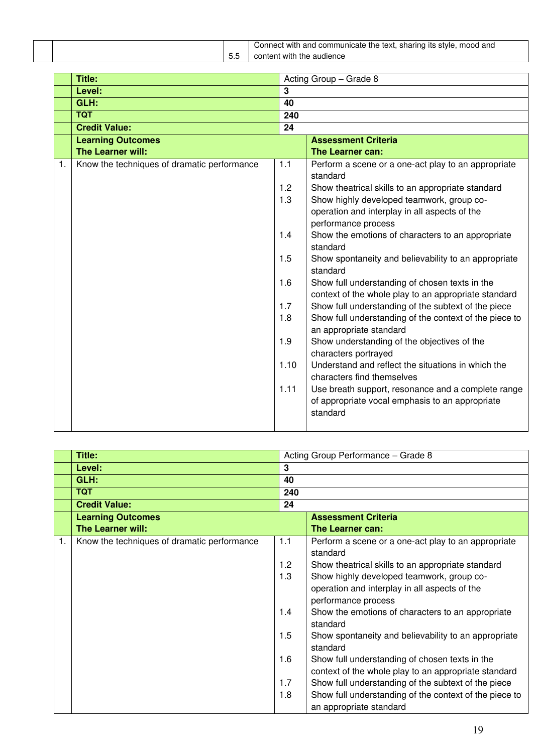|           | and<br>communicate the text.<br>sharing<br>and o<br>`Witi.<br>mooo.<br>lts<br>stvk<br>Jonnect |
|-----------|-----------------------------------------------------------------------------------------------|
| --<br>J.J | audience<br>ıt with<br>the<br>nten.<br>ال∪ت                                                   |

|    | Title:                                      |                | Acting Group - Grade 8                                                                                            |  |
|----|---------------------------------------------|----------------|-------------------------------------------------------------------------------------------------------------------|--|
|    | Level:                                      | $\overline{3}$ |                                                                                                                   |  |
|    | GLH:                                        | 40             |                                                                                                                   |  |
|    | <b>TQT</b>                                  | 240            |                                                                                                                   |  |
|    | <b>Credit Value:</b>                        | 24             |                                                                                                                   |  |
|    | <b>Learning Outcomes</b>                    |                | <b>Assessment Criteria</b>                                                                                        |  |
|    | The Learner will:                           |                | The Learner can:                                                                                                  |  |
| 1. | Know the techniques of dramatic performance | 1.1            | Perform a scene or a one-act play to an appropriate<br>standard                                                   |  |
|    |                                             | 1.2            | Show theatrical skills to an appropriate standard                                                                 |  |
|    |                                             | 1.3            | Show highly developed teamwork, group co-                                                                         |  |
|    |                                             |                | operation and interplay in all aspects of the<br>performance process                                              |  |
|    |                                             | 1.4            | Show the emotions of characters to an appropriate<br>standard                                                     |  |
|    |                                             | 1.5            | Show spontaneity and believability to an appropriate<br>standard                                                  |  |
|    |                                             | 1.6            | Show full understanding of chosen texts in the<br>context of the whole play to an appropriate standard            |  |
|    |                                             | 1.7            | Show full understanding of the subtext of the piece                                                               |  |
|    |                                             | 1.8            | Show full understanding of the context of the piece to<br>an appropriate standard                                 |  |
|    |                                             | 1.9            | Show understanding of the objectives of the<br>characters portrayed                                               |  |
|    |                                             | 1.10           | Understand and reflect the situations in which the<br>characters find themselves                                  |  |
|    |                                             | 1.11           | Use breath support, resonance and a complete range<br>of appropriate vocal emphasis to an appropriate<br>standard |  |

|    | Title:                                      |     | Acting Group Performance - Grade 8                               |  |
|----|---------------------------------------------|-----|------------------------------------------------------------------|--|
|    | Level:                                      | 3   |                                                                  |  |
|    | GLH:                                        | 40  |                                                                  |  |
|    | <b>TQT</b>                                  | 240 |                                                                  |  |
|    | <b>Credit Value:</b>                        | 24  |                                                                  |  |
|    | <b>Learning Outcomes</b>                    |     | <b>Assessment Criteria</b>                                       |  |
|    | <b>The Learner will:</b>                    |     | The Learner can:                                                 |  |
| 1. | Know the techniques of dramatic performance | 1.1 | Perform a scene or a one-act play to an appropriate<br>standard  |  |
|    |                                             | 1.2 | Show theatrical skills to an appropriate standard                |  |
|    |                                             | 1.3 | Show highly developed teamwork, group co-                        |  |
|    |                                             |     | operation and interplay in all aspects of the                    |  |
|    |                                             |     | performance process                                              |  |
|    |                                             | 1.4 | Show the emotions of characters to an appropriate<br>standard    |  |
|    |                                             | 1.5 | Show spontaneity and believability to an appropriate<br>standard |  |
|    |                                             | 1.6 | Show full understanding of chosen texts in the                   |  |
|    |                                             |     | context of the whole play to an appropriate standard             |  |
|    |                                             | 1.7 | Show full understanding of the subtext of the piece              |  |
|    |                                             | 1.8 | Show full understanding of the context of the piece to           |  |
|    |                                             |     | an appropriate standard                                          |  |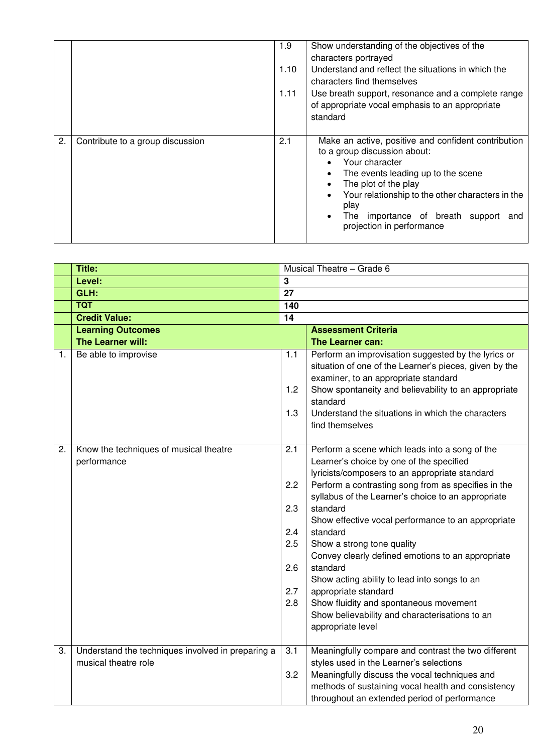|    |                                  | 1.9<br>1.10<br>1.11 | Show understanding of the objectives of the<br>characters portrayed<br>Understand and reflect the situations in which the<br>characters find themselves<br>Use breath support, resonance and a complete range<br>of appropriate vocal emphasis to an appropriate<br>standard                                                                                             |
|----|----------------------------------|---------------------|--------------------------------------------------------------------------------------------------------------------------------------------------------------------------------------------------------------------------------------------------------------------------------------------------------------------------------------------------------------------------|
| 2. | Contribute to a group discussion | 2.1                 | Make an active, positive and confident contribution<br>to a group discussion about:<br>Your character<br>$\bullet$<br>The events leading up to the scene<br>$\bullet$<br>The plot of the play<br>$\bullet$<br>Your relationship to the other characters in the<br>$\bullet$<br>play<br>The importance of breath support<br>$\bullet$<br>and<br>projection in performance |

|    | <b>Title:</b>                                                             | Musical Theatre - Grade 6                            |                                                                                                                                                                                                                                                                                                                                                                                                                                                                                                                                                                                                                                 |  |
|----|---------------------------------------------------------------------------|------------------------------------------------------|---------------------------------------------------------------------------------------------------------------------------------------------------------------------------------------------------------------------------------------------------------------------------------------------------------------------------------------------------------------------------------------------------------------------------------------------------------------------------------------------------------------------------------------------------------------------------------------------------------------------------------|--|
|    | Level:                                                                    | 3                                                    |                                                                                                                                                                                                                                                                                                                                                                                                                                                                                                                                                                                                                                 |  |
|    | GLH:                                                                      | $\overline{27}$                                      |                                                                                                                                                                                                                                                                                                                                                                                                                                                                                                                                                                                                                                 |  |
|    | <b>TQT</b>                                                                | 140                                                  |                                                                                                                                                                                                                                                                                                                                                                                                                                                                                                                                                                                                                                 |  |
|    | <b>Credit Value:</b>                                                      | $\overline{14}$                                      |                                                                                                                                                                                                                                                                                                                                                                                                                                                                                                                                                                                                                                 |  |
|    | <b>Learning Outcomes</b>                                                  |                                                      | <b>Assessment Criteria</b>                                                                                                                                                                                                                                                                                                                                                                                                                                                                                                                                                                                                      |  |
|    | The Learner will:                                                         |                                                      | The Learner can:                                                                                                                                                                                                                                                                                                                                                                                                                                                                                                                                                                                                                |  |
| 1. | Be able to improvise                                                      | 1.1<br>1.2                                           | Perform an improvisation suggested by the lyrics or<br>situation of one of the Learner's pieces, given by the<br>examiner, to an appropriate standard<br>Show spontaneity and believability to an appropriate                                                                                                                                                                                                                                                                                                                                                                                                                   |  |
|    |                                                                           | 1.3                                                  | standard<br>Understand the situations in which the characters<br>find themselves                                                                                                                                                                                                                                                                                                                                                                                                                                                                                                                                                |  |
| 2. | Know the techniques of musical theatre<br>performance                     | 2.1<br>2.2<br>2.3<br>2.4<br>2.5<br>2.6<br>2.7<br>2.8 | Perform a scene which leads into a song of the<br>Learner's choice by one of the specified<br>lyricists/composers to an appropriate standard<br>Perform a contrasting song from as specifies in the<br>syllabus of the Learner's choice to an appropriate<br>standard<br>Show effective vocal performance to an appropriate<br>standard<br>Show a strong tone quality<br>Convey clearly defined emotions to an appropriate<br>standard<br>Show acting ability to lead into songs to an<br>appropriate standard<br>Show fluidity and spontaneous movement<br>Show believability and characterisations to an<br>appropriate level |  |
| 3. | Understand the techniques involved in preparing a<br>musical theatre role | 3.1<br>3.2                                           | Meaningfully compare and contrast the two different<br>styles used in the Learner's selections<br>Meaningfully discuss the vocal techniques and<br>methods of sustaining vocal health and consistency<br>throughout an extended period of performance                                                                                                                                                                                                                                                                                                                                                                           |  |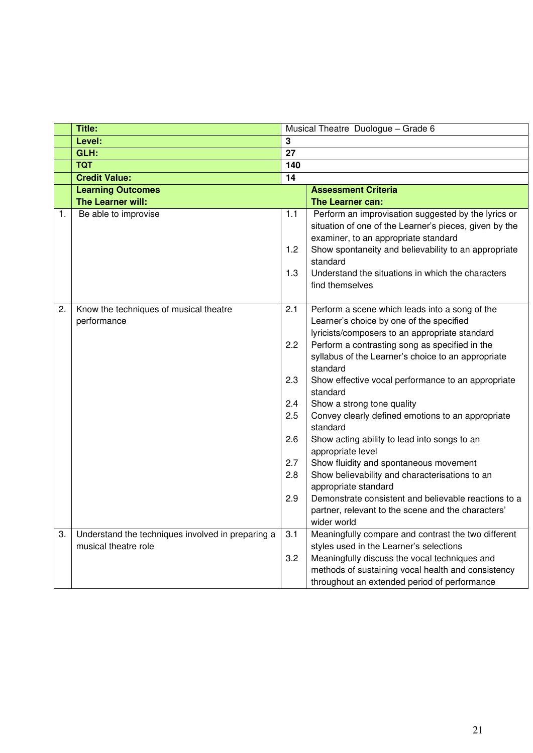|    | <b>Title:</b>                                                             |                                                             | Musical Theatre Duologue - Grade 6                                                                                                                                                                                                                                                                                                                                                                                                                                                                                                                                                                                                                                                                                                                      |  |  |
|----|---------------------------------------------------------------------------|-------------------------------------------------------------|---------------------------------------------------------------------------------------------------------------------------------------------------------------------------------------------------------------------------------------------------------------------------------------------------------------------------------------------------------------------------------------------------------------------------------------------------------------------------------------------------------------------------------------------------------------------------------------------------------------------------------------------------------------------------------------------------------------------------------------------------------|--|--|
|    | Level:                                                                    | 3                                                           |                                                                                                                                                                                                                                                                                                                                                                                                                                                                                                                                                                                                                                                                                                                                                         |  |  |
|    | GLH:                                                                      | 27                                                          |                                                                                                                                                                                                                                                                                                                                                                                                                                                                                                                                                                                                                                                                                                                                                         |  |  |
|    | <b>TQT</b>                                                                | 140                                                         |                                                                                                                                                                                                                                                                                                                                                                                                                                                                                                                                                                                                                                                                                                                                                         |  |  |
|    | <b>Credit Value:</b>                                                      | 14                                                          |                                                                                                                                                                                                                                                                                                                                                                                                                                                                                                                                                                                                                                                                                                                                                         |  |  |
|    | <b>Learning Outcomes</b>                                                  |                                                             | <b>Assessment Criteria</b>                                                                                                                                                                                                                                                                                                                                                                                                                                                                                                                                                                                                                                                                                                                              |  |  |
|    | The Learner will:                                                         |                                                             | <b>The Learner can:</b>                                                                                                                                                                                                                                                                                                                                                                                                                                                                                                                                                                                                                                                                                                                                 |  |  |
| 1. | Be able to improvise                                                      | 1.1<br>1.2<br>1.3                                           | Perform an improvisation suggested by the lyrics or<br>situation of one of the Learner's pieces, given by the<br>examiner, to an appropriate standard<br>Show spontaneity and believability to an appropriate<br>standard<br>Understand the situations in which the characters<br>find themselves                                                                                                                                                                                                                                                                                                                                                                                                                                                       |  |  |
| 2. | Know the techniques of musical theatre<br>performance                     | 2.1<br>2.2<br>2.3<br>2.4<br>2.5<br>2.6<br>2.7<br>2.8<br>2.9 | Perform a scene which leads into a song of the<br>Learner's choice by one of the specified<br>lyricists/composers to an appropriate standard<br>Perform a contrasting song as specified in the<br>syllabus of the Learner's choice to an appropriate<br>standard<br>Show effective vocal performance to an appropriate<br>standard<br>Show a strong tone quality<br>Convey clearly defined emotions to an appropriate<br>standard<br>Show acting ability to lead into songs to an<br>appropriate level<br>Show fluidity and spontaneous movement<br>Show believability and characterisations to an<br>appropriate standard<br>Demonstrate consistent and believable reactions to a<br>partner, relevant to the scene and the characters'<br>wider world |  |  |
| 3. | Understand the techniques involved in preparing a<br>musical theatre role | 3.1<br>3.2                                                  | Meaningfully compare and contrast the two different<br>styles used in the Learner's selections<br>Meaningfully discuss the vocal techniques and<br>methods of sustaining vocal health and consistency<br>throughout an extended period of performance                                                                                                                                                                                                                                                                                                                                                                                                                                                                                                   |  |  |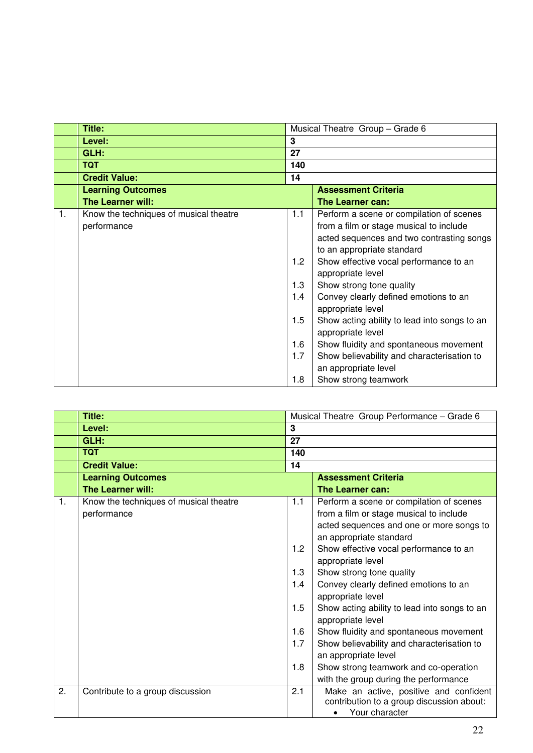|    | Title:                                 | Musical Theatre Group - Grade 6 |                                                                   |  |  |
|----|----------------------------------------|---------------------------------|-------------------------------------------------------------------|--|--|
|    | Level:                                 | 3                               |                                                                   |  |  |
|    | GLH:                                   | 27                              |                                                                   |  |  |
|    | <b>TQT</b>                             | 140                             |                                                                   |  |  |
|    | <b>Credit Value:</b>                   | 14                              |                                                                   |  |  |
|    | <b>Learning Outcomes</b>               | <b>Assessment Criteria</b>      |                                                                   |  |  |
|    | <b>The Learner will:</b>               |                                 | The Learner can:                                                  |  |  |
| 1. | Know the techniques of musical theatre | 1.1                             | Perform a scene or compilation of scenes                          |  |  |
|    | performance                            |                                 | from a film or stage musical to include                           |  |  |
|    |                                        |                                 | acted sequences and two contrasting songs                         |  |  |
|    |                                        |                                 | to an appropriate standard                                        |  |  |
|    |                                        | 1.2                             | Show effective vocal performance to an                            |  |  |
|    |                                        |                                 | appropriate level                                                 |  |  |
|    |                                        | 1.3                             | Show strong tone quality                                          |  |  |
|    |                                        | 1.4                             | Convey clearly defined emotions to an<br>appropriate level        |  |  |
|    |                                        | 1.5                             | Show acting ability to lead into songs to an<br>appropriate level |  |  |
|    |                                        | 1.6                             | Show fluidity and spontaneous movement                            |  |  |
|    |                                        | 1.7                             | Show believability and characterisation to                        |  |  |
|    |                                        |                                 | an appropriate level                                              |  |  |
|    |                                        | 1.8                             | Show strong teamwork                                              |  |  |

|                | Title:                                 | Musical Theatre Group Performance - Grade 6 |                                                             |  |
|----------------|----------------------------------------|---------------------------------------------|-------------------------------------------------------------|--|
|                | Level:                                 | 3                                           |                                                             |  |
|                | GLH:                                   | 27                                          |                                                             |  |
|                | <b>TQT</b>                             | 140                                         |                                                             |  |
|                | <b>Credit Value:</b>                   | 14                                          |                                                             |  |
|                | <b>Learning Outcomes</b>               |                                             | <b>Assessment Criteria</b>                                  |  |
|                | The Learner will:                      |                                             | The Learner can:                                            |  |
| $\mathbf{1}$ . | Know the techniques of musical theatre | 1.1                                         | Perform a scene or compilation of scenes                    |  |
|                | performance                            |                                             | from a film or stage musical to include                     |  |
|                |                                        |                                             | acted sequences and one or more songs to                    |  |
|                |                                        |                                             | an appropriate standard                                     |  |
|                |                                        | 1.2                                         | Show effective vocal performance to an                      |  |
|                |                                        |                                             | appropriate level                                           |  |
|                |                                        | 1.3                                         | Show strong tone quality                                    |  |
|                |                                        | 1.4                                         | Convey clearly defined emotions to an                       |  |
|                |                                        |                                             | appropriate level                                           |  |
|                |                                        | 1.5                                         | Show acting ability to lead into songs to an                |  |
|                |                                        |                                             | appropriate level                                           |  |
|                |                                        | 1.6                                         | Show fluidity and spontaneous movement                      |  |
|                |                                        | 1.7                                         | Show believability and characterisation to                  |  |
|                |                                        |                                             | an appropriate level                                        |  |
|                |                                        | 1.8                                         | Show strong teamwork and co-operation                       |  |
|                |                                        |                                             | with the group during the performance                       |  |
| 2.             | Contribute to a group discussion       | 2.1                                         | Make an active, positive and confident                      |  |
|                |                                        |                                             | contribution to a group discussion about:<br>Your character |  |
|                |                                        |                                             |                                                             |  |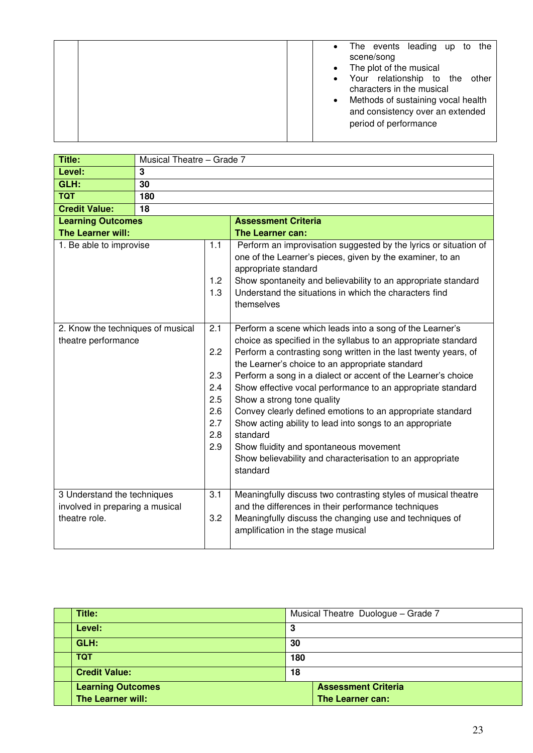| the<br>The events leading up to<br>$\bullet$                                                                                                                                  |
|-------------------------------------------------------------------------------------------------------------------------------------------------------------------------------|
| scene/song                                                                                                                                                                    |
| The plot of the musical<br>$\bullet$                                                                                                                                          |
| • Your relationship to the other<br>characters in the musical<br>Methods of sustaining vocal health<br>$\bullet$<br>and consistency over an extended<br>period of performance |

| <b>Title:</b>                                                                   | Musical Theatre - Grade 7 |                                                             |                                                                                                                                                                                                                                                                                                                                                                                                                                                                                                                                                                                                                                                                         |  |  |  |  |
|---------------------------------------------------------------------------------|---------------------------|-------------------------------------------------------------|-------------------------------------------------------------------------------------------------------------------------------------------------------------------------------------------------------------------------------------------------------------------------------------------------------------------------------------------------------------------------------------------------------------------------------------------------------------------------------------------------------------------------------------------------------------------------------------------------------------------------------------------------------------------------|--|--|--|--|
| Level:                                                                          | $\mathbf{3}$              |                                                             |                                                                                                                                                                                                                                                                                                                                                                                                                                                                                                                                                                                                                                                                         |  |  |  |  |
| GLH:                                                                            | 30                        |                                                             |                                                                                                                                                                                                                                                                                                                                                                                                                                                                                                                                                                                                                                                                         |  |  |  |  |
| <b>TQT</b>                                                                      | 180                       |                                                             |                                                                                                                                                                                                                                                                                                                                                                                                                                                                                                                                                                                                                                                                         |  |  |  |  |
| <b>Credit Value:</b>                                                            | 18                        |                                                             |                                                                                                                                                                                                                                                                                                                                                                                                                                                                                                                                                                                                                                                                         |  |  |  |  |
| <b>Learning Outcomes</b>                                                        |                           |                                                             | <b>Assessment Criteria</b>                                                                                                                                                                                                                                                                                                                                                                                                                                                                                                                                                                                                                                              |  |  |  |  |
| The Learner will:                                                               |                           |                                                             | The Learner can:                                                                                                                                                                                                                                                                                                                                                                                                                                                                                                                                                                                                                                                        |  |  |  |  |
| 1. Be able to improvise                                                         |                           | 1.1<br>1.2<br>1.3                                           | Perform an improvisation suggested by the lyrics or situation of<br>one of the Learner's pieces, given by the examiner, to an<br>appropriate standard<br>Show spontaneity and believability to an appropriate standard<br>Understand the situations in which the characters find<br>themselves                                                                                                                                                                                                                                                                                                                                                                          |  |  |  |  |
| 2. Know the techniques of musical<br>theatre performance                        |                           | 2.1<br>2.2<br>2.3<br>2.4<br>2.5<br>2.6<br>2.7<br>2.8<br>2.9 | Perform a scene which leads into a song of the Learner's<br>choice as specified in the syllabus to an appropriate standard<br>Perform a contrasting song written in the last twenty years, of<br>the Learner's choice to an appropriate standard<br>Perform a song in a dialect or accent of the Learner's choice<br>Show effective vocal performance to an appropriate standard<br>Show a strong tone quality<br>Convey clearly defined emotions to an appropriate standard<br>Show acting ability to lead into songs to an appropriate<br>standard<br>Show fluidity and spontaneous movement<br>Show believability and characterisation to an appropriate<br>standard |  |  |  |  |
| 3 Understand the techniques<br>involved in preparing a musical<br>theatre role. |                           | 3.1<br>3.2                                                  | Meaningfully discuss two contrasting styles of musical theatre<br>and the differences in their performance techniques<br>Meaningfully discuss the changing use and techniques of<br>amplification in the stage musical                                                                                                                                                                                                                                                                                                                                                                                                                                                  |  |  |  |  |

| Title:                   | Musical Theatre Duologue - Grade 7 |                            |  |
|--------------------------|------------------------------------|----------------------------|--|
| Level:                   | 3                                  |                            |  |
| GLH:                     | 30                                 |                            |  |
| <b>TQT</b>               | 180                                |                            |  |
| <b>Credit Value:</b>     |                                    | 18                         |  |
| <b>Learning Outcomes</b> |                                    | <b>Assessment Criteria</b> |  |
| The Learner will:        |                                    | The Learner can:           |  |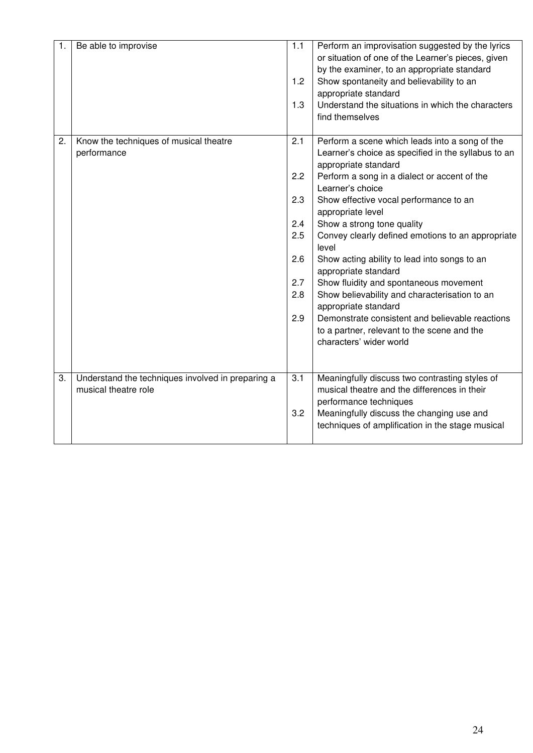| 1. | Be able to improvise                                                      | 1.1<br>1.2<br>1.3               | Perform an improvisation suggested by the lyrics<br>or situation of one of the Learner's pieces, given<br>by the examiner, to an appropriate standard<br>Show spontaneity and believability to an<br>appropriate standard<br>Understand the situations in which the characters<br>find themselves                                                                                  |
|----|---------------------------------------------------------------------------|---------------------------------|------------------------------------------------------------------------------------------------------------------------------------------------------------------------------------------------------------------------------------------------------------------------------------------------------------------------------------------------------------------------------------|
| 2. | Know the techniques of musical theatre<br>performance                     | 2.1<br>2.2<br>2.3<br>2.4        | Perform a scene which leads into a song of the<br>Learner's choice as specified in the syllabus to an<br>appropriate standard<br>Perform a song in a dialect or accent of the<br>Learner's choice<br>Show effective vocal performance to an<br>appropriate level<br>Show a strong tone quality                                                                                     |
|    |                                                                           | 2.5<br>2.6<br>2.7<br>2.8<br>2.9 | Convey clearly defined emotions to an appropriate<br>level<br>Show acting ability to lead into songs to an<br>appropriate standard<br>Show fluidity and spontaneous movement<br>Show believability and characterisation to an<br>appropriate standard<br>Demonstrate consistent and believable reactions<br>to a partner, relevant to the scene and the<br>characters' wider world |
| 3. | Understand the techniques involved in preparing a<br>musical theatre role | 3.1<br>3.2                      | Meaningfully discuss two contrasting styles of<br>musical theatre and the differences in their<br>performance techniques<br>Meaningfully discuss the changing use and<br>techniques of amplification in the stage musical                                                                                                                                                          |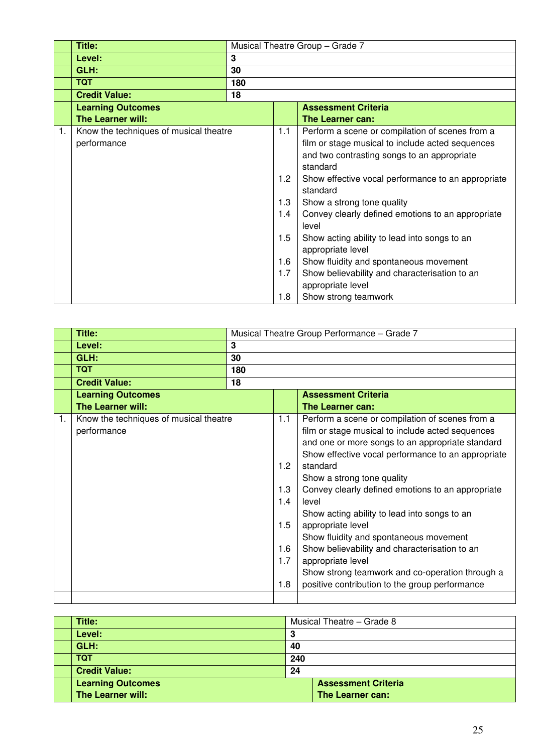|    | Title:                                                | Musical Theatre Group - Grade 7 |                                 |                                                                                                                                                                                                                                                                                                                                                                              |  |  |  |
|----|-------------------------------------------------------|---------------------------------|---------------------------------|------------------------------------------------------------------------------------------------------------------------------------------------------------------------------------------------------------------------------------------------------------------------------------------------------------------------------------------------------------------------------|--|--|--|
|    | Level:                                                | 3                               |                                 |                                                                                                                                                                                                                                                                                                                                                                              |  |  |  |
|    | GLH:                                                  | 30                              |                                 |                                                                                                                                                                                                                                                                                                                                                                              |  |  |  |
|    | <b>TQT</b>                                            | 180                             |                                 |                                                                                                                                                                                                                                                                                                                                                                              |  |  |  |
|    | <b>Credit Value:</b>                                  | 18                              |                                 |                                                                                                                                                                                                                                                                                                                                                                              |  |  |  |
|    | <b>Learning Outcomes</b>                              |                                 |                                 | <b>Assessment Criteria</b>                                                                                                                                                                                                                                                                                                                                                   |  |  |  |
|    | <b>The Learner will:</b>                              |                                 |                                 | <b>The Learner can:</b>                                                                                                                                                                                                                                                                                                                                                      |  |  |  |
| 1. | Know the techniques of musical theatre<br>performance |                                 | 1.1<br>1.2<br>1.3<br>1.4<br>1.5 | Perform a scene or compilation of scenes from a<br>film or stage musical to include acted sequences<br>and two contrasting songs to an appropriate<br>standard<br>Show effective vocal performance to an appropriate<br>standard<br>Show a strong tone quality<br>Convey clearly defined emotions to an appropriate<br>level<br>Show acting ability to lead into songs to an |  |  |  |
|    |                                                       |                                 | 1.6<br>1.7<br>1.8               | appropriate level<br>Show fluidity and spontaneous movement<br>Show believability and characterisation to an<br>appropriate level<br>Show strong teamwork                                                                                                                                                                                                                    |  |  |  |

|    | Title:                                                | Musical Theatre Group Performance - Grade 7 |                                               |                                                                                                                                                                                                                                                                                                                                                                                                |  |  |
|----|-------------------------------------------------------|---------------------------------------------|-----------------------------------------------|------------------------------------------------------------------------------------------------------------------------------------------------------------------------------------------------------------------------------------------------------------------------------------------------------------------------------------------------------------------------------------------------|--|--|
|    | Level:                                                | 3                                           |                                               |                                                                                                                                                                                                                                                                                                                                                                                                |  |  |
|    | GLH:                                                  | 30                                          |                                               |                                                                                                                                                                                                                                                                                                                                                                                                |  |  |
|    | <b>TQT</b>                                            | 180                                         |                                               |                                                                                                                                                                                                                                                                                                                                                                                                |  |  |
|    | <b>Credit Value:</b>                                  | 18                                          |                                               |                                                                                                                                                                                                                                                                                                                                                                                                |  |  |
|    | <b>Learning Outcomes</b>                              |                                             |                                               | <b>Assessment Criteria</b>                                                                                                                                                                                                                                                                                                                                                                     |  |  |
|    | <b>The Learner will:</b>                              |                                             |                                               | The Learner can:                                                                                                                                                                                                                                                                                                                                                                               |  |  |
| 1. | Know the techniques of musical theatre<br>performance |                                             | 1.1                                           | Perform a scene or compilation of scenes from a<br>film or stage musical to include acted sequences<br>and one or more songs to an appropriate standard<br>Show effective vocal performance to an appropriate                                                                                                                                                                                  |  |  |
|    |                                                       |                                             | 1.2<br>1.3<br>1.4<br>1.5<br>1.6<br>1.7<br>1.8 | standard<br>Show a strong tone quality<br>Convey clearly defined emotions to an appropriate<br>level<br>Show acting ability to lead into songs to an<br>appropriate level<br>Show fluidity and spontaneous movement<br>Show believability and characterisation to an<br>appropriate level<br>Show strong teamwork and co-operation through a<br>positive contribution to the group performance |  |  |

| Title:                   |     | Musical Theatre - Grade 8  |  |
|--------------------------|-----|----------------------------|--|
| Level:                   | 3   |                            |  |
| GLH:                     | 40  |                            |  |
| <b>TQT</b>               | 240 |                            |  |
| <b>Credit Value:</b>     | 24  |                            |  |
| <b>Learning Outcomes</b> |     | <b>Assessment Criteria</b> |  |
| The Learner will:        |     | The Learner can:           |  |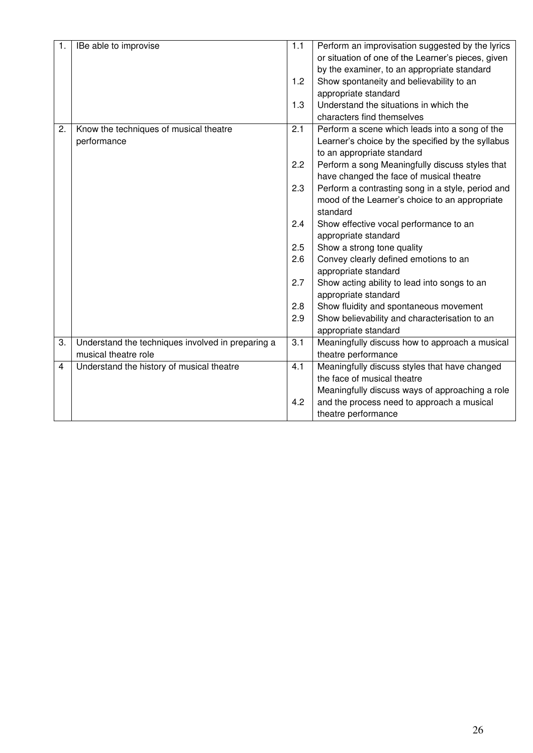| $\mathbf{1}$ . | IBe able to improvise                             | 1.1 | Perform an improvisation suggested by the lyrics   |
|----------------|---------------------------------------------------|-----|----------------------------------------------------|
|                |                                                   |     | or situation of one of the Learner's pieces, given |
|                |                                                   |     | by the examiner, to an appropriate standard        |
|                |                                                   | 1.2 | Show spontaneity and believability to an           |
|                |                                                   |     | appropriate standard                               |
|                |                                                   | 1.3 | Understand the situations in which the             |
|                |                                                   |     | characters find themselves                         |
| 2.             | Know the techniques of musical theatre            | 2.1 | Perform a scene which leads into a song of the     |
|                | performance                                       |     | Learner's choice by the specified by the syllabus  |
|                |                                                   |     | to an appropriate standard                         |
|                |                                                   | 2.2 | Perform a song Meaningfully discuss styles that    |
|                |                                                   |     | have changed the face of musical theatre           |
|                |                                                   | 2.3 | Perform a contrasting song in a style, period and  |
|                |                                                   |     | mood of the Learner's choice to an appropriate     |
|                |                                                   |     | standard                                           |
|                |                                                   | 2.4 | Show effective vocal performance to an             |
|                |                                                   |     | appropriate standard                               |
|                |                                                   | 2.5 | Show a strong tone quality                         |
|                |                                                   | 2.6 | Convey clearly defined emotions to an              |
|                |                                                   |     | appropriate standard                               |
|                |                                                   | 2.7 | Show acting ability to lead into songs to an       |
|                |                                                   |     | appropriate standard                               |
|                |                                                   | 2.8 | Show fluidity and spontaneous movement             |
|                |                                                   | 2.9 | Show believability and characterisation to an      |
|                |                                                   |     | appropriate standard                               |
| 3.             | Understand the techniques involved in preparing a | 3.1 | Meaningfully discuss how to approach a musical     |
|                | musical theatre role                              |     | theatre performance                                |
| 4              | Understand the history of musical theatre         | 4.1 | Meaningfully discuss styles that have changed      |
|                |                                                   |     | the face of musical theatre                        |
|                |                                                   |     | Meaningfully discuss ways of approaching a role    |
|                |                                                   | 4.2 | and the process need to approach a musical         |
|                |                                                   |     | theatre performance                                |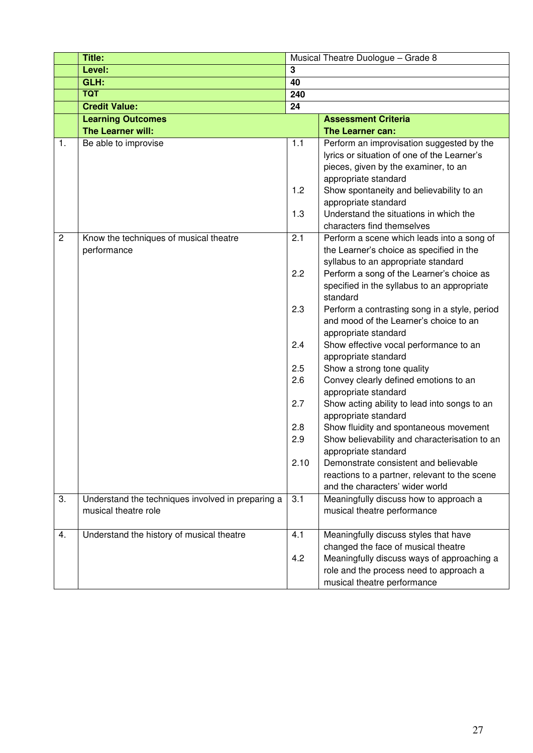|                | <b>Title:</b>                                                             | Musical Theatre Duologue - Grade 8 |                                                                                  |  |  |
|----------------|---------------------------------------------------------------------------|------------------------------------|----------------------------------------------------------------------------------|--|--|
|                | Level:                                                                    | 3                                  |                                                                                  |  |  |
|                | GLH:                                                                      | 40                                 |                                                                                  |  |  |
|                | <b>TQT</b>                                                                | 240                                |                                                                                  |  |  |
|                | <b>Credit Value:</b>                                                      | 24                                 |                                                                                  |  |  |
|                | <b>Learning Outcomes</b>                                                  |                                    | <b>Assessment Criteria</b>                                                       |  |  |
|                | The Learner will:                                                         |                                    | The Learner can:                                                                 |  |  |
| 1.             | Be able to improvise                                                      | 1.1                                | Perform an improvisation suggested by the                                        |  |  |
|                |                                                                           |                                    | lyrics or situation of one of the Learner's                                      |  |  |
|                |                                                                           |                                    | pieces, given by the examiner, to an                                             |  |  |
|                |                                                                           |                                    | appropriate standard                                                             |  |  |
|                |                                                                           | 1.2                                | Show spontaneity and believability to an                                         |  |  |
|                |                                                                           |                                    | appropriate standard                                                             |  |  |
|                |                                                                           | 1.3                                | Understand the situations in which the                                           |  |  |
|                |                                                                           |                                    | characters find themselves                                                       |  |  |
| $\overline{c}$ | Know the techniques of musical theatre                                    | 2.1                                | Perform a scene which leads into a song of                                       |  |  |
|                | performance                                                               |                                    | the Learner's choice as specified in the<br>syllabus to an appropriate standard  |  |  |
|                |                                                                           | 2.2                                | Perform a song of the Learner's choice as                                        |  |  |
|                |                                                                           |                                    | specified in the syllabus to an appropriate                                      |  |  |
|                |                                                                           |                                    | standard                                                                         |  |  |
|                |                                                                           | 2.3                                | Perform a contrasting song in a style, period                                    |  |  |
|                |                                                                           |                                    | and mood of the Learner's choice to an                                           |  |  |
|                |                                                                           |                                    | appropriate standard                                                             |  |  |
|                |                                                                           | 2.4                                | Show effective vocal performance to an                                           |  |  |
|                |                                                                           |                                    | appropriate standard                                                             |  |  |
|                |                                                                           | 2.5                                | Show a strong tone quality                                                       |  |  |
|                |                                                                           | 2.6                                | Convey clearly defined emotions to an                                            |  |  |
|                |                                                                           |                                    | appropriate standard                                                             |  |  |
|                |                                                                           | 2.7                                | Show acting ability to lead into songs to an                                     |  |  |
|                |                                                                           |                                    | appropriate standard                                                             |  |  |
|                |                                                                           | 2.8                                | Show fluidity and spontaneous movement                                           |  |  |
|                |                                                                           | 2.9                                | Show believability and characterisation to an                                    |  |  |
|                |                                                                           |                                    | appropriate standard                                                             |  |  |
|                |                                                                           | 2.10                               | Demonstrate consistent and believable                                            |  |  |
|                |                                                                           |                                    | reactions to a partner, relevant to the scene<br>and the characters' wider world |  |  |
| 3.             |                                                                           | 3.1                                |                                                                                  |  |  |
|                | Understand the techniques involved in preparing a<br>musical theatre role |                                    | Meaningfully discuss how to approach a<br>musical theatre performance            |  |  |
|                |                                                                           |                                    |                                                                                  |  |  |
| 4.             | Understand the history of musical theatre                                 | 4.1                                | Meaningfully discuss styles that have                                            |  |  |
|                |                                                                           |                                    | changed the face of musical theatre                                              |  |  |
|                |                                                                           | 4.2                                | Meaningfully discuss ways of approaching a                                       |  |  |
|                |                                                                           |                                    | role and the process need to approach a                                          |  |  |
|                |                                                                           |                                    | musical theatre performance                                                      |  |  |
|                |                                                                           |                                    |                                                                                  |  |  |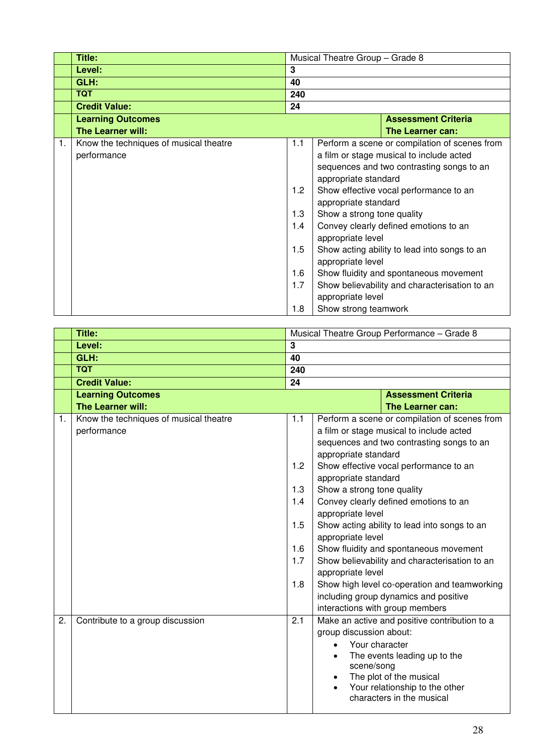|    | Title:                                 |                                                                                       | Musical Theatre Group - Grade 8 |                                               |  |  |
|----|----------------------------------------|---------------------------------------------------------------------------------------|---------------------------------|-----------------------------------------------|--|--|
|    | Level:                                 | 3                                                                                     |                                 |                                               |  |  |
|    | GLH:                                   | 40                                                                                    |                                 |                                               |  |  |
|    | <b>TQT</b>                             | 240                                                                                   |                                 |                                               |  |  |
|    | <b>Credit Value:</b>                   | 24                                                                                    |                                 |                                               |  |  |
|    | <b>Learning Outcomes</b>               |                                                                                       |                                 | <b>Assessment Criteria</b>                    |  |  |
|    | <b>The Learner will:</b>               |                                                                                       |                                 | The Learner can:                              |  |  |
| 1. | Know the techniques of musical theatre | 1.1                                                                                   |                                 | Perform a scene or compilation of scenes from |  |  |
|    | performance                            | a film or stage musical to include acted<br>sequences and two contrasting songs to an |                                 |                                               |  |  |
|    |                                        |                                                                                       |                                 |                                               |  |  |
|    |                                        | appropriate standard                                                                  |                                 |                                               |  |  |
|    |                                        | 1.2<br>Show effective vocal performance to an                                         |                                 |                                               |  |  |
|    |                                        | appropriate standard                                                                  |                                 |                                               |  |  |
|    |                                        | 1.3<br>Show a strong tone quality                                                     |                                 |                                               |  |  |
|    |                                        | 1.4                                                                                   |                                 | Convey clearly defined emotions to an         |  |  |
|    |                                        |                                                                                       | appropriate level               |                                               |  |  |
|    |                                        | 1.5<br>Show acting ability to lead into songs to an                                   |                                 |                                               |  |  |
|    |                                        | appropriate level                                                                     |                                 |                                               |  |  |
|    |                                        | 1.6                                                                                   |                                 | Show fluidity and spontaneous movement        |  |  |
|    |                                        | 1.7                                                                                   |                                 | Show believability and characterisation to an |  |  |
|    |                                        |                                                                                       | appropriate level               |                                               |  |  |
|    |                                        | 1.8                                                                                   | Show strong teamwork            |                                               |  |  |

|    | Title:                                 |                         | Musical Theatre Group Performance - Grade 8                        |
|----|----------------------------------------|-------------------------|--------------------------------------------------------------------|
|    | Level:                                 | $\overline{\mathbf{3}}$ |                                                                    |
|    | GLH:                                   | 40                      |                                                                    |
|    | <b>TQT</b>                             | 240                     |                                                                    |
|    | <b>Credit Value:</b>                   | 24                      |                                                                    |
|    | <b>Learning Outcomes</b>               |                         | <b>Assessment Criteria</b>                                         |
|    | The Learner will:                      |                         | The Learner can:                                                   |
| 1. | Know the techniques of musical theatre | 1.1                     | Perform a scene or compilation of scenes from                      |
|    | performance                            |                         | a film or stage musical to include acted                           |
|    |                                        |                         | sequences and two contrasting songs to an                          |
|    |                                        |                         | appropriate standard                                               |
|    |                                        | 1.2                     | Show effective vocal performance to an                             |
|    |                                        |                         | appropriate standard                                               |
|    |                                        | 1.3                     | Show a strong tone quality                                         |
|    |                                        | 1.4                     | Convey clearly defined emotions to an                              |
|    |                                        |                         | appropriate level                                                  |
|    |                                        | 1.5                     | Show acting ability to lead into songs to an                       |
|    |                                        |                         | appropriate level                                                  |
|    |                                        | 1.6<br>1.7              | Show fluidity and spontaneous movement                             |
|    |                                        |                         | Show believability and characterisation to an<br>appropriate level |
|    |                                        | 1.8                     | Show high level co-operation and teamworking                       |
|    |                                        |                         | including group dynamics and positive                              |
|    |                                        |                         | interactions with group members                                    |
| 2. | Contribute to a group discussion       | 2.1                     | Make an active and positive contribution to a                      |
|    |                                        |                         | group discussion about:                                            |
|    |                                        |                         | Your character                                                     |
|    |                                        |                         | The events leading up to the<br>$\bullet$                          |
|    |                                        |                         | scene/song                                                         |
|    |                                        |                         | The plot of the musical                                            |
|    |                                        |                         | Your relationship to the other                                     |
|    |                                        |                         | characters in the musical                                          |
|    |                                        |                         |                                                                    |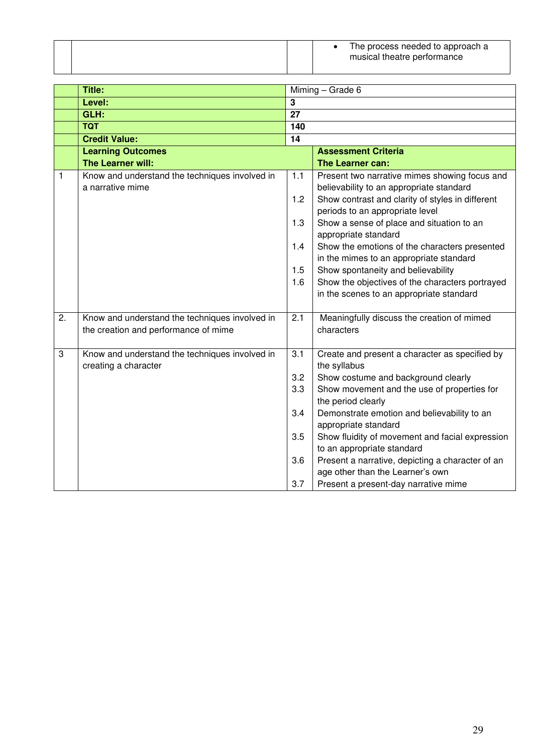|  |  | The process needed to approach a<br>musical theatre performance |
|--|--|-----------------------------------------------------------------|
|  |  |                                                                 |

|    | Title:                                                                                 |                 | Miming - Grade 6                                                                                                                              |  |  |
|----|----------------------------------------------------------------------------------------|-----------------|-----------------------------------------------------------------------------------------------------------------------------------------------|--|--|
|    | Level:                                                                                 | 3               |                                                                                                                                               |  |  |
|    | GLH:                                                                                   | $\overline{27}$ |                                                                                                                                               |  |  |
|    | <b>TQT</b>                                                                             | 140             |                                                                                                                                               |  |  |
|    | <b>Credit Value:</b>                                                                   | 14              |                                                                                                                                               |  |  |
|    | <b>Learning Outcomes</b>                                                               |                 | <b>Assessment Criteria</b>                                                                                                                    |  |  |
|    | <b>The Learner will:</b>                                                               |                 | The Learner can:                                                                                                                              |  |  |
| 1  | Know and understand the techniques involved in<br>a narrative mime                     | $1.1$<br>1.2    | Present two narrative mimes showing focus and<br>believability to an appropriate standard<br>Show contrast and clarity of styles in different |  |  |
|    |                                                                                        | 1.3             | periods to an appropriate level<br>Show a sense of place and situation to an<br>appropriate standard                                          |  |  |
|    |                                                                                        | 1.4             | Show the emotions of the characters presented<br>in the mimes to an appropriate standard                                                      |  |  |
|    |                                                                                        | 1.5             | Show spontaneity and believability                                                                                                            |  |  |
|    |                                                                                        | 1.6             | Show the objectives of the characters portrayed<br>in the scenes to an appropriate standard                                                   |  |  |
|    |                                                                                        |                 |                                                                                                                                               |  |  |
| 2. | Know and understand the techniques involved in<br>the creation and performance of mime | 2.1             | Meaningfully discuss the creation of mimed<br>characters                                                                                      |  |  |
| 3  | Know and understand the techniques involved in<br>creating a character                 | 3.1             | Create and present a character as specified by<br>the syllabus                                                                                |  |  |
|    |                                                                                        | 3.2             | Show costume and background clearly                                                                                                           |  |  |
|    |                                                                                        | 3.3             | Show movement and the use of properties for<br>the period clearly                                                                             |  |  |
|    |                                                                                        | 3.4             | Demonstrate emotion and believability to an<br>appropriate standard                                                                           |  |  |
|    |                                                                                        | 3.5             | Show fluidity of movement and facial expression                                                                                               |  |  |
|    |                                                                                        | 3.6             | to an appropriate standard<br>Present a narrative, depicting a character of an<br>age other than the Learner's own                            |  |  |
|    |                                                                                        | 3.7             | Present a present-day narrative mime                                                                                                          |  |  |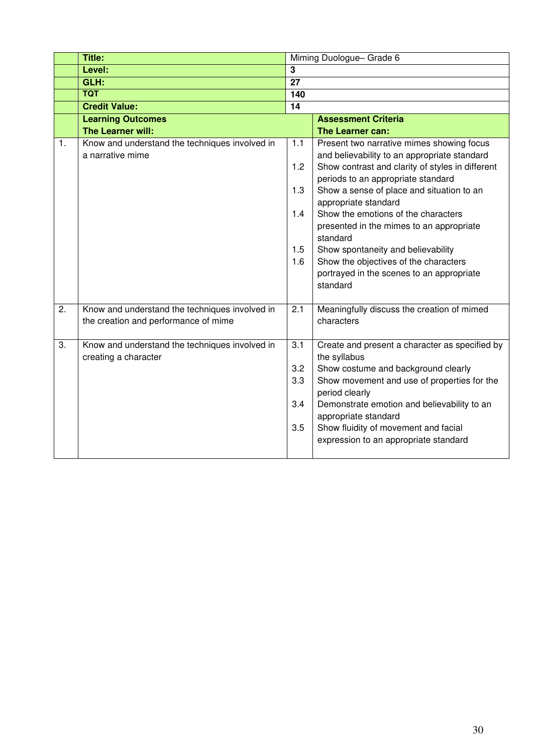|    | Title:                                                                                 | Miming Duologue-Grade 6         |                                                                                                                                                                                                                                                                                                                                |  |
|----|----------------------------------------------------------------------------------------|---------------------------------|--------------------------------------------------------------------------------------------------------------------------------------------------------------------------------------------------------------------------------------------------------------------------------------------------------------------------------|--|
|    | Level:                                                                                 | 3                               |                                                                                                                                                                                                                                                                                                                                |  |
|    | GLH:                                                                                   | $\overline{27}$                 |                                                                                                                                                                                                                                                                                                                                |  |
|    | <b>TQT</b>                                                                             | 140                             |                                                                                                                                                                                                                                                                                                                                |  |
|    | <b>Credit Value:</b>                                                                   | 14                              |                                                                                                                                                                                                                                                                                                                                |  |
|    | <b>Learning Outcomes</b>                                                               |                                 | <b>Assessment Criteria</b>                                                                                                                                                                                                                                                                                                     |  |
|    | The Learner will:                                                                      |                                 | The Learner can:                                                                                                                                                                                                                                                                                                               |  |
| 1. | Know and understand the techniques involved in<br>a narrative mime                     | 1.1<br>1.2<br>1.3               | Present two narrative mimes showing focus<br>and believability to an appropriate standard<br>Show contrast and clarity of styles in different<br>periods to an appropriate standard<br>Show a sense of place and situation to an<br>appropriate standard                                                                       |  |
|    |                                                                                        | 1.4<br>1.5<br>1.6               | Show the emotions of the characters<br>presented in the mimes to an appropriate<br>standard<br>Show spontaneity and believability<br>Show the objectives of the characters<br>portrayed in the scenes to an appropriate<br>standard                                                                                            |  |
| 2. | Know and understand the techniques involved in<br>the creation and performance of mime | 2.1                             | Meaningfully discuss the creation of mimed<br>characters                                                                                                                                                                                                                                                                       |  |
| 3. | Know and understand the techniques involved in<br>creating a character                 | 3.1<br>3.2<br>3.3<br>3.4<br>3.5 | Create and present a character as specified by<br>the syllabus<br>Show costume and background clearly<br>Show movement and use of properties for the<br>period clearly<br>Demonstrate emotion and believability to an<br>appropriate standard<br>Show fluidity of movement and facial<br>expression to an appropriate standard |  |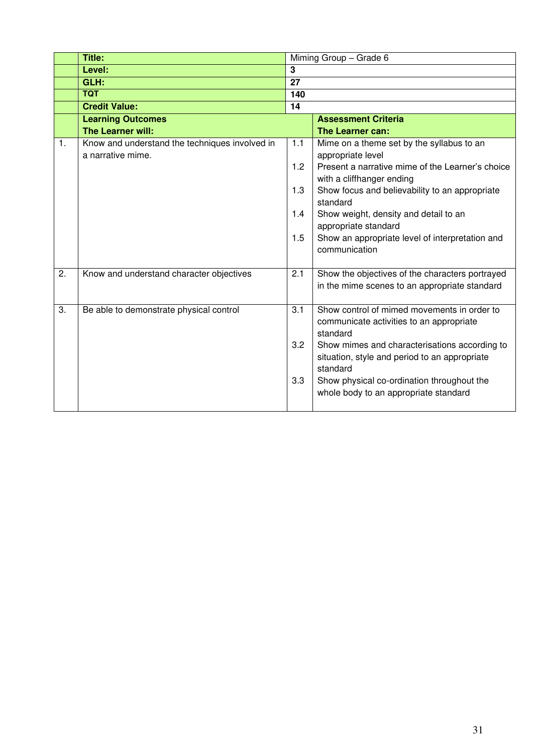|    | <b>Title:</b>                                  |              | Miming Group - Grade 6                                                                         |
|----|------------------------------------------------|--------------|------------------------------------------------------------------------------------------------|
|    | Level:                                         | $\mathbf{3}$ |                                                                                                |
|    | GLH:                                           | 27           |                                                                                                |
|    | <b>TQT</b>                                     | 140          |                                                                                                |
|    | <b>Credit Value:</b>                           | 14           |                                                                                                |
|    | <b>Learning Outcomes</b>                       |              | <b>Assessment Criteria</b>                                                                     |
|    | The Learner will:                              |              | The Learner can:                                                                               |
| 1. | Know and understand the techniques involved in | 1.1          | Mime on a theme set by the syllabus to an                                                      |
|    | a narrative mime.                              |              | appropriate level                                                                              |
|    |                                                | 1.2          | Present a narrative mime of the Learner's choice                                               |
|    |                                                |              | with a cliffhanger ending                                                                      |
|    |                                                | 1.3          | Show focus and believability to an appropriate<br>standard                                     |
|    |                                                | 1.4          | Show weight, density and detail to an                                                          |
|    |                                                |              | appropriate standard                                                                           |
|    |                                                | 1.5          | Show an appropriate level of interpretation and                                                |
|    |                                                |              | communication                                                                                  |
|    |                                                |              |                                                                                                |
| 2. | Know and understand character objectives       | 2.1          | Show the objectives of the characters portrayed                                                |
|    |                                                |              | in the mime scenes to an appropriate standard                                                  |
|    |                                                |              |                                                                                                |
| 3. | Be able to demonstrate physical control        | 3.1          | Show control of mimed movements in order to                                                    |
|    |                                                |              | communicate activities to an appropriate                                                       |
|    |                                                | 3.2          | standard                                                                                       |
|    |                                                |              | Show mimes and characterisations according to<br>situation, style and period to an appropriate |
|    |                                                |              | standard                                                                                       |
|    |                                                | 3.3          | Show physical co-ordination throughout the                                                     |
|    |                                                |              | whole body to an appropriate standard                                                          |
|    |                                                |              |                                                                                                |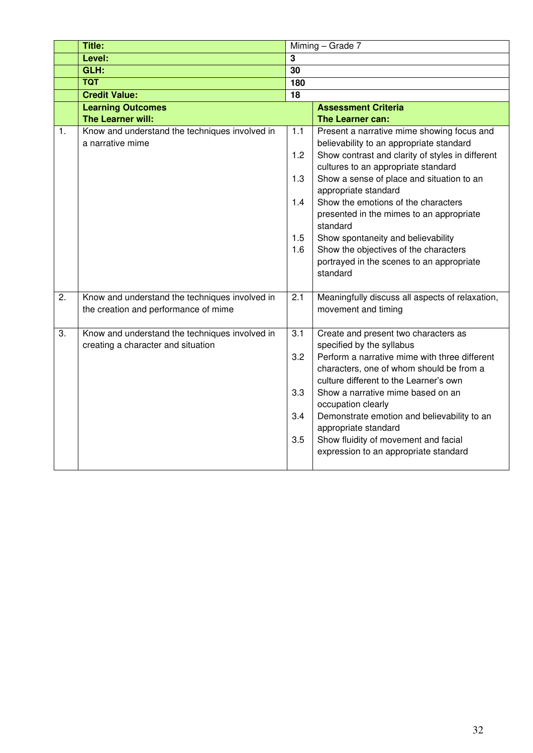|                  | <b>Title:</b>                                                                        |                  | Miming - Grade 7                                                                                  |  |  |
|------------------|--------------------------------------------------------------------------------------|------------------|---------------------------------------------------------------------------------------------------|--|--|
|                  | Level:                                                                               | 3                |                                                                                                   |  |  |
|                  | GLH:                                                                                 | 30               |                                                                                                   |  |  |
|                  | <b>TQT</b>                                                                           | 180              |                                                                                                   |  |  |
|                  | <b>Credit Value:</b>                                                                 | 18               |                                                                                                   |  |  |
|                  | <b>Learning Outcomes</b>                                                             |                  | <b>Assessment Criteria</b>                                                                        |  |  |
|                  | The Learner will:                                                                    |                  | The Learner can:                                                                                  |  |  |
| 1.               | Know and understand the techniques involved in<br>a narrative mime                   | 1.1              | Present a narrative mime showing focus and<br>believability to an appropriate standard            |  |  |
|                  |                                                                                      | 1.2              | Show contrast and clarity of styles in different<br>cultures to an appropriate standard           |  |  |
|                  |                                                                                      | 1.3              | Show a sense of place and situation to an<br>appropriate standard                                 |  |  |
|                  |                                                                                      | 1.4              | Show the emotions of the characters<br>presented in the mimes to an appropriate<br>standard       |  |  |
|                  |                                                                                      | 1.5              | Show spontaneity and believability                                                                |  |  |
|                  |                                                                                      | 1.6              | Show the objectives of the characters<br>portrayed in the scenes to an appropriate                |  |  |
|                  |                                                                                      |                  | standard                                                                                          |  |  |
| $\overline{2}$ . | Know and understand the techniques involved in                                       | $\overline{2.1}$ | Meaningfully discuss all aspects of relaxation,                                                   |  |  |
|                  | the creation and performance of mime                                                 |                  | movement and timing                                                                               |  |  |
| 3.               | Know and understand the techniques involved in<br>creating a character and situation | 3.1              | Create and present two characters as<br>specified by the syllabus                                 |  |  |
|                  |                                                                                      | 3.2              | Perform a narrative mime with three different<br>characters, one of whom should be from a         |  |  |
|                  |                                                                                      | 3.3              | culture different to the Learner's own<br>Show a narrative mime based on an<br>occupation clearly |  |  |
|                  |                                                                                      | 3.4              | Demonstrate emotion and believability to an<br>appropriate standard                               |  |  |
|                  |                                                                                      | 3.5              | Show fluidity of movement and facial<br>expression to an appropriate standard                     |  |  |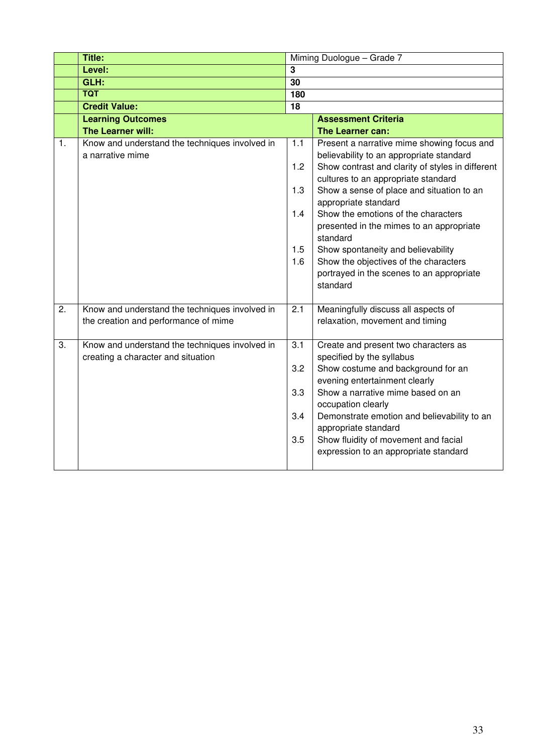|    | Title:                                         |                 | Miming Duologue - Grade 7                                          |
|----|------------------------------------------------|-----------------|--------------------------------------------------------------------|
|    | Level:                                         | 3               |                                                                    |
|    | GLH:                                           | $\overline{30}$ |                                                                    |
|    | <b>TQT</b>                                     | 180             |                                                                    |
|    | <b>Credit Value:</b>                           | 18              |                                                                    |
|    | <b>Learning Outcomes</b>                       |                 | <b>Assessment Criteria</b>                                         |
|    | The Learner will:                              |                 | The Learner can:                                                   |
| 1. | Know and understand the techniques involved in | 1.1             | Present a narrative mime showing focus and                         |
|    | a narrative mime                               |                 | believability to an appropriate standard                           |
|    |                                                | 1.2             | Show contrast and clarity of styles in different                   |
|    |                                                |                 | cultures to an appropriate standard                                |
|    |                                                | 1.3             | Show a sense of place and situation to an<br>appropriate standard  |
|    |                                                | 1.4             | Show the emotions of the characters                                |
|    |                                                |                 | presented in the mimes to an appropriate                           |
|    |                                                |                 | standard                                                           |
|    |                                                | 1.5             | Show spontaneity and believability                                 |
|    |                                                | 1.6             | Show the objectives of the characters                              |
|    |                                                |                 | portrayed in the scenes to an appropriate                          |
|    |                                                |                 | standard                                                           |
|    |                                                |                 |                                                                    |
| 2. | Know and understand the techniques involved in | 2.1             | Meaningfully discuss all aspects of                                |
|    | the creation and performance of mime           |                 | relaxation, movement and timing                                    |
|    |                                                |                 |                                                                    |
| 3. | Know and understand the techniques involved in | 3.1             | Create and present two characters as                               |
|    | creating a character and situation             |                 | specified by the syllabus                                          |
|    |                                                | 3.2             | Show costume and background for an                                 |
|    |                                                | 3.3             | evening entertainment clearly<br>Show a narrative mime based on an |
|    |                                                |                 | occupation clearly                                                 |
|    |                                                | 3.4             | Demonstrate emotion and believability to an                        |
|    |                                                |                 | appropriate standard                                               |
|    |                                                | 3.5             | Show fluidity of movement and facial                               |
|    |                                                |                 | expression to an appropriate standard                              |
|    |                                                |                 |                                                                    |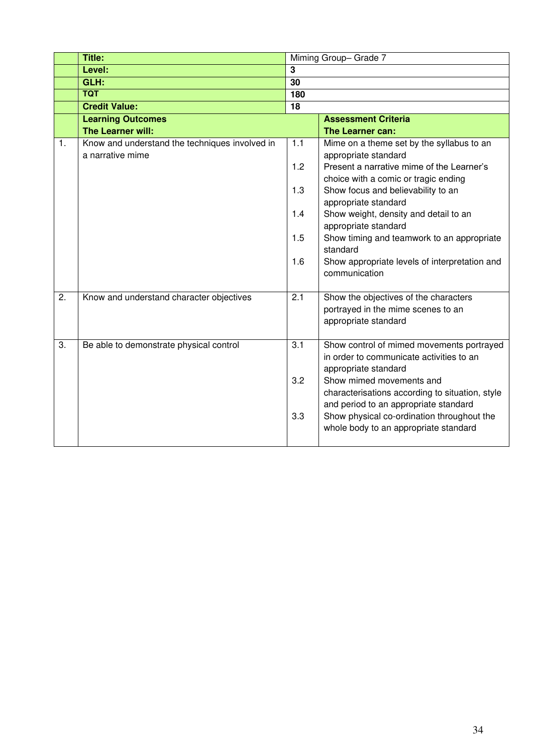|    | Title:                                                             |     | Miming Group-Grade 7                                                                                                 |
|----|--------------------------------------------------------------------|-----|----------------------------------------------------------------------------------------------------------------------|
|    | Level:                                                             | 3   |                                                                                                                      |
|    | GLH:                                                               | 30  |                                                                                                                      |
|    | <b>TQT</b>                                                         | 180 |                                                                                                                      |
|    | <b>Credit Value:</b>                                               | 18  |                                                                                                                      |
|    | <b>Learning Outcomes</b>                                           |     | <b>Assessment Criteria</b>                                                                                           |
|    | The Learner will:                                                  |     | The Learner can:                                                                                                     |
| 1. | Know and understand the techniques involved in<br>a narrative mime | 1.1 | Mime on a theme set by the syllabus to an<br>appropriate standard                                                    |
|    |                                                                    | 1.2 | Present a narrative mime of the Learner's<br>choice with a comic or tragic ending                                    |
|    |                                                                    | 1.3 | Show focus and believability to an<br>appropriate standard                                                           |
|    |                                                                    | 1.4 | Show weight, density and detail to an<br>appropriate standard                                                        |
|    |                                                                    | 1.5 | Show timing and teamwork to an appropriate<br>standard                                                               |
|    |                                                                    | 1.6 | Show appropriate levels of interpretation and<br>communication                                                       |
| 2. | Know and understand character objectives                           | 2.1 | Show the objectives of the characters<br>portrayed in the mime scenes to an<br>appropriate standard                  |
| 3. | Be able to demonstrate physical control                            | 3.1 | Show control of mimed movements portrayed<br>in order to communicate activities to an<br>appropriate standard        |
|    |                                                                    | 3.2 | Show mimed movements and<br>characterisations according to situation, style<br>and period to an appropriate standard |
|    |                                                                    | 3.3 | Show physical co-ordination throughout the<br>whole body to an appropriate standard                                  |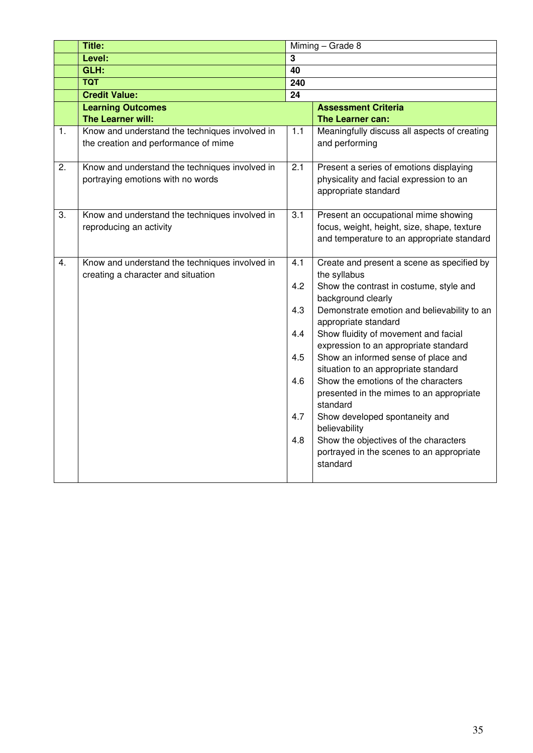|                  | <b>Title:</b>                                                                          |                  | Miming - Grade 8                                                                                                                  |  |
|------------------|----------------------------------------------------------------------------------------|------------------|-----------------------------------------------------------------------------------------------------------------------------------|--|
|                  | Level:                                                                                 | 3                |                                                                                                                                   |  |
|                  | GLH:                                                                                   | 40               |                                                                                                                                   |  |
|                  | <b>TQT</b>                                                                             | 240              |                                                                                                                                   |  |
|                  | <b>Credit Value:</b>                                                                   | 24               |                                                                                                                                   |  |
|                  | <b>Learning Outcomes</b>                                                               |                  | <b>Assessment Criteria</b>                                                                                                        |  |
|                  | The Learner will:                                                                      |                  | The Learner can:                                                                                                                  |  |
| 1.               | Know and understand the techniques involved in<br>the creation and performance of mime | 1.1              | Meaningfully discuss all aspects of creating<br>and performing                                                                    |  |
| $\overline{2}$ . | Know and understand the techniques involved in<br>portraying emotions with no words    | $\overline{2.1}$ | Present a series of emotions displaying<br>physicality and facial expression to an<br>appropriate standard                        |  |
| 3.               | Know and understand the techniques involved in<br>reproducing an activity              | 3.1              | Present an occupational mime showing<br>focus, weight, height, size, shape, texture<br>and temperature to an appropriate standard |  |
| 4.               | Know and understand the techniques involved in<br>creating a character and situation   | 4.1<br>4.2       | Create and present a scene as specified by<br>the syllabus<br>Show the contrast in costume, style and<br>background clearly       |  |
|                  |                                                                                        | 4.3              | Demonstrate emotion and believability to an<br>appropriate standard                                                               |  |
|                  |                                                                                        | 4.4              | Show fluidity of movement and facial<br>expression to an appropriate standard                                                     |  |
|                  |                                                                                        | 4.5              | Show an informed sense of place and<br>situation to an appropriate standard                                                       |  |
|                  |                                                                                        | 4.6              | Show the emotions of the characters<br>presented in the mimes to an appropriate<br>standard                                       |  |
|                  |                                                                                        | 4.7              | Show developed spontaneity and<br>believability                                                                                   |  |
|                  |                                                                                        | 4.8              | Show the objectives of the characters<br>portrayed in the scenes to an appropriate<br>standard                                    |  |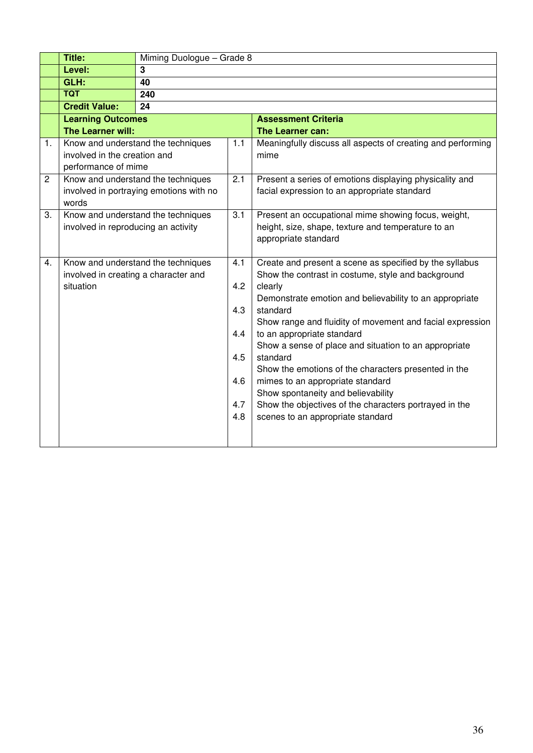|                | Title:                               | Miming Duologue - Grade 8               |     |                                                                   |  |  |  |  |
|----------------|--------------------------------------|-----------------------------------------|-----|-------------------------------------------------------------------|--|--|--|--|
|                | Level:                               | 3                                       |     |                                                                   |  |  |  |  |
|                | GLH:                                 | 40                                      |     |                                                                   |  |  |  |  |
|                | <b>TQT</b>                           | 240                                     |     |                                                                   |  |  |  |  |
|                | <b>Credit Value:</b>                 | 24                                      |     |                                                                   |  |  |  |  |
|                | <b>Learning Outcomes</b>             |                                         |     | <b>Assessment Criteria</b>                                        |  |  |  |  |
|                | The Learner will:                    |                                         |     | The Learner can:                                                  |  |  |  |  |
| 1.             |                                      | Know and understand the techniques      | 1.1 | Meaningfully discuss all aspects of creating and performing       |  |  |  |  |
|                | involved in the creation and         |                                         |     | mime                                                              |  |  |  |  |
|                | performance of mime                  |                                         |     |                                                                   |  |  |  |  |
| $\overline{c}$ |                                      | Know and understand the techniques      | 2.1 | Present a series of emotions displaying physicality and           |  |  |  |  |
|                | words                                | involved in portraying emotions with no |     | facial expression to an appropriate standard                      |  |  |  |  |
| 3.             |                                      | Know and understand the techniques      | 3.1 | Present an occupational mime showing focus, weight,               |  |  |  |  |
|                | involved in reproducing an activity  |                                         |     | height, size, shape, texture and temperature to an                |  |  |  |  |
|                |                                      |                                         |     | appropriate standard                                              |  |  |  |  |
|                |                                      |                                         |     |                                                                   |  |  |  |  |
| 4.             |                                      | Know and understand the techniques      | 4.1 | Create and present a scene as specified by the syllabus           |  |  |  |  |
|                | involved in creating a character and |                                         |     | Show the contrast in costume, style and background                |  |  |  |  |
|                | situation                            |                                         | 4.2 | clearly                                                           |  |  |  |  |
|                |                                      |                                         |     | Demonstrate emotion and believability to an appropriate           |  |  |  |  |
|                |                                      |                                         | 4.3 | standard                                                          |  |  |  |  |
|                |                                      |                                         |     | Show range and fluidity of movement and facial expression         |  |  |  |  |
|                |                                      |                                         | 4.4 | to an appropriate standard                                        |  |  |  |  |
|                |                                      |                                         | 4.5 | Show a sense of place and situation to an appropriate<br>standard |  |  |  |  |
|                |                                      |                                         |     | Show the emotions of the characters presented in the              |  |  |  |  |
|                |                                      | 4.6                                     |     | mimes to an appropriate standard                                  |  |  |  |  |
|                |                                      |                                         |     | Show spontaneity and believability                                |  |  |  |  |
|                |                                      |                                         | 4.7 | Show the objectives of the characters portrayed in the            |  |  |  |  |
|                |                                      |                                         | 4.8 | scenes to an appropriate standard                                 |  |  |  |  |
|                |                                      |                                         |     |                                                                   |  |  |  |  |
|                |                                      |                                         |     |                                                                   |  |  |  |  |
|                |                                      |                                         |     |                                                                   |  |  |  |  |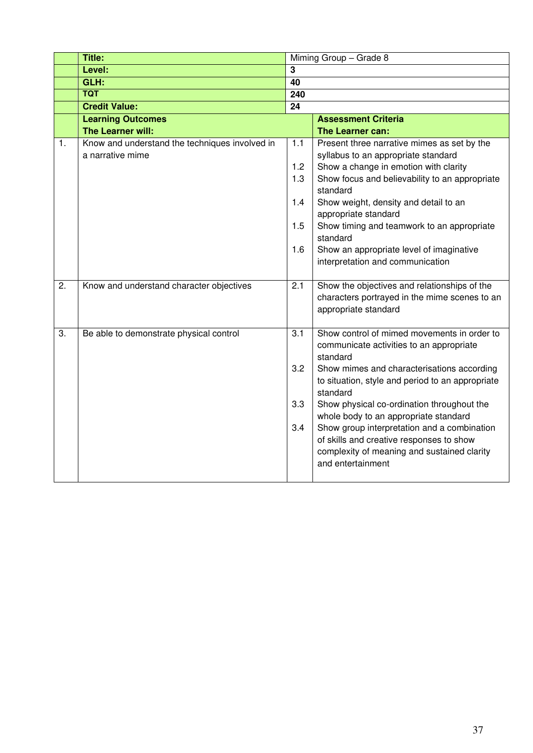|                  | Title:                                         | Miming Group - Grade 8 |                                                              |  |
|------------------|------------------------------------------------|------------------------|--------------------------------------------------------------|--|
|                  | Level:                                         | 3                      |                                                              |  |
|                  | GLH:                                           | 40                     |                                                              |  |
|                  | <b>TQT</b>                                     | $\overline{240}$       |                                                              |  |
|                  | <b>Credit Value:</b>                           | 24                     |                                                              |  |
|                  | <b>Learning Outcomes</b>                       |                        | <b>Assessment Criteria</b>                                   |  |
|                  | The Learner will:                              |                        | The Learner can:                                             |  |
| 1.               | Know and understand the techniques involved in | 1.1                    | Present three narrative mimes as set by the                  |  |
|                  | a narrative mime                               |                        | syllabus to an appropriate standard                          |  |
|                  |                                                | 1.2                    | Show a change in emotion with clarity                        |  |
|                  |                                                | 1.3                    | Show focus and believability to an appropriate               |  |
|                  |                                                |                        | standard                                                     |  |
|                  |                                                | 1.4                    | Show weight, density and detail to an                        |  |
|                  |                                                |                        | appropriate standard                                         |  |
|                  |                                                | 1.5                    | Show timing and teamwork to an appropriate                   |  |
|                  |                                                |                        | standard                                                     |  |
|                  |                                                | 1.6                    | Show an appropriate level of imaginative                     |  |
|                  |                                                |                        | interpretation and communication                             |  |
|                  |                                                |                        |                                                              |  |
| $\overline{2}$ . | Know and understand character objectives       | 2.1                    | Show the objectives and relationships of the                 |  |
|                  |                                                |                        | characters portrayed in the mime scenes to an                |  |
|                  |                                                |                        | appropriate standard                                         |  |
|                  |                                                |                        |                                                              |  |
| 3.               | Be able to demonstrate physical control        | 3.1                    | Show control of mimed movements in order to                  |  |
|                  |                                                |                        | communicate activities to an appropriate                     |  |
|                  |                                                | 3.2                    | standard                                                     |  |
|                  |                                                |                        | Show mimes and characterisations according                   |  |
|                  |                                                |                        | to situation, style and period to an appropriate<br>standard |  |
|                  |                                                | 3.3                    | Show physical co-ordination throughout the                   |  |
|                  |                                                |                        | whole body to an appropriate standard                        |  |
|                  |                                                | 3.4                    | Show group interpretation and a combination                  |  |
|                  |                                                |                        | of skills and creative responses to show                     |  |
|                  |                                                |                        | complexity of meaning and sustained clarity                  |  |
|                  |                                                |                        | and entertainment                                            |  |
|                  |                                                |                        |                                                              |  |
|                  |                                                |                        |                                                              |  |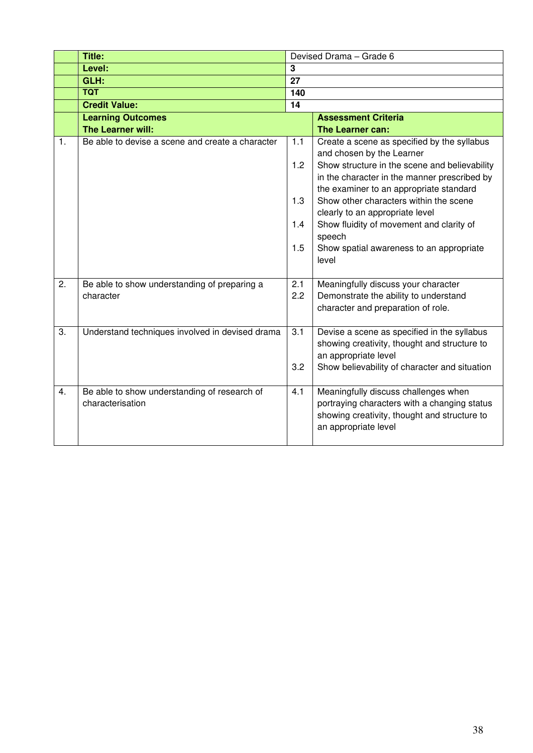|                  | Title:                                                           |                 | Devised Drama - Grade 6                                                                                                                                      |
|------------------|------------------------------------------------------------------|-----------------|--------------------------------------------------------------------------------------------------------------------------------------------------------------|
|                  | Level:                                                           | 3               |                                                                                                                                                              |
|                  | GLH:                                                             | 27              |                                                                                                                                                              |
|                  | <b>TQT</b>                                                       | 140             |                                                                                                                                                              |
|                  | <b>Credit Value:</b>                                             | $\overline{14}$ |                                                                                                                                                              |
|                  | <b>Learning Outcomes</b>                                         |                 | <b>Assessment Criteria</b>                                                                                                                                   |
|                  | The Learner will:                                                |                 | The Learner can:                                                                                                                                             |
| 1.               | Be able to devise a scene and create a character                 | 1.1             | Create a scene as specified by the syllabus<br>and chosen by the Learner                                                                                     |
|                  |                                                                  | 1.2             | Show structure in the scene and believability                                                                                                                |
|                  |                                                                  |                 | in the character in the manner prescribed by<br>the examiner to an appropriate standard                                                                      |
|                  |                                                                  | 1.3             | Show other characters within the scene                                                                                                                       |
|                  |                                                                  |                 | clearly to an appropriate level                                                                                                                              |
|                  |                                                                  | 1.4             | Show fluidity of movement and clarity of<br>speech                                                                                                           |
|                  |                                                                  | 1.5             | Show spatial awareness to an appropriate<br>level                                                                                                            |
| 2.               | Be able to show understanding of preparing a                     | 2.1             | Meaningfully discuss your character                                                                                                                          |
|                  | character                                                        | 2.2             | Demonstrate the ability to understand                                                                                                                        |
|                  |                                                                  |                 | character and preparation of role.                                                                                                                           |
| 3.               | Understand techniques involved in devised drama                  | 3.1             | Devise a scene as specified in the syllabus                                                                                                                  |
|                  |                                                                  |                 | showing creativity, thought and structure to<br>an appropriate level                                                                                         |
|                  |                                                                  | 3.2             | Show believability of character and situation                                                                                                                |
|                  |                                                                  |                 |                                                                                                                                                              |
| $\overline{4}$ . | Be able to show understanding of research of<br>characterisation | 4.1             | Meaningfully discuss challenges when<br>portraying characters with a changing status<br>showing creativity, thought and structure to<br>an appropriate level |
|                  |                                                                  |                 |                                                                                                                                                              |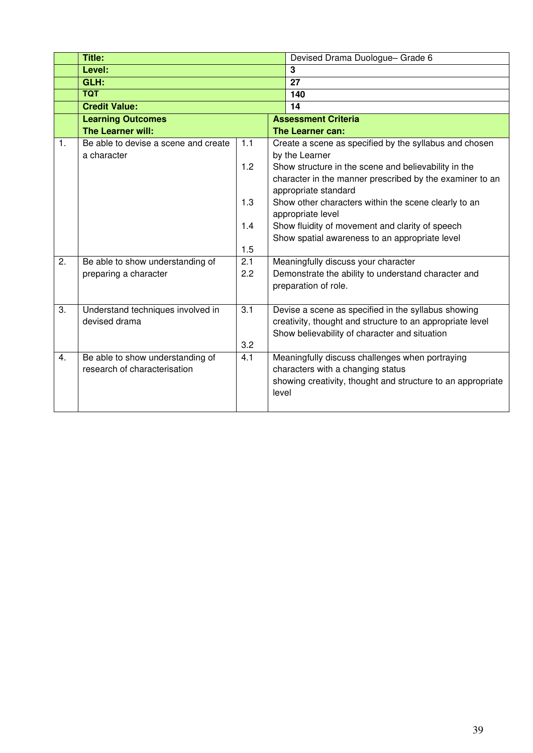|    | Title:                               |     | Devised Drama Duologue- Grade 6                             |
|----|--------------------------------------|-----|-------------------------------------------------------------|
|    | Level:                               |     | 3                                                           |
|    | GLH:                                 |     | 27                                                          |
|    | <b>TQT</b>                           |     | 140                                                         |
|    | <b>Credit Value:</b>                 |     | 14                                                          |
|    | <b>Learning Outcomes</b>             |     | <b>Assessment Criteria</b>                                  |
|    | The Learner will:                    |     | <b>The Learner can:</b>                                     |
| 1. | Be able to devise a scene and create | 1.1 | Create a scene as specified by the syllabus and chosen      |
|    | a character                          |     | by the Learner                                              |
|    |                                      | 1.2 | Show structure in the scene and believability in the        |
|    |                                      |     | character in the manner prescribed by the examiner to an    |
|    |                                      |     | appropriate standard                                        |
|    |                                      | 1.3 | Show other characters within the scene clearly to an        |
|    |                                      |     | appropriate level                                           |
|    |                                      | 1.4 | Show fluidity of movement and clarity of speech             |
|    |                                      |     | Show spatial awareness to an appropriate level              |
|    |                                      | 1.5 |                                                             |
| 2. | Be able to show understanding of     | 2.1 | Meaningfully discuss your character                         |
|    | preparing a character                | 2.2 | Demonstrate the ability to understand character and         |
|    |                                      |     | preparation of role.                                        |
|    |                                      |     |                                                             |
| 3. | Understand techniques involved in    | 3.1 | Devise a scene as specified in the syllabus showing         |
|    | devised drama                        |     | creativity, thought and structure to an appropriate level   |
|    |                                      |     | Show believability of character and situation               |
|    |                                      | 3.2 |                                                             |
| 4. | Be able to show understanding of     | 4.1 | Meaningfully discuss challenges when portraying             |
|    | research of characterisation         |     | characters with a changing status                           |
|    |                                      |     | showing creativity, thought and structure to an appropriate |
|    |                                      |     | level                                                       |
|    |                                      |     |                                                             |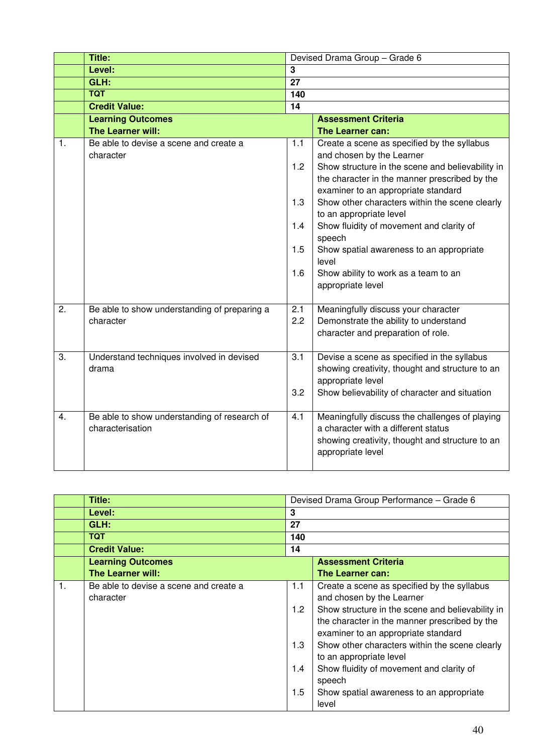|                  | Title:                                                           |                  | Devised Drama Group - Grade 6                     |
|------------------|------------------------------------------------------------------|------------------|---------------------------------------------------|
|                  | Level:                                                           | 3                |                                                   |
|                  | GLH:                                                             | $\overline{27}$  |                                                   |
|                  | <b>TQT</b>                                                       | 140              |                                                   |
|                  | <b>Credit Value:</b>                                             | $\overline{14}$  |                                                   |
|                  | <b>Learning Outcomes</b>                                         |                  | <b>Assessment Criteria</b>                        |
|                  | The Learner will:                                                |                  | The Learner can:                                  |
| 1.               | Be able to devise a scene and create a                           | 1.1              | Create a scene as specified by the syllabus       |
|                  | character                                                        |                  | and chosen by the Learner                         |
|                  |                                                                  | 1.2              | Show structure in the scene and believability in  |
|                  |                                                                  |                  | the character in the manner prescribed by the     |
|                  |                                                                  |                  | examiner to an appropriate standard               |
|                  |                                                                  | 1.3              | Show other characters within the scene clearly    |
|                  |                                                                  |                  | to an appropriate level                           |
|                  |                                                                  | 1.4              | Show fluidity of movement and clarity of          |
|                  |                                                                  | 1.5              | speech                                            |
|                  |                                                                  |                  | Show spatial awareness to an appropriate<br>level |
|                  |                                                                  | 1.6              | Show ability to work as a team to an              |
|                  |                                                                  |                  | appropriate level                                 |
|                  |                                                                  |                  |                                                   |
| 2.               | Be able to show understanding of preparing a                     | 2.1              | Meaningfully discuss your character               |
|                  | character                                                        | 2.2              | Demonstrate the ability to understand             |
|                  |                                                                  |                  | character and preparation of role.                |
|                  |                                                                  |                  |                                                   |
| $\overline{3}$ . | Understand techniques involved in devised                        | $\overline{3.1}$ | Devise a scene as specified in the syllabus       |
|                  | drama                                                            |                  | showing creativity, thought and structure to an   |
|                  |                                                                  |                  | appropriate level                                 |
|                  |                                                                  | 3.2              | Show believability of character and situation     |
| 4.               |                                                                  | 4.1              | Meaningfully discuss the challenges of playing    |
|                  | Be able to show understanding of research of<br>characterisation |                  | a character with a different status               |
|                  |                                                                  |                  | showing creativity, thought and structure to an   |
|                  |                                                                  |                  | appropriate level                                 |
|                  |                                                                  |                  |                                                   |

|                | Title:                                              |                                 | Devised Drama Group Performance - Grade 6                                                                                                                                                                                                                                                                                                                                                                    |
|----------------|-----------------------------------------------------|---------------------------------|--------------------------------------------------------------------------------------------------------------------------------------------------------------------------------------------------------------------------------------------------------------------------------------------------------------------------------------------------------------------------------------------------------------|
|                | Level:                                              | 3                               |                                                                                                                                                                                                                                                                                                                                                                                                              |
|                | GLH:                                                | 27                              |                                                                                                                                                                                                                                                                                                                                                                                                              |
|                | <b>TQT</b>                                          | 140                             |                                                                                                                                                                                                                                                                                                                                                                                                              |
|                | <b>Credit Value:</b>                                | 14                              |                                                                                                                                                                                                                                                                                                                                                                                                              |
|                | <b>Learning Outcomes</b>                            |                                 | <b>Assessment Criteria</b>                                                                                                                                                                                                                                                                                                                                                                                   |
|                | <b>The Learner will:</b>                            |                                 | The Learner can:                                                                                                                                                                                                                                                                                                                                                                                             |
| $\mathbf{1}$ . | Be able to devise a scene and create a<br>character | 1.1<br>1.2<br>1.3<br>1.4<br>1.5 | Create a scene as specified by the syllabus<br>and chosen by the Learner<br>Show structure in the scene and believability in<br>the character in the manner prescribed by the<br>examiner to an appropriate standard<br>Show other characters within the scene clearly<br>to an appropriate level<br>Show fluidity of movement and clarity of<br>speech<br>Show spatial awareness to an appropriate<br>level |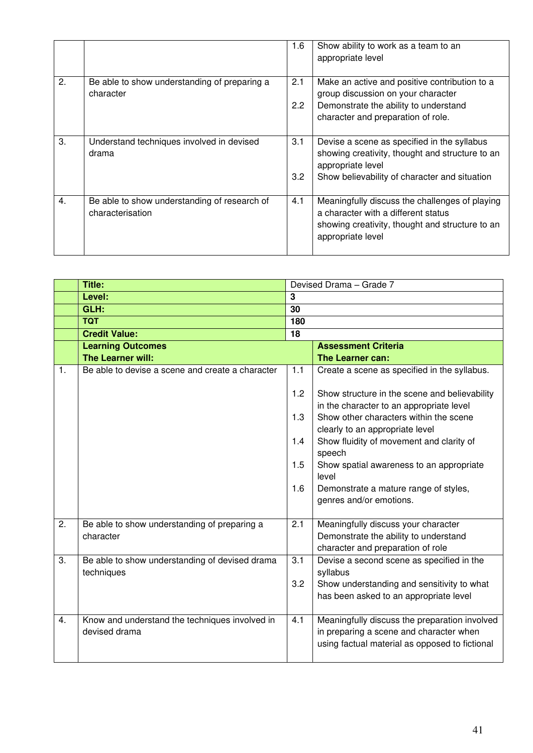|    |                                                                  | 1.6 | Show ability to work as a team to an<br>appropriate level                                                                                                     |
|----|------------------------------------------------------------------|-----|---------------------------------------------------------------------------------------------------------------------------------------------------------------|
| 2. | Be able to show understanding of preparing a<br>character        | 2.1 | Make an active and positive contribution to a<br>group discussion on your character                                                                           |
|    |                                                                  | 2.2 | Demonstrate the ability to understand<br>character and preparation of role.                                                                                   |
| 3. | Understand techniques involved in devised<br>drama               | 3.1 | Devise a scene as specified in the syllabus<br>showing creativity, thought and structure to an<br>appropriate level                                           |
|    |                                                                  | 3.2 | Show believability of character and situation                                                                                                                 |
| 4. | Be able to show understanding of research of<br>characterisation | 4.1 | Meaningfully discuss the challenges of playing<br>a character with a different status<br>showing creativity, thought and structure to an<br>appropriate level |

|    | Title:                                           | Devised Drama - Grade 7 |                                                    |  |
|----|--------------------------------------------------|-------------------------|----------------------------------------------------|--|
|    | Level:                                           | $\overline{\mathbf{3}}$ |                                                    |  |
|    | GLH:                                             | 30                      |                                                    |  |
|    | <b>TQT</b>                                       | 180                     |                                                    |  |
|    | <b>Credit Value:</b>                             | 18                      |                                                    |  |
|    | <b>Learning Outcomes</b>                         |                         | <b>Assessment Criteria</b>                         |  |
|    | The Learner will:                                |                         | The Learner can:                                   |  |
| 1. | Be able to devise a scene and create a character | 1.1                     | Create a scene as specified in the syllabus.       |  |
|    |                                                  | 1.2                     | Show structure in the scene and believability      |  |
|    |                                                  |                         | in the character to an appropriate level           |  |
|    |                                                  | 1.3                     | Show other characters within the scene             |  |
|    |                                                  |                         | clearly to an appropriate level                    |  |
|    |                                                  | 1.4                     | Show fluidity of movement and clarity of<br>speech |  |
|    |                                                  | 1.5                     | Show spatial awareness to an appropriate           |  |
|    |                                                  |                         | level                                              |  |
|    |                                                  | 1.6                     | Demonstrate a mature range of styles,              |  |
|    |                                                  |                         | genres and/or emotions.                            |  |
|    |                                                  |                         |                                                    |  |
| 2. | Be able to show understanding of preparing a     | 2.1                     | Meaningfully discuss your character                |  |
|    | character                                        |                         | Demonstrate the ability to understand              |  |
|    |                                                  |                         | character and preparation of role                  |  |
| 3. | Be able to show understanding of devised drama   | 3.1                     | Devise a second scene as specified in the          |  |
|    | techniques                                       |                         | syllabus                                           |  |
|    |                                                  | 3.2                     | Show understanding and sensitivity to what         |  |
|    |                                                  |                         | has been asked to an appropriate level             |  |
| 4. | Know and understand the techniques involved in   | 4.1                     | Meaningfully discuss the preparation involved      |  |
|    | devised drama                                    |                         | in preparing a scene and character when            |  |
|    |                                                  |                         | using factual material as opposed to fictional     |  |
|    |                                                  |                         |                                                    |  |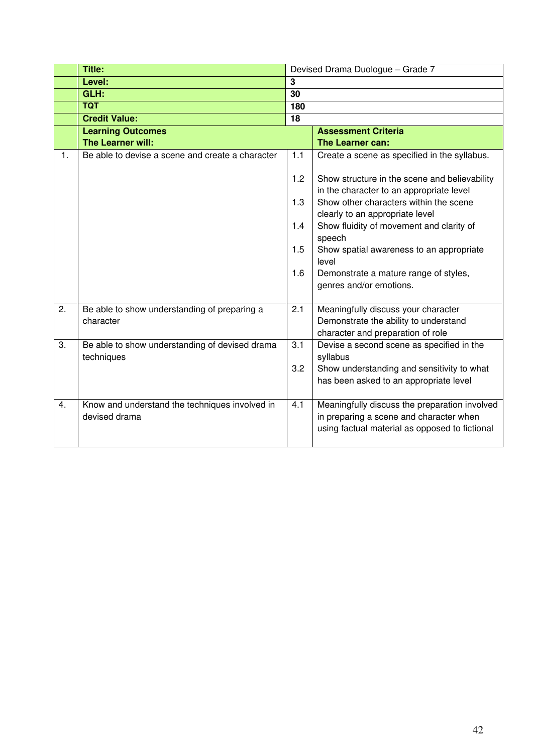|                | <b>Title:</b>                                    |     | Devised Drama Duologue - Grade 7                   |
|----------------|--------------------------------------------------|-----|----------------------------------------------------|
|                | Level:                                           | 3   |                                                    |
|                | GLH:                                             | 30  |                                                    |
|                | <b>TQT</b>                                       | 180 |                                                    |
|                | <b>Credit Value:</b>                             | 18  |                                                    |
|                | <b>Learning Outcomes</b>                         |     | <b>Assessment Criteria</b>                         |
|                | The Learner will:                                |     | The Learner can:                                   |
| $\mathbf{1}$ . | Be able to devise a scene and create a character | 1.1 | Create a scene as specified in the syllabus.       |
|                |                                                  | 1.2 | Show structure in the scene and believability      |
|                |                                                  |     | in the character to an appropriate level           |
|                |                                                  | 1.3 | Show other characters within the scene             |
|                |                                                  |     | clearly to an appropriate level                    |
|                |                                                  | 1.4 | Show fluidity of movement and clarity of<br>speech |
|                |                                                  | 1.5 | Show spatial awareness to an appropriate           |
|                |                                                  |     | level                                              |
|                |                                                  | 1.6 | Demonstrate a mature range of styles,              |
|                |                                                  |     | genres and/or emotions.                            |
|                |                                                  |     |                                                    |
| 2.             | Be able to show understanding of preparing a     | 2.1 | Meaningfully discuss your character                |
|                | character                                        |     | Demonstrate the ability to understand              |
|                |                                                  |     | character and preparation of role                  |
| 3.             | Be able to show understanding of devised drama   | 3.1 | Devise a second scene as specified in the          |
|                | techniques                                       |     | syllabus                                           |
|                |                                                  | 3.2 | Show understanding and sensitivity to what         |
|                |                                                  |     | has been asked to an appropriate level             |
| 4.             | Know and understand the techniques involved in   | 4.1 | Meaningfully discuss the preparation involved      |
|                | devised drama                                    |     | in preparing a scene and character when            |
|                |                                                  |     | using factual material as opposed to fictional     |
|                |                                                  |     |                                                    |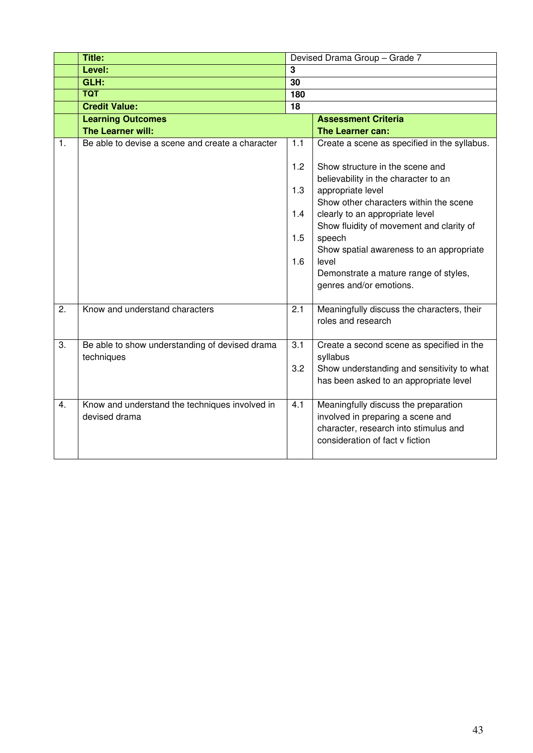|                | Title:                                                       | Devised Drama Group - Grade 7 |                                                                         |  |
|----------------|--------------------------------------------------------------|-------------------------------|-------------------------------------------------------------------------|--|
|                | Level:                                                       | 3                             |                                                                         |  |
|                | GLH:                                                         | 30                            |                                                                         |  |
|                | <b>TQT</b>                                                   | 180                           |                                                                         |  |
|                | <b>Credit Value:</b>                                         | 18                            |                                                                         |  |
|                | <b>Learning Outcomes</b>                                     |                               | <b>Assessment Criteria</b>                                              |  |
|                | The Learner will:                                            |                               | The Learner can:                                                        |  |
| $\mathbf{1}$ . | Be able to devise a scene and create a character             | 1.1                           | Create a scene as specified in the syllabus.                            |  |
|                |                                                              | 1.2                           | Show structure in the scene and<br>believability in the character to an |  |
|                |                                                              | 1.3                           | appropriate level<br>Show other characters within the scene             |  |
|                |                                                              | 1.4                           | clearly to an appropriate level                                         |  |
|                |                                                              |                               | Show fluidity of movement and clarity of                                |  |
|                |                                                              | 1.5                           | speech                                                                  |  |
|                |                                                              | 1.6                           | Show spatial awareness to an appropriate<br>level                       |  |
|                |                                                              |                               | Demonstrate a mature range of styles,                                   |  |
|                |                                                              |                               | genres and/or emotions.                                                 |  |
|                |                                                              |                               |                                                                         |  |
| 2.             | Know and understand characters                               | 2.1                           | Meaningfully discuss the characters, their<br>roles and research        |  |
|                |                                                              |                               |                                                                         |  |
| 3.             | Be able to show understanding of devised drama<br>techniques | 3.1                           | Create a second scene as specified in the<br>syllabus                   |  |
|                |                                                              | 3.2                           | Show understanding and sensitivity to what                              |  |
|                |                                                              |                               | has been asked to an appropriate level                                  |  |
| 4.             | Know and understand the techniques involved in               | 4.1                           | Meaningfully discuss the preparation                                    |  |
|                | devised drama                                                |                               | involved in preparing a scene and                                       |  |
|                |                                                              |                               | character, research into stimulus and                                   |  |
|                |                                                              |                               | consideration of fact y fiction                                         |  |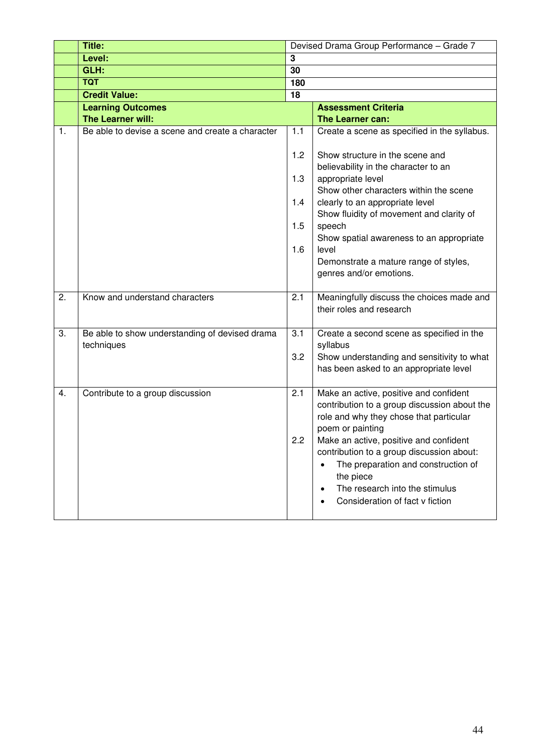|    | Title:                                                       | Devised Drama Group Performance - Grade 7 |                                                                                                                                                                                                                           |  |  |  |
|----|--------------------------------------------------------------|-------------------------------------------|---------------------------------------------------------------------------------------------------------------------------------------------------------------------------------------------------------------------------|--|--|--|
|    | Level:                                                       | 3                                         |                                                                                                                                                                                                                           |  |  |  |
|    | GLH:                                                         | 30                                        |                                                                                                                                                                                                                           |  |  |  |
|    | <b>TQT</b>                                                   | 180                                       |                                                                                                                                                                                                                           |  |  |  |
|    | <b>Credit Value:</b>                                         | 18                                        |                                                                                                                                                                                                                           |  |  |  |
|    | <b>Learning Outcomes</b>                                     |                                           | <b>Assessment Criteria</b>                                                                                                                                                                                                |  |  |  |
|    | The Learner will:                                            |                                           | The Learner can:                                                                                                                                                                                                          |  |  |  |
| 1. | Be able to devise a scene and create a character             | 1.1<br>1.2                                | Create a scene as specified in the syllabus.<br>Show structure in the scene and                                                                                                                                           |  |  |  |
|    |                                                              | 1.3                                       | believability in the character to an<br>appropriate level                                                                                                                                                                 |  |  |  |
|    |                                                              |                                           | Show other characters within the scene                                                                                                                                                                                    |  |  |  |
|    |                                                              | 1.4                                       | clearly to an appropriate level<br>Show fluidity of movement and clarity of                                                                                                                                               |  |  |  |
|    |                                                              | 1.5                                       | speech<br>Show spatial awareness to an appropriate                                                                                                                                                                        |  |  |  |
|    |                                                              | 1.6                                       | level                                                                                                                                                                                                                     |  |  |  |
|    |                                                              |                                           | Demonstrate a mature range of styles,                                                                                                                                                                                     |  |  |  |
|    |                                                              |                                           | genres and/or emotions.                                                                                                                                                                                                   |  |  |  |
| 2. | Know and understand characters                               | 2.1                                       | Meaningfully discuss the choices made and                                                                                                                                                                                 |  |  |  |
|    |                                                              |                                           | their roles and research                                                                                                                                                                                                  |  |  |  |
| 3. | Be able to show understanding of devised drama<br>techniques | 3.1                                       | Create a second scene as specified in the<br>syllabus                                                                                                                                                                     |  |  |  |
|    |                                                              | 3.2                                       | Show understanding and sensitivity to what<br>has been asked to an appropriate level                                                                                                                                      |  |  |  |
| 4. | Contribute to a group discussion                             | 2.1                                       | Make an active, positive and confident<br>contribution to a group discussion about the<br>role and why they chose that particular<br>poem or painting                                                                     |  |  |  |
|    |                                                              | 2.2                                       | Make an active, positive and confident<br>contribution to a group discussion about:<br>The preparation and construction of<br>$\bullet$<br>the piece<br>The research into the stimulus<br>Consideration of fact v fiction |  |  |  |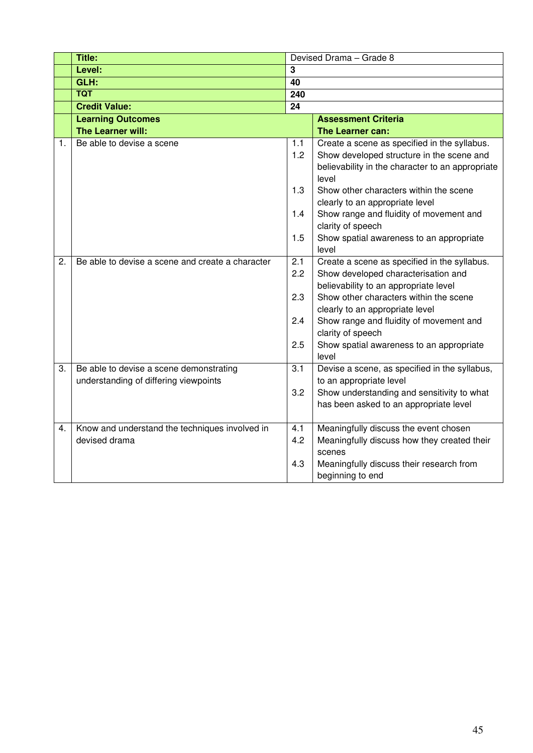|    | Title:                                           |     | Devised Drama - Grade 8                                   |
|----|--------------------------------------------------|-----|-----------------------------------------------------------|
|    | Level:                                           | 3   |                                                           |
|    | GLH:                                             | 40  |                                                           |
|    | <b>TQT</b>                                       | 240 |                                                           |
|    | <b>Credit Value:</b>                             | 24  |                                                           |
|    | <b>Learning Outcomes</b>                         |     | <b>Assessment Criteria</b>                                |
|    | The Learner will:                                |     | The Learner can:                                          |
| 1. | Be able to devise a scene                        | 1.1 | Create a scene as specified in the syllabus.              |
|    |                                                  | 1.2 | Show developed structure in the scene and                 |
|    |                                                  |     | believability in the character to an appropriate<br>level |
|    |                                                  | 1.3 | Show other characters within the scene                    |
|    |                                                  |     | clearly to an appropriate level                           |
|    |                                                  | 1.4 | Show range and fluidity of movement and                   |
|    |                                                  |     | clarity of speech                                         |
|    |                                                  | 1.5 | Show spatial awareness to an appropriate                  |
|    |                                                  |     | level                                                     |
| 2. | Be able to devise a scene and create a character | 2.1 | Create a scene as specified in the syllabus.              |
|    |                                                  | 2.2 | Show developed characterisation and                       |
|    |                                                  |     | believability to an appropriate level                     |
|    |                                                  | 2.3 | Show other characters within the scene                    |
|    |                                                  |     | clearly to an appropriate level                           |
|    |                                                  | 2.4 | Show range and fluidity of movement and                   |
|    |                                                  |     | clarity of speech                                         |
|    |                                                  | 2.5 | Show spatial awareness to an appropriate<br>level         |
| 3. | Be able to devise a scene demonstrating          | 3.1 | Devise a scene, as specified in the syllabus,             |
|    | understanding of differing viewpoints            |     | to an appropriate level                                   |
|    |                                                  | 3.2 | Show understanding and sensitivity to what                |
|    |                                                  |     | has been asked to an appropriate level                    |
|    |                                                  |     |                                                           |
| 4. | Know and understand the techniques involved in   | 4.1 | Meaningfully discuss the event chosen                     |
|    | devised drama                                    | 4.2 | Meaningfully discuss how they created their               |
|    |                                                  |     | scenes                                                    |
|    |                                                  | 4.3 | Meaningfully discuss their research from                  |
|    |                                                  |     | beginning to end                                          |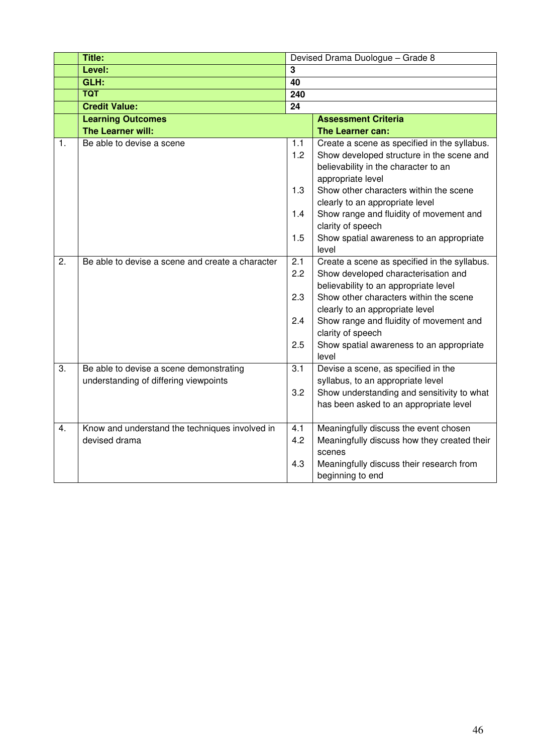|    | <b>Title:</b>                                    |                | Devised Drama Duologue - Grade 8                                                                                                                       |
|----|--------------------------------------------------|----------------|--------------------------------------------------------------------------------------------------------------------------------------------------------|
|    | Level:                                           | $\overline{3}$ |                                                                                                                                                        |
|    | GLH:                                             | 40             |                                                                                                                                                        |
|    | <b>TQT</b>                                       | 240            |                                                                                                                                                        |
|    | <b>Credit Value:</b>                             | 24             |                                                                                                                                                        |
|    | <b>Learning Outcomes</b>                         |                | <b>Assessment Criteria</b>                                                                                                                             |
|    | The Learner will:                                |                | The Learner can:                                                                                                                                       |
| 1. | Be able to devise a scene                        | 1.1<br>1.2     | Create a scene as specified in the syllabus.<br>Show developed structure in the scene and<br>believability in the character to an<br>appropriate level |
|    |                                                  | 1.3            | Show other characters within the scene<br>clearly to an appropriate level                                                                              |
|    |                                                  | 1.4            | Show range and fluidity of movement and<br>clarity of speech                                                                                           |
|    |                                                  | 1.5            | Show spatial awareness to an appropriate<br>level                                                                                                      |
| 2. | Be able to devise a scene and create a character | 2.1            | Create a scene as specified in the syllabus.                                                                                                           |
|    |                                                  | 2.2            | Show developed characterisation and                                                                                                                    |
|    |                                                  |                | believability to an appropriate level                                                                                                                  |
|    |                                                  | 2.3            | Show other characters within the scene                                                                                                                 |
|    |                                                  |                | clearly to an appropriate level                                                                                                                        |
|    |                                                  | 2.4            | Show range and fluidity of movement and<br>clarity of speech                                                                                           |
|    |                                                  | 2.5            | Show spatial awareness to an appropriate<br>level                                                                                                      |
| 3. | Be able to devise a scene demonstrating          | 3.1            | Devise a scene, as specified in the                                                                                                                    |
|    | understanding of differing viewpoints            |                | syllabus, to an appropriate level                                                                                                                      |
|    |                                                  | 3.2            | Show understanding and sensitivity to what                                                                                                             |
|    |                                                  |                | has been asked to an appropriate level                                                                                                                 |
| 4. | Know and understand the techniques involved in   | 4.1            | Meaningfully discuss the event chosen                                                                                                                  |
|    | devised drama                                    | 4.2            | Meaningfully discuss how they created their                                                                                                            |
|    |                                                  |                | scenes                                                                                                                                                 |
|    |                                                  | 4.3            | Meaningfully discuss their research from                                                                                                               |
|    |                                                  |                | beginning to end                                                                                                                                       |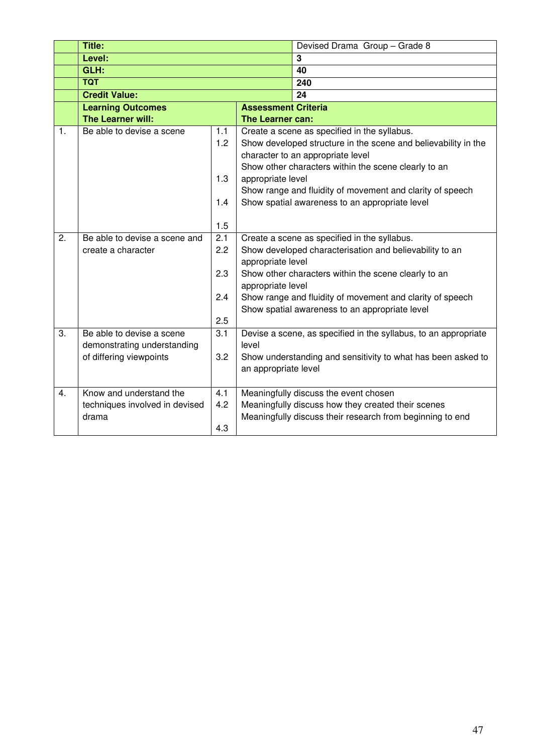|    | <b>Title:</b>                  |            |                                                                                                         | Devised Drama Group - Grade 8                                   |  |  |
|----|--------------------------------|------------|---------------------------------------------------------------------------------------------------------|-----------------------------------------------------------------|--|--|
|    | Level:                         |            |                                                                                                         | $\overline{3}$                                                  |  |  |
|    | GLH:                           |            |                                                                                                         | 40                                                              |  |  |
|    | <b>TQT</b>                     |            |                                                                                                         | 240                                                             |  |  |
|    | <b>Credit Value:</b>           |            |                                                                                                         | 24                                                              |  |  |
|    | <b>Learning Outcomes</b>       |            |                                                                                                         | <b>Assessment Criteria</b>                                      |  |  |
|    | The Learner will:              |            | The Learner can:                                                                                        |                                                                 |  |  |
| 1. | Be able to devise a scene      | 1.1        |                                                                                                         | Create a scene as specified in the syllabus.                    |  |  |
|    |                                | 1.2        |                                                                                                         | Show developed structure in the scene and believability in the  |  |  |
|    |                                |            |                                                                                                         | character to an appropriate level                               |  |  |
|    |                                |            |                                                                                                         | Show other characters within the scene clearly to an            |  |  |
|    |                                | 1.3        | appropriate level                                                                                       |                                                                 |  |  |
|    |                                |            | Show range and fluidity of movement and clarity of speech                                               |                                                                 |  |  |
|    |                                | 1.4        |                                                                                                         | Show spatial awareness to an appropriate level                  |  |  |
|    |                                |            |                                                                                                         |                                                                 |  |  |
|    |                                | 1.5        |                                                                                                         |                                                                 |  |  |
| 2. | Be able to devise a scene and  | 2.1<br>2.2 | Create a scene as specified in the syllabus.<br>Show developed characterisation and believability to an |                                                                 |  |  |
|    | create a character             |            |                                                                                                         |                                                                 |  |  |
|    |                                | 2.3        | appropriate level                                                                                       | Show other characters within the scene clearly to an            |  |  |
|    |                                |            | appropriate level                                                                                       |                                                                 |  |  |
|    |                                | 2.4        |                                                                                                         | Show range and fluidity of movement and clarity of speech       |  |  |
|    |                                |            |                                                                                                         | Show spatial awareness to an appropriate level                  |  |  |
|    |                                | 2.5        |                                                                                                         |                                                                 |  |  |
| 3. | Be able to devise a scene      | 3.1        |                                                                                                         | Devise a scene, as specified in the syllabus, to an appropriate |  |  |
|    | demonstrating understanding    |            | level                                                                                                   |                                                                 |  |  |
|    | of differing viewpoints        | 3.2        |                                                                                                         | Show understanding and sensitivity to what has been asked to    |  |  |
|    |                                |            | an appropriate level                                                                                    |                                                                 |  |  |
|    |                                |            |                                                                                                         |                                                                 |  |  |
| 4. | Know and understand the        | 4.1        |                                                                                                         | Meaningfully discuss the event chosen                           |  |  |
|    | techniques involved in devised | 4.2        |                                                                                                         | Meaningfully discuss how they created their scenes              |  |  |
|    | drama                          |            |                                                                                                         | Meaningfully discuss their research from beginning to end       |  |  |
|    |                                | 4.3        |                                                                                                         |                                                                 |  |  |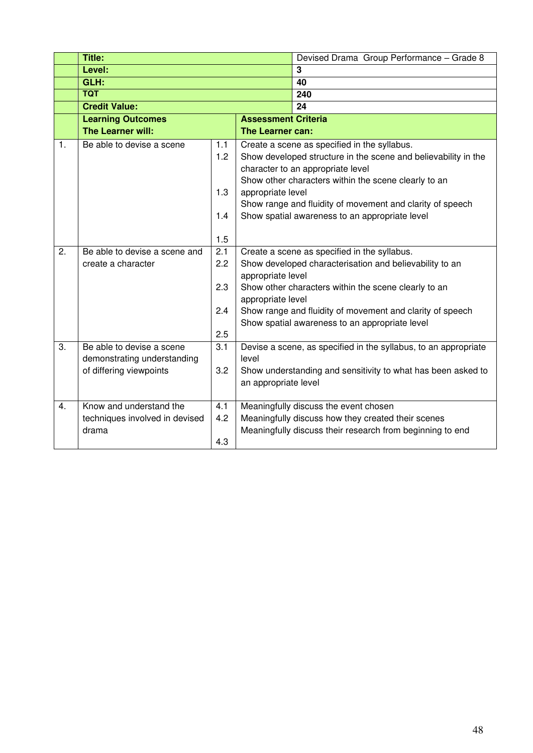|                | <b>Title:</b>                  |     |                                                                                                                                                                                          | Devised Drama Group Performance - Grade 8                       |  |  |  |
|----------------|--------------------------------|-----|------------------------------------------------------------------------------------------------------------------------------------------------------------------------------------------|-----------------------------------------------------------------|--|--|--|
|                | Level:                         |     |                                                                                                                                                                                          | $\mathbf{3}$                                                    |  |  |  |
|                | GLH:                           |     |                                                                                                                                                                                          | 40                                                              |  |  |  |
|                | <b>TQT</b>                     |     |                                                                                                                                                                                          | 240                                                             |  |  |  |
|                | <b>Credit Value:</b>           |     |                                                                                                                                                                                          | 24                                                              |  |  |  |
|                | <b>Learning Outcomes</b>       |     | <b>Assessment Criteria</b>                                                                                                                                                               |                                                                 |  |  |  |
|                | The Learner will:              |     | The Learner can:                                                                                                                                                                         |                                                                 |  |  |  |
| $\mathbf{1}$ . | Be able to devise a scene      | 1.1 |                                                                                                                                                                                          | Create a scene as specified in the syllabus.                    |  |  |  |
|                |                                | 1.2 |                                                                                                                                                                                          | Show developed structure in the scene and believability in the  |  |  |  |
|                |                                |     |                                                                                                                                                                                          | character to an appropriate level                               |  |  |  |
|                |                                |     |                                                                                                                                                                                          | Show other characters within the scene clearly to an            |  |  |  |
|                |                                | 1.3 | appropriate level                                                                                                                                                                        |                                                                 |  |  |  |
|                |                                |     |                                                                                                                                                                                          | Show range and fluidity of movement and clarity of speech       |  |  |  |
|                |                                | 1.4 |                                                                                                                                                                                          | Show spatial awareness to an appropriate level                  |  |  |  |
|                |                                |     |                                                                                                                                                                                          |                                                                 |  |  |  |
|                |                                | 1.5 |                                                                                                                                                                                          |                                                                 |  |  |  |
| 2.             | Be able to devise a scene and  | 2.1 | Create a scene as specified in the syllabus.                                                                                                                                             |                                                                 |  |  |  |
|                | create a character             | 2.2 | Show developed characterisation and believability to an                                                                                                                                  |                                                                 |  |  |  |
|                |                                |     | appropriate level                                                                                                                                                                        |                                                                 |  |  |  |
|                |                                | 2.3 | Show other characters within the scene clearly to an<br>appropriate level<br>Show range and fluidity of movement and clarity of speech<br>Show spatial awareness to an appropriate level |                                                                 |  |  |  |
|                |                                | 2.4 |                                                                                                                                                                                          |                                                                 |  |  |  |
|                |                                |     |                                                                                                                                                                                          |                                                                 |  |  |  |
|                |                                | 2.5 |                                                                                                                                                                                          |                                                                 |  |  |  |
| 3.             | Be able to devise a scene      | 3.1 |                                                                                                                                                                                          | Devise a scene, as specified in the syllabus, to an appropriate |  |  |  |
|                | demonstrating understanding    |     | level                                                                                                                                                                                    |                                                                 |  |  |  |
|                | of differing viewpoints        | 3.2 |                                                                                                                                                                                          | Show understanding and sensitivity to what has been asked to    |  |  |  |
|                |                                |     | an appropriate level                                                                                                                                                                     |                                                                 |  |  |  |
|                |                                |     |                                                                                                                                                                                          |                                                                 |  |  |  |
| 4.             | Know and understand the        | 4.1 |                                                                                                                                                                                          | Meaningfully discuss the event chosen                           |  |  |  |
|                | techniques involved in devised | 4.2 |                                                                                                                                                                                          | Meaningfully discuss how they created their scenes              |  |  |  |
|                | drama                          |     |                                                                                                                                                                                          | Meaningfully discuss their research from beginning to end       |  |  |  |
|                |                                | 4.3 |                                                                                                                                                                                          |                                                                 |  |  |  |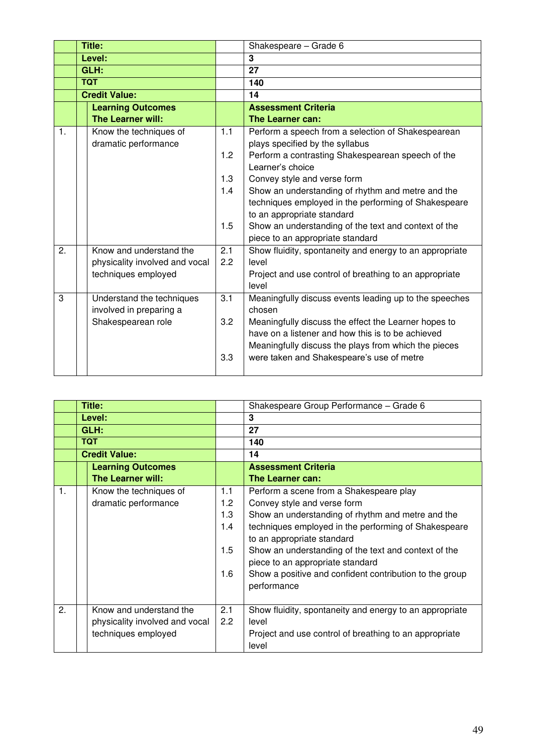|                | Title:                                         |     | Shakespeare - Grade 6                                                                 |  |
|----------------|------------------------------------------------|-----|---------------------------------------------------------------------------------------|--|
|                | Level:                                         |     | 3                                                                                     |  |
|                | GLH:                                           |     | $\overline{27}$                                                                       |  |
|                | <b>TQT</b>                                     |     | 140                                                                                   |  |
|                | <b>Credit Value:</b>                           |     | 14                                                                                    |  |
|                | <b>Learning Outcomes</b>                       |     | <b>Assessment Criteria</b>                                                            |  |
|                | The Learner will:                              |     | The Learner can:                                                                      |  |
| $\mathbf{1}$ . | Know the techniques of<br>dramatic performance | 1.1 | Perform a speech from a selection of Shakespearean<br>plays specified by the syllabus |  |
|                |                                                | 1.2 | Perform a contrasting Shakespearean speech of the<br>Learner's choice                 |  |
|                |                                                | 1.3 | Convey style and verse form                                                           |  |
|                |                                                | 1.4 | Show an understanding of rhythm and metre and the                                     |  |
|                |                                                |     | techniques employed in the performing of Shakespeare                                  |  |
|                |                                                |     | to an appropriate standard                                                            |  |
|                |                                                | 1.5 | Show an understanding of the text and context of the                                  |  |
|                |                                                |     | piece to an appropriate standard                                                      |  |
| 2.             | Know and understand the                        | 2.1 | Show fluidity, spontaneity and energy to an appropriate                               |  |
|                | physicality involved and vocal                 | 2.2 | level                                                                                 |  |
|                | techniques employed                            |     | Project and use control of breathing to an appropriate                                |  |
|                |                                                |     | level                                                                                 |  |
| 3              | Understand the techniques                      | 3.1 | Meaningfully discuss events leading up to the speeches                                |  |
|                | involved in preparing a                        |     | chosen                                                                                |  |
|                | Shakespearean role                             | 3.2 | Meaningfully discuss the effect the Learner hopes to                                  |  |
|                |                                                |     | have on a listener and how this is to be achieved                                     |  |
|                |                                                |     | Meaningfully discuss the plays from which the pieces                                  |  |
|                |                                                | 3.3 | were taken and Shakespeare's use of metre                                             |  |
|                |                                                |     |                                                                                       |  |

|                | Title:                         |     | Shakespeare Group Performance - Grade 6                 |  |  |  |
|----------------|--------------------------------|-----|---------------------------------------------------------|--|--|--|
|                | Level:                         |     | 3                                                       |  |  |  |
|                | GLH:                           |     | 27                                                      |  |  |  |
|                | <b>TQT</b>                     |     | 140                                                     |  |  |  |
|                | <b>Credit Value:</b>           |     | 14                                                      |  |  |  |
|                | <b>Learning Outcomes</b>       |     | <b>Assessment Criteria</b>                              |  |  |  |
|                | <b>The Learner will:</b>       |     | <b>The Learner can:</b>                                 |  |  |  |
| $\mathbf{1}$ . | Know the techniques of         | 1.1 | Perform a scene from a Shakespeare play                 |  |  |  |
|                | dramatic performance           | 1.2 | Convey style and verse form                             |  |  |  |
|                |                                |     | Show an understanding of rhythm and metre and the       |  |  |  |
|                |                                |     | techniques employed in the performing of Shakespeare    |  |  |  |
|                |                                |     | to an appropriate standard                              |  |  |  |
|                |                                |     | Show an understanding of the text and context of the    |  |  |  |
|                |                                |     | piece to an appropriate standard                        |  |  |  |
|                |                                |     | Show a positive and confident contribution to the group |  |  |  |
|                |                                |     | performance                                             |  |  |  |
|                |                                |     |                                                         |  |  |  |
| 2.             | Know and understand the        | 2.1 | Show fluidity, spontaneity and energy to an appropriate |  |  |  |
|                | physicality involved and vocal | 2.2 | level                                                   |  |  |  |
|                | techniques employed            |     | Project and use control of breathing to an appropriate  |  |  |  |
|                |                                |     | level                                                   |  |  |  |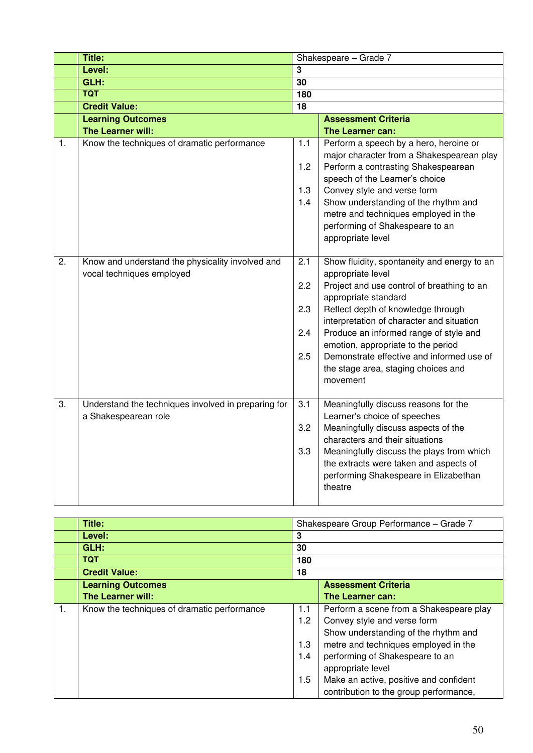|    | Title:                                                                        |                                 | Shakespeare - Grade 7                                                                                                                                                                                                                                                                                                                                                                                     |
|----|-------------------------------------------------------------------------------|---------------------------------|-----------------------------------------------------------------------------------------------------------------------------------------------------------------------------------------------------------------------------------------------------------------------------------------------------------------------------------------------------------------------------------------------------------|
|    | Level:                                                                        | 3                               |                                                                                                                                                                                                                                                                                                                                                                                                           |
|    | GLH:                                                                          | $\overline{30}$                 |                                                                                                                                                                                                                                                                                                                                                                                                           |
|    | <b>TQT</b>                                                                    |                                 |                                                                                                                                                                                                                                                                                                                                                                                                           |
|    | <b>Credit Value:</b>                                                          | $\overline{18}$                 |                                                                                                                                                                                                                                                                                                                                                                                                           |
|    | <b>Learning Outcomes</b>                                                      |                                 | <b>Assessment Criteria</b>                                                                                                                                                                                                                                                                                                                                                                                |
|    | The Learner will:                                                             |                                 | The Learner can:                                                                                                                                                                                                                                                                                                                                                                                          |
| 1. | Know the techniques of dramatic performance                                   | 1.1<br>1.2                      | Perform a speech by a hero, heroine or<br>major character from a Shakespearean play<br>Perform a contrasting Shakespearean<br>speech of the Learner's choice                                                                                                                                                                                                                                              |
|    |                                                                               | 1.3                             | Convey style and verse form                                                                                                                                                                                                                                                                                                                                                                               |
|    |                                                                               | 1.4                             | Show understanding of the rhythm and<br>metre and techniques employed in the<br>performing of Shakespeare to an<br>appropriate level                                                                                                                                                                                                                                                                      |
| 2. | Know and understand the physicality involved and<br>vocal techniques employed | 2.1<br>2.2<br>2.3<br>2.4<br>2.5 | Show fluidity, spontaneity and energy to an<br>appropriate level<br>Project and use control of breathing to an<br>appropriate standard<br>Reflect depth of knowledge through<br>interpretation of character and situation<br>Produce an informed range of style and<br>emotion, appropriate to the period<br>Demonstrate effective and informed use of<br>the stage area, staging choices and<br>movement |
| 3. | Understand the techniques involved in preparing for<br>a Shakespearean role   | $\overline{3.1}$<br>3.2<br>3.3  | Meaningfully discuss reasons for the<br>Learner's choice of speeches<br>Meaningfully discuss aspects of the<br>characters and their situations<br>Meaningfully discuss the plays from which<br>the extracts were taken and aspects of<br>performing Shakespeare in Elizabethan<br>theatre                                                                                                                 |

|    | Title:                                      |         | Shakespeare Group Performance - Grade 7 |  |
|----|---------------------------------------------|---------|-----------------------------------------|--|
|    | Level:                                      | 3       |                                         |  |
|    | GLH:                                        | 30      |                                         |  |
|    | <b>TQT</b>                                  | 180     |                                         |  |
|    | <b>Credit Value:</b>                        | 18      |                                         |  |
|    | <b>Learning Outcomes</b>                    |         | <b>Assessment Criteria</b>              |  |
|    | <b>The Learner will:</b>                    |         | The Learner can:                        |  |
| 1. | Know the techniques of dramatic performance | 1.1     | Perform a scene from a Shakespeare play |  |
|    |                                             | 1.2     | Convey style and verse form             |  |
|    |                                             |         | Show understanding of the rhythm and    |  |
|    |                                             | 1.3     | metre and techniques employed in the    |  |
|    |                                             | 1.4     | performing of Shakespeare to an         |  |
|    |                                             |         | appropriate level                       |  |
|    |                                             | $1.5\,$ | Make an active, positive and confident  |  |
|    |                                             |         | contribution to the group performance,  |  |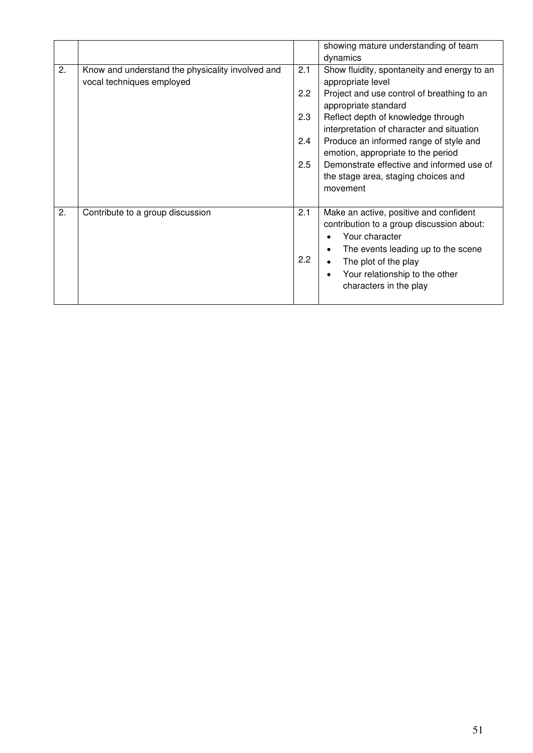|    |                                                                               |            | showing mature understanding of team<br>dynamics                                                                                                                                                                                             |
|----|-------------------------------------------------------------------------------|------------|----------------------------------------------------------------------------------------------------------------------------------------------------------------------------------------------------------------------------------------------|
| 2. | Know and understand the physicality involved and<br>vocal techniques employed | 2.1        | Show fluidity, spontaneity and energy to an<br>appropriate level                                                                                                                                                                             |
|    |                                                                               | 2.2        | Project and use control of breathing to an<br>appropriate standard                                                                                                                                                                           |
|    |                                                                               | 2.3        | Reflect depth of knowledge through<br>interpretation of character and situation                                                                                                                                                              |
|    |                                                                               | 2.4        | Produce an informed range of style and<br>emotion, appropriate to the period                                                                                                                                                                 |
|    |                                                                               | 2.5        | Demonstrate effective and informed use of<br>the stage area, staging choices and<br>movement                                                                                                                                                 |
| 2. | Contribute to a group discussion                                              | 2.1<br>2.2 | Make an active, positive and confident<br>contribution to a group discussion about:<br>Your character<br>The events leading up to the scene<br>$\bullet$<br>The plot of the play<br>Your relationship to the other<br>characters in the play |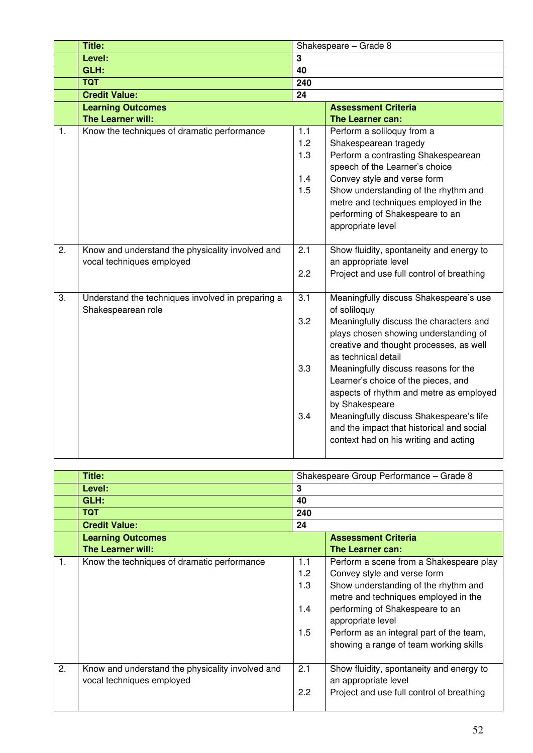|    | <b>Title:</b>                                                                 |                                 | Shakespeare - Grade 8                                                                                                                                                                                                                                                                                                                                                                                                                                                                     |
|----|-------------------------------------------------------------------------------|---------------------------------|-------------------------------------------------------------------------------------------------------------------------------------------------------------------------------------------------------------------------------------------------------------------------------------------------------------------------------------------------------------------------------------------------------------------------------------------------------------------------------------------|
|    | Level:                                                                        | $\overline{\mathbf{3}}$         |                                                                                                                                                                                                                                                                                                                                                                                                                                                                                           |
|    | GLH:                                                                          | 40                              |                                                                                                                                                                                                                                                                                                                                                                                                                                                                                           |
|    | <b>TQT</b>                                                                    | 240                             |                                                                                                                                                                                                                                                                                                                                                                                                                                                                                           |
|    | <b>Credit Value:</b>                                                          | 24                              |                                                                                                                                                                                                                                                                                                                                                                                                                                                                                           |
|    | <b>Learning Outcomes</b>                                                      |                                 | <b>Assessment Criteria</b>                                                                                                                                                                                                                                                                                                                                                                                                                                                                |
|    | The Learner will:                                                             |                                 | The Learner can:                                                                                                                                                                                                                                                                                                                                                                                                                                                                          |
| 1. | Know the techniques of dramatic performance                                   | 1.1<br>1.2<br>1.3<br>1.4<br>1.5 | Perform a soliloquy from a<br>Shakespearean tragedy<br>Perform a contrasting Shakespearean<br>speech of the Learner's choice<br>Convey style and verse form<br>Show understanding of the rhythm and<br>metre and techniques employed in the<br>performing of Shakespeare to an<br>appropriate level                                                                                                                                                                                       |
| 2. | Know and understand the physicality involved and<br>vocal techniques employed | $\overline{2.1}$<br>2.2         | Show fluidity, spontaneity and energy to<br>an appropriate level<br>Project and use full control of breathing                                                                                                                                                                                                                                                                                                                                                                             |
| 3. | Understand the techniques involved in preparing a<br>Shakespearean role       | 3.1<br>3.2<br>3.3<br>3.4        | Meaningfully discuss Shakespeare's use<br>of soliloquy<br>Meaningfully discuss the characters and<br>plays chosen showing understanding of<br>creative and thought processes, as well<br>as technical detail<br>Meaningfully discuss reasons for the<br>Learner's choice of the pieces, and<br>aspects of rhythm and metre as employed<br>by Shakespeare<br>Meaningfully discuss Shakespeare's life<br>and the impact that historical and social<br>context had on his writing and acting |

|                | Title:                                           |                  | Shakespeare Group Performance - Grade 8   |
|----------------|--------------------------------------------------|------------------|-------------------------------------------|
|                | Level:                                           | 3                |                                           |
|                | GLH:                                             | 40               |                                           |
|                | <b>TQT</b>                                       | 240              |                                           |
|                | <b>Credit Value:</b>                             | 24               |                                           |
|                | <b>Learning Outcomes</b>                         |                  | <b>Assessment Criteria</b>                |
|                | The Learner will:                                |                  | <b>The Learner can:</b>                   |
| $\mathbf{1}$ . | Know the techniques of dramatic performance      | 1.1              | Perform a scene from a Shakespeare play   |
|                |                                                  | 1.2              | Convey style and verse form               |
|                |                                                  | 1.3              | Show understanding of the rhythm and      |
|                |                                                  |                  | metre and techniques employed in the      |
|                |                                                  | 1.4              | performing of Shakespeare to an           |
|                |                                                  |                  | appropriate level                         |
|                |                                                  | 1.5              | Perform as an integral part of the team,  |
|                |                                                  |                  | showing a range of team working skills    |
|                |                                                  |                  |                                           |
| 2.             | Know and understand the physicality involved and | 2.1              | Show fluidity, spontaneity and energy to  |
|                | vocal techniques employed                        |                  | an appropriate level                      |
|                |                                                  | $2.2\phantom{0}$ | Project and use full control of breathing |
|                |                                                  |                  |                                           |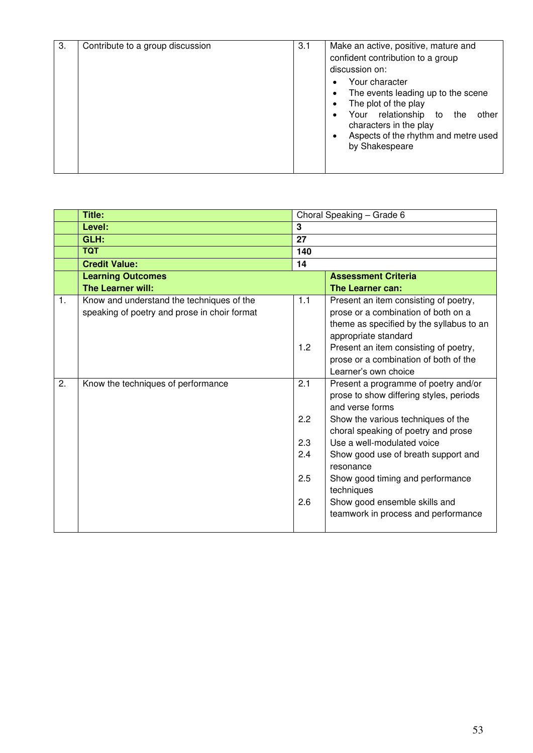|                | <b>Title:</b>                                |     | Choral Speaking - Grade 6                |
|----------------|----------------------------------------------|-----|------------------------------------------|
|                | Level:                                       | 3   |                                          |
|                | GLH:                                         | 27  |                                          |
|                | <b>TQT</b>                                   | 140 |                                          |
|                | <b>Credit Value:</b>                         | 14  |                                          |
|                | <b>Learning Outcomes</b>                     |     | <b>Assessment Criteria</b>               |
|                | <b>The Learner will:</b>                     |     | The Learner can:                         |
| $\mathbf{1}$ . | Know and understand the techniques of the    | 1.1 | Present an item consisting of poetry,    |
|                | speaking of poetry and prose in choir format |     | prose or a combination of both on a      |
|                |                                              |     | theme as specified by the syllabus to an |
|                |                                              |     | appropriate standard                     |
|                |                                              | 1.2 | Present an item consisting of poetry,    |
|                |                                              |     | prose or a combination of both of the    |
|                |                                              |     | Learner's own choice                     |
| 2.             | Know the techniques of performance           | 2.1 | Present a programme of poetry and/or     |
|                |                                              |     | prose to show differing styles, periods  |
|                |                                              |     | and verse forms                          |
|                |                                              | 2.2 | Show the various techniques of the       |
|                |                                              |     | choral speaking of poetry and prose      |
|                |                                              | 2.3 | Use a well-modulated voice               |
|                |                                              | 2.4 | Show good use of breath support and      |
|                |                                              |     | resonance                                |
|                |                                              | 2.5 | Show good timing and performance         |
|                |                                              |     | techniques                               |
|                |                                              | 2.6 | Show good ensemble skills and            |
|                |                                              |     | teamwork in process and performance      |
|                |                                              |     |                                          |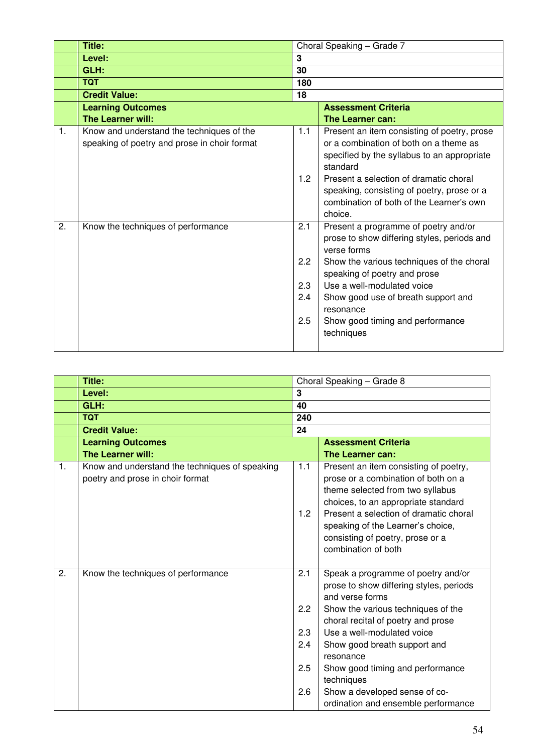|    | <b>Title:</b>                                                                             | Choral Speaking - Grade 7 |                                                                                                                                                  |  |
|----|-------------------------------------------------------------------------------------------|---------------------------|--------------------------------------------------------------------------------------------------------------------------------------------------|--|
|    | Level:                                                                                    | $\overline{3}$            |                                                                                                                                                  |  |
|    | GLH:                                                                                      | 30                        |                                                                                                                                                  |  |
|    | <b>TQT</b>                                                                                | 180                       |                                                                                                                                                  |  |
|    | <b>Credit Value:</b>                                                                      | 18                        |                                                                                                                                                  |  |
|    | <b>Learning Outcomes</b>                                                                  |                           | <b>Assessment Criteria</b>                                                                                                                       |  |
|    | The Learner will:                                                                         |                           | The Learner can:                                                                                                                                 |  |
| 1. | Know and understand the techniques of the<br>speaking of poetry and prose in choir format | 1.1                       | Present an item consisting of poetry, prose<br>or a combination of both on a theme as<br>specified by the syllabus to an appropriate<br>standard |  |
|    |                                                                                           | 1.2                       | Present a selection of dramatic choral<br>speaking, consisting of poetry, prose or a<br>combination of both of the Learner's own<br>choice.      |  |
| 2. | Know the techniques of performance                                                        | 2.1                       | Present a programme of poetry and/or<br>prose to show differing styles, periods and<br>verse forms                                               |  |
|    |                                                                                           | 2.2                       | Show the various techniques of the choral<br>speaking of poetry and prose                                                                        |  |
|    |                                                                                           | 2.3                       | Use a well-modulated voice                                                                                                                       |  |
|    |                                                                                           | 2.4                       | Show good use of breath support and<br>resonance                                                                                                 |  |
|    |                                                                                           | 2.5                       | Show good timing and performance<br>techniques                                                                                                   |  |

|    | Title:                                                                             |                                        | Choral Speaking - Grade 8                                                                                                                                                                                                                                                                                                                                                         |
|----|------------------------------------------------------------------------------------|----------------------------------------|-----------------------------------------------------------------------------------------------------------------------------------------------------------------------------------------------------------------------------------------------------------------------------------------------------------------------------------------------------------------------------------|
|    | Level:                                                                             | 3                                      |                                                                                                                                                                                                                                                                                                                                                                                   |
|    | GLH:                                                                               | 40                                     |                                                                                                                                                                                                                                                                                                                                                                                   |
|    | <b>TQT</b>                                                                         | 240                                    |                                                                                                                                                                                                                                                                                                                                                                                   |
|    | <b>Credit Value:</b>                                                               | 24                                     |                                                                                                                                                                                                                                                                                                                                                                                   |
|    | <b>Learning Outcomes</b>                                                           |                                        | <b>Assessment Criteria</b>                                                                                                                                                                                                                                                                                                                                                        |
|    | The Learner will:                                                                  |                                        | The Learner can:                                                                                                                                                                                                                                                                                                                                                                  |
| 1. | Know and understand the techniques of speaking<br>poetry and prose in choir format | 1.1<br>1.2                             | Present an item consisting of poetry,<br>prose or a combination of both on a<br>theme selected from two syllabus<br>choices, to an appropriate standard<br>Present a selection of dramatic choral<br>speaking of the Learner's choice,<br>consisting of poetry, prose or a<br>combination of both                                                                                 |
| 2. | Know the techniques of performance                                                 | 2.1<br>2.2<br>2.3<br>2.4<br>2.5<br>2.6 | Speak a programme of poetry and/or<br>prose to show differing styles, periods<br>and verse forms<br>Show the various techniques of the<br>choral recital of poetry and prose<br>Use a well-modulated voice<br>Show good breath support and<br>resonance<br>Show good timing and performance<br>techniques<br>Show a developed sense of co-<br>ordination and ensemble performance |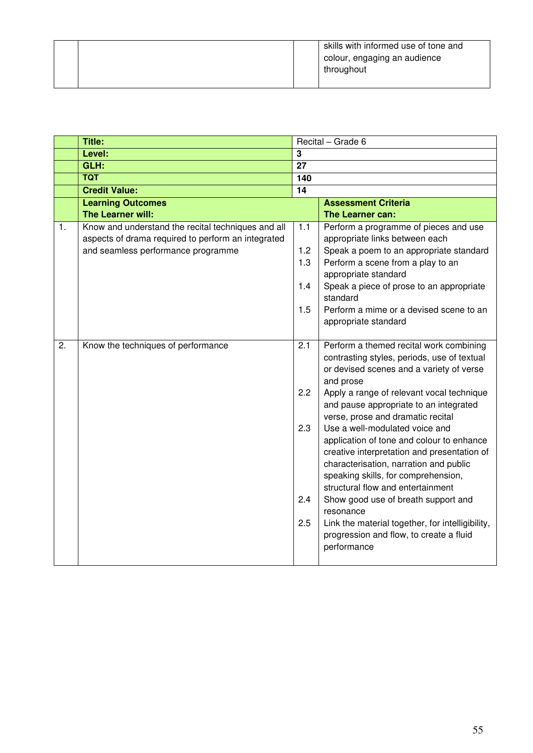|  | skills with informed use of tone and<br>colour, engaging an audience<br>throughout |
|--|------------------------------------------------------------------------------------|
|--|------------------------------------------------------------------------------------|

|    | <b>Title:</b>                                                                                                                                  |                 | Recital - Grade 6                                                                                                                                                                                                                                |
|----|------------------------------------------------------------------------------------------------------------------------------------------------|-----------------|--------------------------------------------------------------------------------------------------------------------------------------------------------------------------------------------------------------------------------------------------|
|    | Level:                                                                                                                                         | $\overline{3}$  |                                                                                                                                                                                                                                                  |
|    | GLH:                                                                                                                                           | $\overline{27}$ |                                                                                                                                                                                                                                                  |
|    | <b>TQT</b>                                                                                                                                     | 140             |                                                                                                                                                                                                                                                  |
|    | <b>Credit Value:</b>                                                                                                                           | 14              |                                                                                                                                                                                                                                                  |
|    | <b>Learning Outcomes</b>                                                                                                                       |                 | <b>Assessment Criteria</b>                                                                                                                                                                                                                       |
|    | The Learner will:                                                                                                                              |                 | The Learner can:                                                                                                                                                                                                                                 |
| 1. | Know and understand the recital techniques and all<br>aspects of drama required to perform an integrated<br>and seamless performance programme | $1.1$<br>1.2    | Perform a programme of pieces and use<br>appropriate links between each<br>Speak a poem to an appropriate standard                                                                                                                               |
|    |                                                                                                                                                | 1.3             | Perform a scene from a play to an<br>appropriate standard                                                                                                                                                                                        |
|    |                                                                                                                                                | 1.4             | Speak a piece of prose to an appropriate<br>standard                                                                                                                                                                                             |
|    |                                                                                                                                                | 1.5             | Perform a mime or a devised scene to an<br>appropriate standard                                                                                                                                                                                  |
| 2. | Know the techniques of performance                                                                                                             | 2.1             | Perform a themed recital work combining<br>contrasting styles, periods, use of textual<br>or devised scenes and a variety of verse<br>and prose                                                                                                  |
|    |                                                                                                                                                | 2.2             | Apply a range of relevant vocal technique<br>and pause appropriate to an integrated<br>verse, prose and dramatic recital                                                                                                                         |
|    |                                                                                                                                                | 2.3             | Use a well-modulated voice and<br>application of tone and colour to enhance<br>creative interpretation and presentation of<br>characterisation, narration and public<br>speaking skills, for comprehension,<br>structural flow and entertainment |
|    |                                                                                                                                                | 2.4             | Show good use of breath support and<br>resonance                                                                                                                                                                                                 |
|    |                                                                                                                                                | 2.5             | Link the material together, for intelligibility,<br>progression and flow, to create a fluid<br>performance                                                                                                                                       |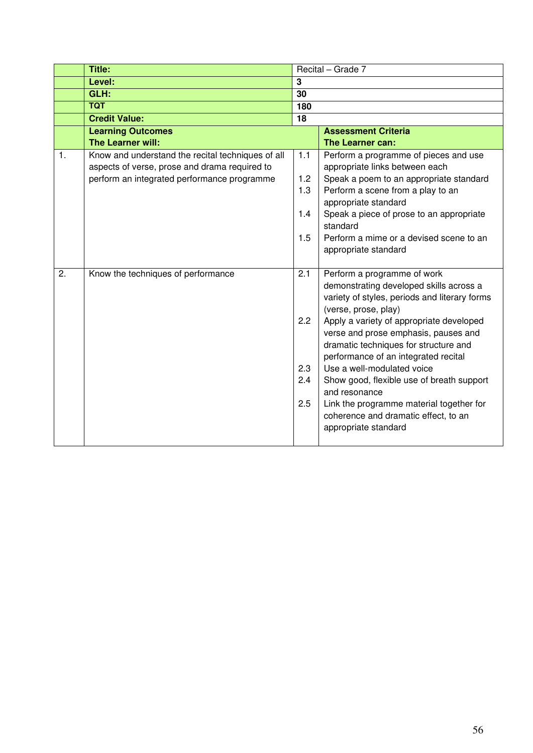|    | <b>Title:</b>                                     |     | Recital - Grade 7                                                                        |
|----|---------------------------------------------------|-----|------------------------------------------------------------------------------------------|
|    | Level:                                            | 3   |                                                                                          |
|    | GLH:                                              | 30  |                                                                                          |
|    | <b>TQT</b>                                        | 180 |                                                                                          |
|    | <b>Credit Value:</b>                              | 18  |                                                                                          |
|    | <b>Learning Outcomes</b>                          |     | <b>Assessment Criteria</b>                                                               |
|    | The Learner will:                                 |     | The Learner can:                                                                         |
| 1. | Know and understand the recital techniques of all | 1.1 | Perform a programme of pieces and use                                                    |
|    | aspects of verse, prose and drama required to     |     | appropriate links between each                                                           |
|    | perform an integrated performance programme       | 1.2 | Speak a poem to an appropriate standard                                                  |
|    |                                                   | 1.3 | Perform a scene from a play to an                                                        |
|    |                                                   |     | appropriate standard                                                                     |
|    |                                                   | 1.4 | Speak a piece of prose to an appropriate                                                 |
|    |                                                   |     | standard                                                                                 |
|    |                                                   | 1.5 | Perform a mime or a devised scene to an                                                  |
|    |                                                   |     | appropriate standard                                                                     |
|    |                                                   |     |                                                                                          |
| 2. | Know the techniques of performance                | 2.1 | Perform a programme of work                                                              |
|    |                                                   |     | demonstrating developed skills across a<br>variety of styles, periods and literary forms |
|    |                                                   |     | (verse, prose, play)                                                                     |
|    |                                                   | 2.2 | Apply a variety of appropriate developed                                                 |
|    |                                                   |     | verse and prose emphasis, pauses and                                                     |
|    |                                                   |     | dramatic techniques for structure and                                                    |
|    |                                                   |     | performance of an integrated recital                                                     |
|    |                                                   | 2.3 | Use a well-modulated voice                                                               |
|    |                                                   | 2.4 | Show good, flexible use of breath support                                                |
|    |                                                   |     | and resonance                                                                            |
|    |                                                   | 2.5 | Link the programme material together for                                                 |
|    |                                                   |     | coherence and dramatic effect, to an                                                     |
|    |                                                   |     | appropriate standard                                                                     |
|    |                                                   |     |                                                                                          |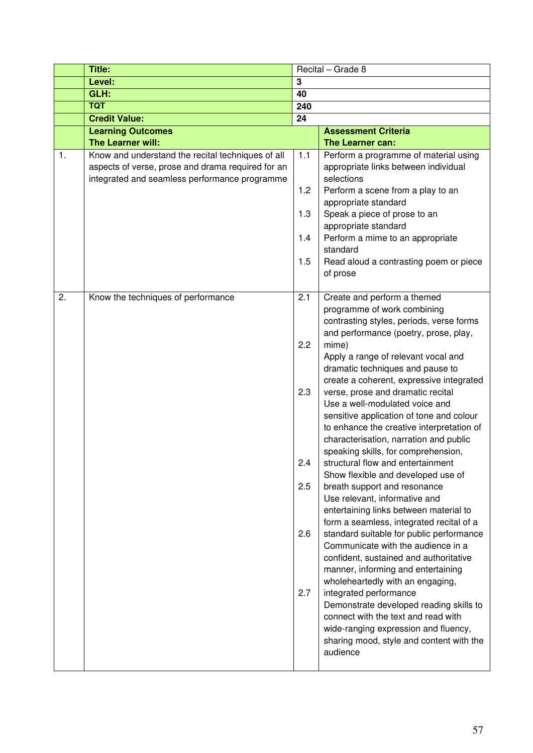|    | Title:                                                                                                                                                  |                                               | Recital - Grade 8                                                                                                                                                                                                                                                                                                                                                                                                                                                                                                                                                                                                                                                                                                                                                                                                                                                                                                                                                                                                                                                                                                                                                                    |
|----|---------------------------------------------------------------------------------------------------------------------------------------------------------|-----------------------------------------------|--------------------------------------------------------------------------------------------------------------------------------------------------------------------------------------------------------------------------------------------------------------------------------------------------------------------------------------------------------------------------------------------------------------------------------------------------------------------------------------------------------------------------------------------------------------------------------------------------------------------------------------------------------------------------------------------------------------------------------------------------------------------------------------------------------------------------------------------------------------------------------------------------------------------------------------------------------------------------------------------------------------------------------------------------------------------------------------------------------------------------------------------------------------------------------------|
|    | Level:                                                                                                                                                  | 3                                             |                                                                                                                                                                                                                                                                                                                                                                                                                                                                                                                                                                                                                                                                                                                                                                                                                                                                                                                                                                                                                                                                                                                                                                                      |
|    | GLH:                                                                                                                                                    | 40                                            |                                                                                                                                                                                                                                                                                                                                                                                                                                                                                                                                                                                                                                                                                                                                                                                                                                                                                                                                                                                                                                                                                                                                                                                      |
|    | <b>TQT</b>                                                                                                                                              | 240                                           |                                                                                                                                                                                                                                                                                                                                                                                                                                                                                                                                                                                                                                                                                                                                                                                                                                                                                                                                                                                                                                                                                                                                                                                      |
|    | <b>Credit Value:</b>                                                                                                                                    | 24                                            |                                                                                                                                                                                                                                                                                                                                                                                                                                                                                                                                                                                                                                                                                                                                                                                                                                                                                                                                                                                                                                                                                                                                                                                      |
|    | <b>Learning Outcomes</b>                                                                                                                                |                                               | <b>Assessment Criteria</b>                                                                                                                                                                                                                                                                                                                                                                                                                                                                                                                                                                                                                                                                                                                                                                                                                                                                                                                                                                                                                                                                                                                                                           |
|    | The Learner will:                                                                                                                                       |                                               | The Learner can:                                                                                                                                                                                                                                                                                                                                                                                                                                                                                                                                                                                                                                                                                                                                                                                                                                                                                                                                                                                                                                                                                                                                                                     |
| 1. | Know and understand the recital techniques of all<br>aspects of verse, prose and drama required for an<br>integrated and seamless performance programme | 1.1<br>1.2<br>1.3<br>1.4<br>1.5               | Perform a programme of material using<br>appropriate links between individual<br>selections<br>Perform a scene from a play to an<br>appropriate standard<br>Speak a piece of prose to an<br>appropriate standard<br>Perform a mime to an appropriate<br>standard<br>Read aloud a contrasting poem or piece<br>of prose                                                                                                                                                                                                                                                                                                                                                                                                                                                                                                                                                                                                                                                                                                                                                                                                                                                               |
| 2. | Know the techniques of performance                                                                                                                      | 2.1<br>2.2<br>2.3<br>2.4<br>2.5<br>2.6<br>2.7 | Create and perform a themed<br>programme of work combining<br>contrasting styles, periods, verse forms<br>and performance (poetry, prose, play,<br>mime)<br>Apply a range of relevant vocal and<br>dramatic techniques and pause to<br>create a coherent, expressive integrated<br>verse, prose and dramatic recital<br>Use a well-modulated voice and<br>sensitive application of tone and colour<br>to enhance the creative interpretation of<br>characterisation, narration and public<br>speaking skills, for comprehension,<br>structural flow and entertainment<br>Show flexible and developed use of<br>breath support and resonance<br>Use relevant, informative and<br>entertaining links between material to<br>form a seamless, integrated recital of a<br>standard suitable for public performance<br>Communicate with the audience in a<br>confident, sustained and authoritative<br>manner, informing and entertaining<br>wholeheartedly with an engaging,<br>integrated performance<br>Demonstrate developed reading skills to<br>connect with the text and read with<br>wide-ranging expression and fluency,<br>sharing mood, style and content with the<br>audience |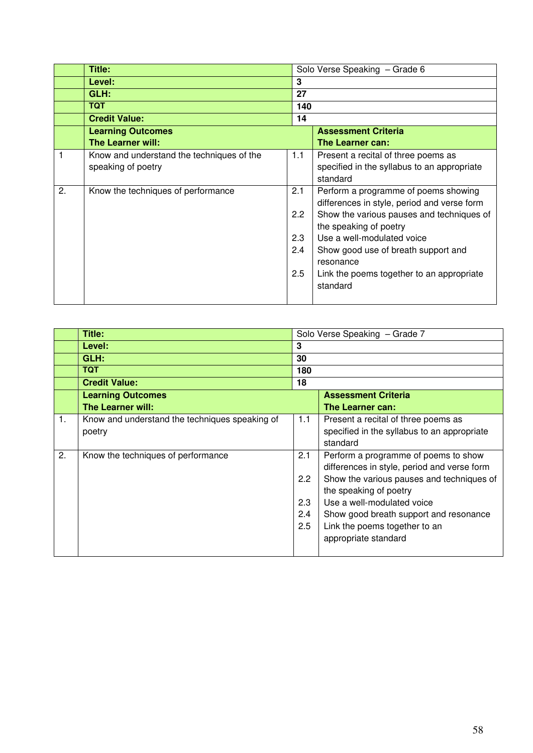|    | Title:                                    |     | Solo Verse Speaking - Grade 6               |
|----|-------------------------------------------|-----|---------------------------------------------|
|    | Level:                                    | 3   |                                             |
|    | GLH:                                      | 27  |                                             |
|    | <b>TQT</b>                                | 140 |                                             |
|    | <b>Credit Value:</b>                      | 14  |                                             |
|    | <b>Learning Outcomes</b>                  |     | <b>Assessment Criteria</b>                  |
|    | <b>The Learner will:</b>                  |     | The Learner can:                            |
|    | Know and understand the techniques of the | 1.1 | Present a recital of three poems as         |
|    | speaking of poetry                        |     | specified in the syllabus to an appropriate |
|    |                                           |     | standard                                    |
| 2. | Know the techniques of performance        | 2.1 | Perform a programme of poems showing        |
|    |                                           |     | differences in style, period and verse form |
|    |                                           | 2.2 | Show the various pauses and techniques of   |
|    |                                           |     | the speaking of poetry                      |
|    |                                           | 2.3 | Use a well-modulated voice                  |
|    |                                           | 2.4 | Show good use of breath support and         |
|    |                                           |     | resonance                                   |
|    |                                           | 2.5 | Link the poems together to an appropriate   |
|    |                                           |     | standard                                    |
|    |                                           |     |                                             |

|    | Title:                                         |     | Solo Verse Speaking - Grade 7               |
|----|------------------------------------------------|-----|---------------------------------------------|
|    | Level:                                         | 3   |                                             |
|    | GLH:                                           | 30  |                                             |
|    | <b>TQT</b>                                     | 180 |                                             |
|    | <b>Credit Value:</b>                           | 18  |                                             |
|    | <b>Learning Outcomes</b>                       |     | <b>Assessment Criteria</b>                  |
|    | <b>The Learner will:</b>                       |     | The Learner can:                            |
| 1. | Know and understand the techniques speaking of | 1.1 | Present a recital of three poems as         |
|    | poetry                                         |     | specified in the syllabus to an appropriate |
|    |                                                |     | standard                                    |
| 2. | Know the techniques of performance             | 2.1 | Perform a programme of poems to show        |
|    |                                                |     | differences in style, period and verse form |
|    |                                                | 2.2 | Show the various pauses and techniques of   |
|    |                                                |     | the speaking of poetry                      |
|    |                                                | 2.3 | Use a well-modulated voice                  |
|    |                                                | 2.4 | Show good breath support and resonance      |
|    |                                                | 2.5 | Link the poems together to an               |
|    |                                                |     | appropriate standard                        |
|    |                                                |     |                                             |